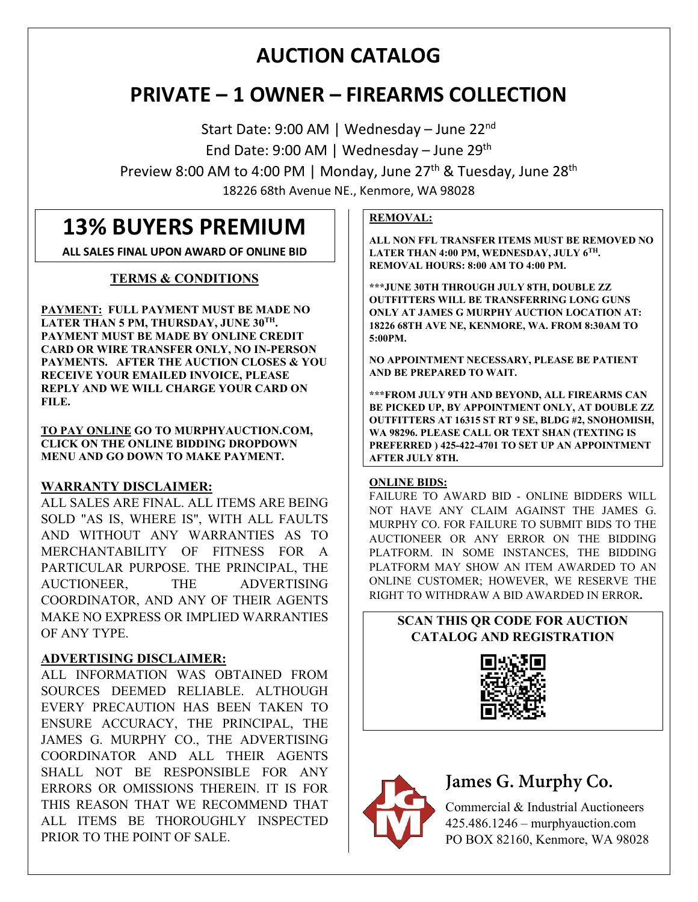# **AUCTION CATALOG**

# **PRIVATE – 1 OWNER – FIREARMS COLLECTION**

Start Date: 9:00 AM | Wednesday – June 22nd End Date: 9:00 AM | Wednesday – June 29th

Preview 8:00 AM to 4:00 PM | Monday, June 27<sup>th</sup> & Tuesday, June 28<sup>th</sup> 18226 68th Avenue NE., Kenmore, WA 98028

# **13% BUYERS PREMIUM**

**ALL SALES FINAL UPON AWARD OF ONLINE BID**

# **TERMS & CONDITIONS**

**PAYMENT: FULL PAYMENT MUST BE MADE NO LATER THAN 5 PM, THURSDAY, JUNE 30TH. PAYMENT MUST BE MADE BY ONLINE CREDIT CARD OR WIRE TRANSFER ONLY, NO IN-PERSON PAYMENTS. AFTER THE AUCTION CLOSES & YOU RECEIVE YOUR EMAILED INVOICE, PLEASE REPLY AND WE WILL CHARGE YOUR CARD ON FILE.** 

**TO PAY ONLINE GO TO MURPHYAUCTION.COM, CLICK ON THE ONLINE BIDDING DROPDOWN MENU AND GO DOWN TO MAKE PAYMENT.**

# **WARRANTY DISCLAIMER:**

ALL SALES ARE FINAL. ALL ITEMS ARE BEING SOLD "AS IS, WHERE IS", WITH ALL FAULTS AND WITHOUT ANY WARRANTIES AS TO MERCHANTABILITY OF FITNESS FOR A PARTICULAR PURPOSE. THE PRINCIPAL, THE AUCTIONEER, THE ADVERTISING COORDINATOR, AND ANY OF THEIR AGENTS MAKE NO EXPRESS OR IMPLIED WARRANTIES OF ANY TYPE.

# **ADVERTISING DISCLAIMER:**

ALL INFORMATION WAS OBTAINED FROM SOURCES DEEMED RELIABLE. ALTHOUGH EVERY PRECAUTION HAS BEEN TAKEN TO ENSURE ACCURACY, THE PRINCIPAL, THE JAMES G. MURPHY CO., THE ADVERTISING COORDINATOR AND ALL THEIR AGENTS SHALL NOT BE RESPONSIBLE FOR ANY ERRORS OR OMISSIONS THEREIN. IT IS FOR THIS REASON THAT WE RECOMMEND THAT ALL ITEMS BE THOROUGHLY INSPECTED PRIOR TO THE POINT OF SALE.

# **REMOVAL:**

**ALL NON FFL TRANSFER ITEMS MUST BE REMOVED NO LATER THAN 4:00 PM, WEDNESDAY, JULY 6TH. REMOVAL HOURS: 8:00 AM TO 4:00 PM.** 

**\*\*\*JUNE 30TH THROUGH JULY 8TH, DOUBLE ZZ OUTFITTERS WILL BE TRANSFERRING LONG GUNS ONLY AT JAMES G MURPHY AUCTION LOCATION AT: 18226 68TH AVE NE, KENMORE, WA. FROM 8:30AM TO 5:00PM.** 

**NO APPOINTMENT NECESSARY, PLEASE BE PATIENT AND BE PREPARED TO WAIT.**

**\*\*\*FROM JULY 9TH AND BEYOND, ALL FIREARMS CAN BE PICKED UP, BY APPOINTMENT ONLY, AT DOUBLE ZZ OUTFITTERS AT 16315 ST RT 9 SE, BLDG #2, SNOHOMISH, WA 98296. PLEASE CALL OR TEXT SHAN (TEXTING IS PREFERRED ) 425-422-4701 TO SET UP AN APPOINTMENT AFTER JULY 8TH.**

# **ONLINE BIDS:**

FAILURE TO AWARD BID - ONLINE BIDDERS WILL NOT HAVE ANY CLAIM AGAINST THE JAMES G. MURPHY CO. FOR FAILURE TO SUBMIT BIDS TO THE AUCTIONEER OR ANY ERROR ON THE BIDDING PLATFORM. IN SOME INSTANCES, THE BIDDING PLATFORM MAY SHOW AN ITEM AWARDED TO AN ONLINE CUSTOMER; HOWEVER, WE RESERVE THE RIGHT TO WITHDRAW A BID AWARDED IN ERROR**.**

# **SCAN THIS QR CODE FOR AUCTION CATALOG AND REGISTRATION**





# **James G. Murphy Co.**

Commercial & Industrial Auctioneers 425.486.1246 – murphyauction.com PO BOX 82160, Kenmore, WA 98028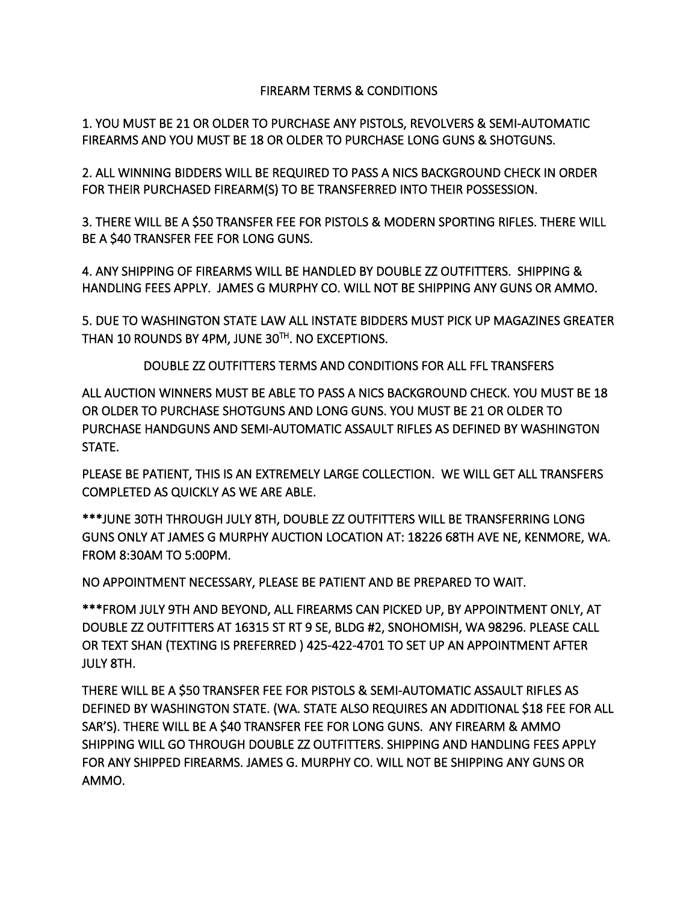# FIREARM TERMS & CONDITIONS

1. YOU MUST BE 21 OR OLDER TO PURCHASE ANY PISTOLS, REVOLVERS & SEMI-AUTOMATIC FIREARMS AND YOU MUST BE 18 OR OLDER TO PURCHASE LONG GUNS & SHOTGUNS.

2. ALL WINNING BIDDERS WILL BE REQUIRED TO PASS A NICS BACKGROUND CHECK IN ORDER FOR THEIR PURCHASED FIREARM(S) TO BE TRANSFERRED INTO THEIR POSSESSION.

3. THERE WILL BE A \$50 TRANSFER FEE FOR PISTOLS & MODERN SPORTING RIFLES. THERE WILL BE A \$40 TRANSFER FEE FOR LONG GUNS.

4. ANY SHIPPING OF FIREARMS WILL BE HANDLED BY DOUBLE ZZ OUTFITTERS. SHIPPING & HANDLING FEES APPLY. JAMES G MURPHY CO. WILL NOT BE SHIPPING ANY GUNS OR AMMO.

5. DUE TO WASHINGTON STATE LAW ALL INSTATE BIDDERS MUST PICK UP MAGAZINES GREATER THAN 10 ROUNDS BY 4PM, JUNE 30TH. NO EXCEPTIONS.

DOUBLE ZZ OUTFITTERS TERMS AND CONDITIONS FOR ALL FFL TRANSFERS

ALL AUCTION WINNERS MUST BE ABLE TO PASS A NICS BACKGROUND CHECK. YOU MUST BE 18 OR OLDER TO PURCHASE SHOTGUNS AND LONG GUNS. YOU MUST BE 21 OR OLDER TO PURCHASE HANDGUNS AND SEMI-AUTOMATIC ASSAULT RIFLES AS DEFINED BY WASHINGTON STATE.

PLEASE BE PATIENT, THIS IS AN EXTREMELY LARGE COLLECTION. WE WILL GET ALL TRANSFERS COMPLETED AS QUICKLY AS WE ARE ABLE.

\*\*\*JUNE 30TH THROUGH JULY 8TH, DOUBLE ZZ OUTFITTERS WILL BE TRANSFERRING LONG GUNS ONLY AT JAMES G MURPHY AUCTION LOCATION AT: 18226 68TH AVE NE, KENMORE, WA. FROM 8:30AM TO 5:00PM.

NO APPOINTMENT NECESSARY, PLEASE BE PATIENT AND BE PREPARED TO WAIT.

\*\*\*FROM JULY 9TH AND BEYOND, ALL FIREARMS CAN PICKED UP, BY APPOINTMENT ONLY, AT DOUBLE ZZ OUTFITTERS AT 16315 ST RT 9 SE, BLDG #2, SNOHOMISH, WA 98296. PLEASE CALL OR TEXT SHAN (TEXTING IS PREFERRED ) 425-422-4701 TO SET UP AN APPOINTMENT AFTER JULY 8TH.

THERE WILL BE A \$50 TRANSFER FEE FOR PISTOLS & SEMI-AUTOMATIC ASSAULT RIFLES AS DEFINED BY WASHINGTON STATE. (WA. STATE ALSO REQUIRES AN ADDITIONAL \$18 FEE FOR ALL SAR'S). THERE WILL BE A \$40 TRANSFER FEE FOR LONG GUNS. ANY FIREARM & AMMO SHIPPING WILL GO THROUGH DOUBLE ZZ OUTFITTERS. SHIPPING AND HANDLING FEES APPLY FOR ANY SHIPPED FIREARMS. JAMES G. MURPHY CO. WILL NOT BE SHIPPING ANY GUNS OR AMMO.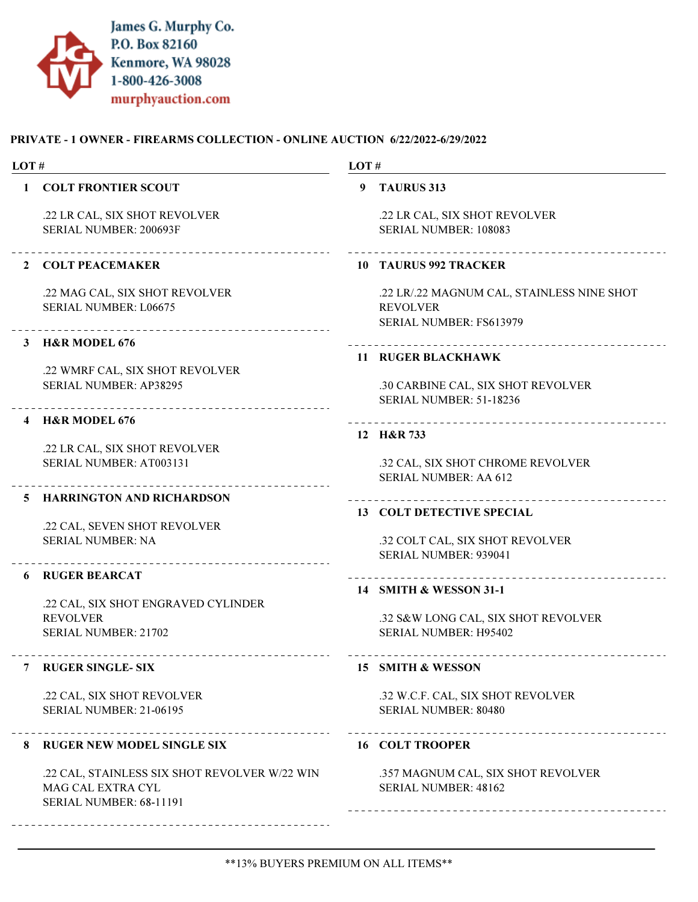

| LOT# |                                                                                               | LOT# |                                                                                                 |
|------|-----------------------------------------------------------------------------------------------|------|-------------------------------------------------------------------------------------------------|
| 1    | <b>COLT FRONTIER SCOUT</b>                                                                    | 9    | <b>TAURUS 313</b>                                                                               |
|      | .22 LR CAL, SIX SHOT REVOLVER<br>SERIAL NUMBER: 200693F                                       |      | .22 LR CAL, SIX SHOT REVOLVER<br>SERIAL NUMBER: 108083                                          |
|      | 2 COLT PEACEMAKER                                                                             |      | 10 TAURUS 992 TRACKER                                                                           |
|      | .22 MAG CAL, SIX SHOT REVOLVER<br>SERIAL NUMBER: L06675<br>________________________________   |      | .22 LR/.22 MAGNUM CAL, STAINLESS NINE SHOT<br><b>REVOLVER</b><br><b>SERIAL NUMBER: FS613979</b> |
| 3    | <b>H&amp;R MODEL 676</b>                                                                      |      | ----------------------------------                                                              |
|      | .22 WMRF CAL, SIX SHOT REVOLVER                                                               |      | <b>11 RUGER BLACKHAWK</b>                                                                       |
|      | <b>SERIAL NUMBER: AP38295</b>                                                                 |      | .30 CARBINE CAL, SIX SHOT REVOLVER<br><b>SERIAL NUMBER: 51-18236</b>                            |
|      | 4 H&R MODEL 676                                                                               |      |                                                                                                 |
|      | .22 LR CAL, SIX SHOT REVOLVER                                                                 |      | 12 H&R 733                                                                                      |
|      | SERIAL NUMBER: AT003131                                                                       |      | .32 CAL, SIX SHOT CHROME REVOLVER<br><b>SERIAL NUMBER: AA 612</b>                               |
|      | 5 HARRINGTON AND RICHARDSON                                                                   |      |                                                                                                 |
|      | .22 CAL, SEVEN SHOT REVOLVER                                                                  |      | 13 COLT DETECTIVE SPECIAL                                                                       |
|      | <b>SERIAL NUMBER: NA</b>                                                                      |      | .32 COLT CAL, SIX SHOT REVOLVER<br>SERIAL NUMBER: 939041                                        |
| 6    | <b>RUGER BEARCAT</b>                                                                          |      | ____________                                                                                    |
|      | .22 CAL, SIX SHOT ENGRAVED CYLINDER                                                           |      | 14 SMITH & WESSON 31-1                                                                          |
|      | <b>REVOLVER</b>                                                                               |      | .32 S&W LONG CAL, SIX SHOT REVOLVER                                                             |
|      | <b>SERIAL NUMBER: 21702</b>                                                                   |      | <b>SERIAL NUMBER: H95402</b>                                                                    |
|      | _____________________________<br><b>RUGER SINGLE- SIX</b>                                     |      | _________________________<br>15 SMITH & WESSON                                                  |
|      | .22 CAL, SIX SHOT REVOLVER<br><b>SERIAL NUMBER: 21-06195</b>                                  |      | .32 W.C.F. CAL, SIX SHOT REVOLVER<br><b>SERIAL NUMBER: 80480</b>                                |
|      |                                                                                               |      |                                                                                                 |
| 8    | ----------------<br><b>RUGER NEW MODEL SINGLE SIX</b>                                         |      | <b>16 COLT TROOPER</b>                                                                          |
|      | .22 CAL, STAINLESS SIX SHOT REVOLVER W/22 WIN<br>MAG CAL EXTRA CYL<br>SERIAL NUMBER: 68-11191 |      | .357 MAGNUM CAL, SIX SHOT REVOLVER<br><b>SERIAL NUMBER: 48162</b>                               |
|      |                                                                                               |      |                                                                                                 |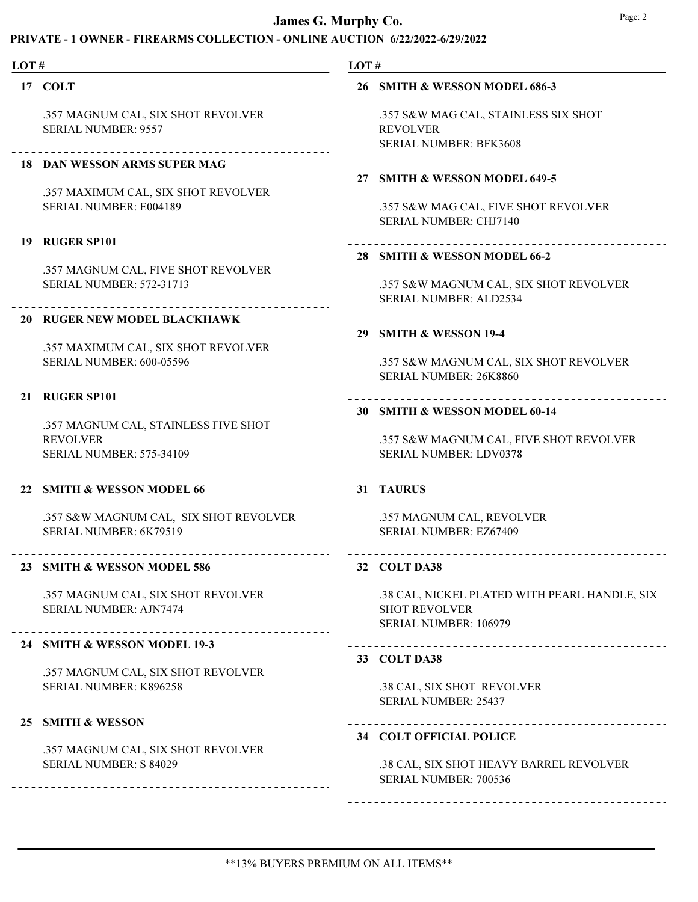| LOT# |                                                                                                        | LOT#                                                                                                    |  |  |
|------|--------------------------------------------------------------------------------------------------------|---------------------------------------------------------------------------------------------------------|--|--|
|      | 17 COLT                                                                                                | 26 SMITH & WESSON MODEL 686-3                                                                           |  |  |
|      | .357 MAGNUM CAL, SIX SHOT REVOLVER<br><b>SERIAL NUMBER: 9557</b>                                       | .357 S&W MAG CAL, STAINLESS SIX SHOT<br><b>REVOLVER</b><br><b>SERIAL NUMBER: BFK3608</b>                |  |  |
|      | <b>18 DAN WESSON ARMS SUPER MAG</b>                                                                    | 27 SMITH & WESSON MODEL 649-5                                                                           |  |  |
|      | .357 MAXIMUM CAL, SIX SHOT REVOLVER<br>SERIAL NUMBER: E004189<br>_______________________________       | .357 S&W MAG CAL, FIVE SHOT REVOLVER<br><b>SERIAL NUMBER: CHJ7140</b>                                   |  |  |
|      | 19 RUGER SP101                                                                                         |                                                                                                         |  |  |
|      | .357 MAGNUM CAL, FIVE SHOT REVOLVER<br><b>SERIAL NUMBER: 572-31713</b>                                 | 28 SMITH & WESSON MODEL 66-2<br>.357 S&W MAGNUM CAL, SIX SHOT REVOLVER<br><b>SERIAL NUMBER: ALD2534</b> |  |  |
|      | 20 RUGER NEW MODEL BLACKHAWK                                                                           | 29 SMITH & WESSON 19-4                                                                                  |  |  |
|      | .357 MAXIMUM CAL, SIX SHOT REVOLVER<br><b>SERIAL NUMBER: 600-05596</b>                                 | .357 S&W MAGNUM CAL, SIX SHOT REVOLVER<br>SERIAL NUMBER: 26K8860                                        |  |  |
|      | <b>21 RUGER SP101</b>                                                                                  | 30 SMITH & WESSON MODEL 60-14                                                                           |  |  |
|      | .357 MAGNUM CAL, STAINLESS FIVE SHOT<br><b>REVOLVER</b><br><b>SERIAL NUMBER: 575-34109</b>             | .357 S&W MAGNUM CAL, FIVE SHOT REVOLVER<br>SERIAL NUMBER: LDV0378                                       |  |  |
|      | 22 SMITH & WESSON MODEL 66                                                                             | 31 TAURUS                                                                                               |  |  |
|      | .357 S&W MAGNUM CAL, SIX SHOT REVOLVER<br>SERIAL NUMBER: 6K79519                                       | .357 MAGNUM CAL, REVOLVER<br>SERIAL NUMBER: EZ67409                                                     |  |  |
|      | <b>SMITH &amp; WESSON MODEL 586</b>                                                                    | 32 COLT DA38                                                                                            |  |  |
|      | .357 MAGNUM CAL, SIX SHOT REVOLVER<br><b>SERIAL NUMBER: AJN7474</b>                                    | .38 CAL, NICKEL PLATED WITH PEARL HANDLE, SIX<br><b>SHOT REVOLVER</b><br>SERIAL NUMBER: 106979          |  |  |
|      | 24 SMITH & WESSON MODEL 19-3                                                                           | 33 COLT DA38                                                                                            |  |  |
|      | .357 MAGNUM CAL, SIX SHOT REVOLVER<br>SERIAL NUMBER: K896258                                           | .38 CAL, SIX SHOT REVOLVER<br><b>SERIAL NUMBER: 25437</b>                                               |  |  |
|      | ____________________________<br>25 SMITH & WESSON                                                      | 34 COLT OFFICIAL POLICE                                                                                 |  |  |
|      | .357 MAGNUM CAL, SIX SHOT REVOLVER<br><b>SERIAL NUMBER: S 84029</b><br>------------------------------- | .38 CAL, SIX SHOT HEAVY BARREL REVOLVER<br>SERIAL NUMBER: 700536                                        |  |  |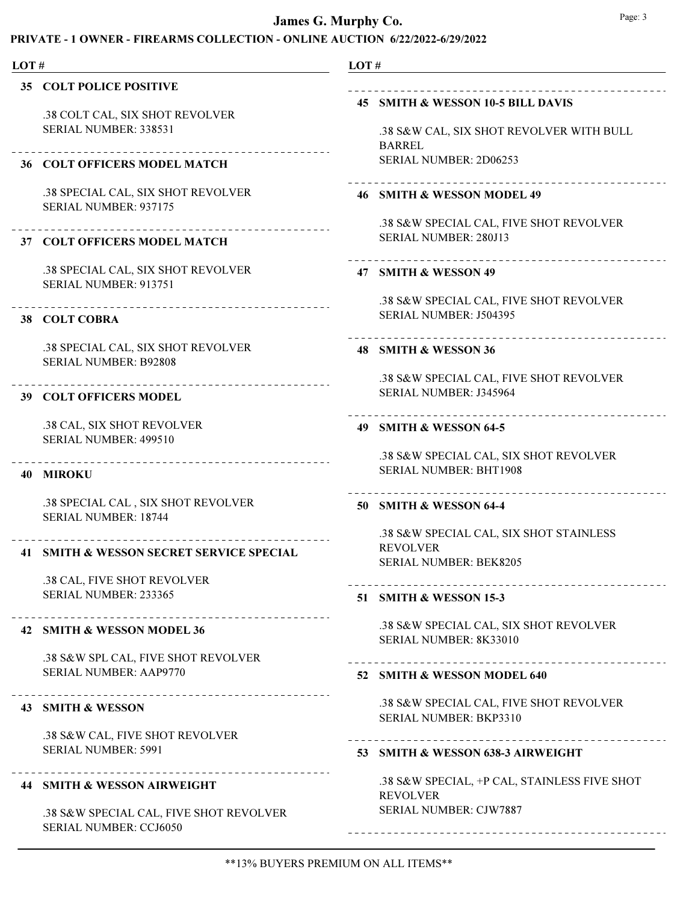# PRIVATE - 1 OWNER - FIREARMS COLLECTION - ONLINE AUCTION 6/22/2022-6/29/2022

| LOT# |                                                                           | LOT#                                                                                           |
|------|---------------------------------------------------------------------------|------------------------------------------------------------------------------------------------|
|      | <b>35 COLT POLICE POSITIVE</b>                                            |                                                                                                |
|      | .38 COLT CAL, SIX SHOT REVOLVER<br>SERIAL NUMBER: 338531                  | 45 SMITH & WESSON 10-5 BILL DAVIS<br>.38 S&W CAL, SIX SHOT REVOLVER WITH BULL<br><b>BARREL</b> |
|      | <b>36 COLT OFFICERS MODEL MATCH</b>                                       | SERIAL NUMBER: 2D06253                                                                         |
|      | .38 SPECIAL CAL, SIX SHOT REVOLVER<br>SERIAL NUMBER: 937175               | 46 SMITH & WESSON MODEL 49                                                                     |
|      | 37 COLT OFFICERS MODEL MATCH                                              | .38 S&W SPECIAL CAL, FIVE SHOT REVOLVER<br>SERIAL NUMBER: 280J13                               |
|      | .38 SPECIAL CAL, SIX SHOT REVOLVER<br>SERIAL NUMBER: 913751               | 47 SMITH & WESSON 49                                                                           |
|      | ______________________________________<br>38 COLT COBRA                   | .38 S&W SPECIAL CAL, FIVE SHOT REVOLVER<br>SERIAL NUMBER: J504395                              |
|      | .38 SPECIAL CAL, SIX SHOT REVOLVER<br><b>SERIAL NUMBER: B92808</b>        | 48 SMITH & WESSON 36                                                                           |
|      | <b>39 COLT OFFICERS MODEL</b>                                             | .38 S&W SPECIAL CAL, FIVE SHOT REVOLVER<br>SERIAL NUMBER: J345964                              |
|      | .38 CAL, SIX SHOT REVOLVER<br>SERIAL NUMBER: 499510                       | 49 SMITH & WESSON 64-5                                                                         |
|      | <b>40 MIROKU</b>                                                          | .38 S&W SPECIAL CAL, SIX SHOT REVOLVER<br><b>SERIAL NUMBER: BHT1908</b>                        |
|      | .38 SPECIAL CAL, SIX SHOT REVOLVER<br><b>SERIAL NUMBER: 18744</b>         | 50 SMITH & WESSON 64-4                                                                         |
|      | _____________________________<br>41 SMITH & WESSON SECRET SERVICE SPECIAL | .38 S&W SPECIAL CAL, SIX SHOT STAINLESS<br><b>REVOLVER</b><br>SERIAL NUMBER: BEK8205           |
|      | .38 CAL, FIVE SHOT REVOLVER<br>SERIAL NUMBER: 233365                      | 51 SMITH & WESSON 15-3                                                                         |
|      | 42 SMITH & WESSON MODEL 36                                                | .38 S&W SPECIAL CAL, SIX SHOT REVOLVER<br>SERIAL NUMBER: 8K33010                               |
|      | .38 S&W SPL CAL, FIVE SHOT REVOLVER<br><b>SERIAL NUMBER: AAP9770</b>      | 52 SMITH & WESSON MODEL 640                                                                    |
|      | 43 SMITH & WESSON                                                         | .38 S&W SPECIAL CAL, FIVE SHOT REVOLVER                                                        |
|      | .38 S&W CAL, FIVE SHOT REVOLVER<br><b>SERIAL NUMBER: 5991</b>             | SERIAL NUMBER: BKP3310                                                                         |
|      | <b>44 SMITH &amp; WESSON AIRWEIGHT</b>                                    | 53 SMITH & WESSON 638-3 AIRWEIGHT<br>.38 S&W SPECIAL, +P CAL, STAINLESS FIVE SHOT              |

.38 S&W SPECIAL CAL, FIVE SHOT REVOLVER SERIAL NUMBER: CCJ6050

### \*\*13% BUYERS PREMIUM ON ALL ITEMS\*\*

SERIAL NUMBER: CJW7887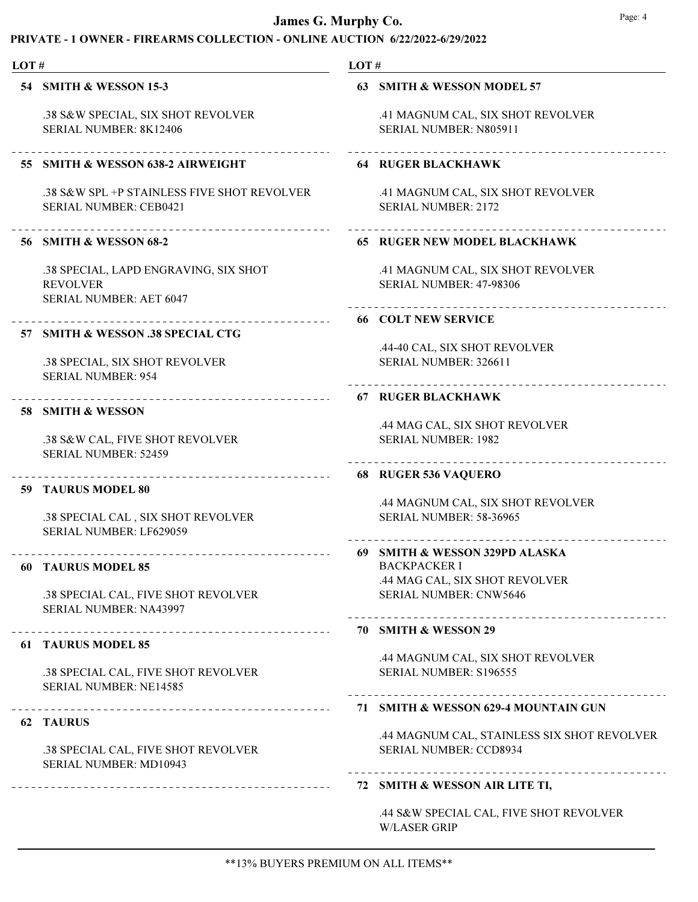# PRIVATE - 1 OWNER - FIREARMS COLLECTION - ONLINE AUCTION 6/22/2022-6/29/2022

| LOT# |                                                                                     | LOT# |                                                                                           |
|------|-------------------------------------------------------------------------------------|------|-------------------------------------------------------------------------------------------|
|      | 54 SMITH & WESSON 15-3                                                              |      | 63 SMITH & WESSON MODEL 57                                                                |
|      | .38 S&W SPECIAL, SIX SHOT REVOLVER<br>SERIAL NUMBER: 8K12406                        |      | .41 MAGNUM CAL, SIX SHOT REVOLVER<br>SERIAL NUMBER: N805911                               |
|      | 55 SMITH & WESSON 638-2 AIRWEIGHT                                                   |      | <b>64 RUGER BLACKHAWK</b>                                                                 |
|      | .38 S&W SPL +P STAINLESS FIVE SHOT REVOLVER<br><b>SERIAL NUMBER: CEB0421</b>        |      | .41 MAGNUM CAL, SIX SHOT REVOLVER<br><b>SERIAL NUMBER: 2172</b>                           |
|      | ----------------------<br>56 SMITH & WESSON 68-2                                    |      | <b>65 RUGER NEW MODEL BLACKHAWK</b>                                                       |
|      | .38 SPECIAL, LAPD ENGRAVING, SIX SHOT<br><b>REVOLVER</b><br>SERIAL NUMBER: AET 6047 |      | .41 MAGNUM CAL, SIX SHOT REVOLVER<br>SERIAL NUMBER: 47-98306<br>------------------------- |
|      |                                                                                     |      | <b>66 COLT NEW SERVICE</b>                                                                |
|      | 57 SMITH & WESSON .38 SPECIAL CTG<br>.38 SPECIAL, SIX SHOT REVOLVER                 |      | .44-40 CAL, SIX SHOT REVOLVER<br>SERIAL NUMBER: 326611                                    |
|      | <b>SERIAL NUMBER: 954</b><br>_______________________________                        |      | <b>67 RUGER BLACKHAWK</b>                                                                 |
|      | 58 SMITH & WESSON                                                                   |      |                                                                                           |
|      | .38 S&W CAL, FIVE SHOT REVOLVER<br><b>SERIAL NUMBER: 52459</b>                      |      | .44 MAG CAL, SIX SHOT REVOLVER<br><b>SERIAL NUMBER: 1982</b>                              |
|      | _ _ _ _ _ _ _ _ _ _ _ _ _                                                           |      | 68 RUGER 536 VAQUERO                                                                      |
|      | 59 TAURUS MODEL 80                                                                  |      | .44 MAGNUM CAL, SIX SHOT REVOLVER                                                         |
|      | .38 SPECIAL CAL, SIX SHOT REVOLVER<br>SERIAL NUMBER: LF629059                       |      | <b>SERIAL NUMBER: 58-36965</b>                                                            |
| 60   | <b>TAURUS MODEL 85</b>                                                              |      | 69 SMITH & WESSON 329PD ALASKA<br><b>BACKPACKER I</b>                                     |
|      |                                                                                     |      | .44 MAG CAL, SIX SHOT REVOLVER                                                            |
|      | .38 SPECIAL CAL, FIVE SHOT REVOLVER<br>SERIAL NUMBER: NA43997                       |      | <b>SERIAL NUMBER: CNW5646</b><br>__________________________                               |
|      |                                                                                     |      | 70 SMITH & WESSON 29                                                                      |
|      | <b>61 TAURUS MODEL 85</b>                                                           |      | .44 MAGNUM CAL, SIX SHOT REVOLVER                                                         |
|      | .38 SPECIAL CAL, FIVE SHOT REVOLVER<br>SERIAL NUMBER: NE14585                       |      | SERIAL NUMBER: S196555                                                                    |
|      | 62 TAURUS                                                                           |      | 71 SMITH & WESSON 629-4 MOUNTAIN GUN                                                      |
|      | .38 SPECIAL CAL, FIVE SHOT REVOLVER<br>SERIAL NUMBER: MD10943                       |      | .44 MAGNUM CAL, STAINLESS SIX SHOT REVOLVER<br><b>SERIAL NUMBER: CCD8934</b>              |
|      |                                                                                     |      | 72 SMITH & WESSON AIR LITE TI,                                                            |

.44 S&W SPECIAL CAL, FIVE SHOT REVOLVER W/LASER GRIP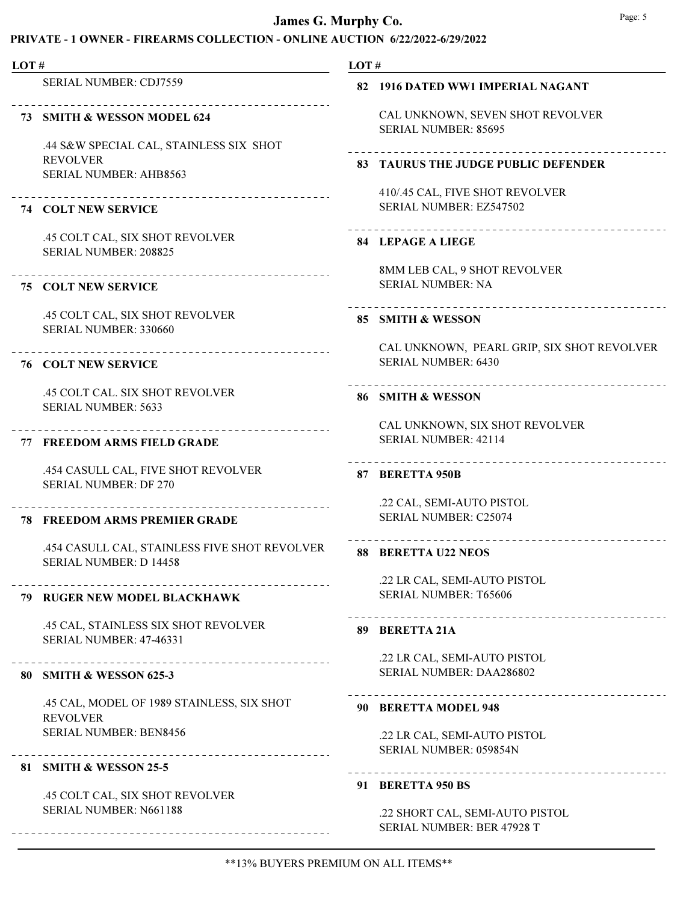| LOT# |                                                                                | LOT# |                                                                          |
|------|--------------------------------------------------------------------------------|------|--------------------------------------------------------------------------|
|      | <b>SERIAL NUMBER: CDJ7559</b>                                                  |      | 82 1916 DATED WW1 IMPERIAL NAGANT                                        |
|      | 73 SMITH & WESSON MODEL 624<br>.44 S&W SPECIAL CAL, STAINLESS SIX SHOT         |      | CAL UNKNOWN, SEVEN SHOT REVOLVER<br><b>SERIAL NUMBER: 85695</b>          |
|      | <b>REVOLVER</b><br>SERIAL NUMBER: AHB8563                                      |      | 83 TAURUS THE JUDGE PUBLIC DEFENDER                                      |
|      | <b>74 COLT NEW SERVICE</b>                                                     |      | 410/.45 CAL, FIVE SHOT REVOLVER<br>SERIAL NUMBER: EZ547502               |
|      | .45 COLT CAL, SIX SHOT REVOLVER<br>SERIAL NUMBER: 208825                       |      | <b>84 LEPAGE A LIEGE</b>                                                 |
|      | ____________________________<br><b>75 COLT NEW SERVICE</b>                     |      | 8MM LEB CAL, 9 SHOT REVOLVER<br><b>SERIAL NUMBER: NA</b>                 |
|      | .45 COLT CAL, SIX SHOT REVOLVER                                                |      | -------------------------<br>85 SMITH & WESSON                           |
|      | SERIAL NUMBER: 330660<br><b>76 COLT NEW SERVICE</b>                            |      | CAL UNKNOWN, PEARL GRIP, SIX SHOT REVOLVER<br><b>SERIAL NUMBER: 6430</b> |
|      | .45 COLT CAL. SIX SHOT REVOLVER<br><b>SERIAL NUMBER: 5633</b>                  |      | 86 SMITH & WESSON                                                        |
| 77   | <b>FREEDOM ARMS FIELD GRADE</b>                                                |      | CAL UNKNOWN, SIX SHOT REVOLVER<br>SERIAL NUMBER: 42114                   |
|      | .454 CASULL CAL, FIVE SHOT REVOLVER<br><b>SERIAL NUMBER: DF 270</b>            |      | _______________________________<br>87 BERETTA 950B                       |
|      | <b>78 FREEDOM ARMS PREMIER GRADE</b>                                           |      | .22 CAL, SEMI-AUTO PISTOL<br>SERIAL NUMBER: C25074                       |
|      | .454 CASULL CAL, STAINLESS FIVE SHOT REVOLVER<br><b>SERIAL NUMBER: D 14458</b> | 88   | . 2 2 2 2 2 2 2 2 2 2 2 2 2 2 2 2 2<br><b>BERETTA U22 NEOS</b>           |
|      | 79 RUGER NEW MODEL BLACKHAWK                                                   |      | .22 LR CAL, SEMI-AUTO PISTOL<br>SERIAL NUMBER: T65606                    |
|      | .45 CAL, STAINLESS SIX SHOT REVOLVER<br><b>SERIAL NUMBER: 47-46331</b>         |      | 89 BERETTA 21A                                                           |
|      | -------------------------<br>80 SMITH & WESSON 625-3                           |      | .22 LR CAL, SEMI-AUTO PISTOL<br>SERIAL NUMBER: DAA286802                 |
|      | .45 CAL, MODEL OF 1989 STAINLESS, SIX SHOT<br><b>REVOLVER</b>                  |      | 90 BERETTA MODEL 948                                                     |
|      | <b>SERIAL NUMBER: BEN8456</b>                                                  |      | .22 LR CAL, SEMI-AUTO PISTOL<br>SERIAL NUMBER: 059854N                   |
|      | 81 SMITH & WESSON 25-5                                                         |      | 91 BERETTA 950 BS                                                        |
|      | .45 COLT CAL, SIX SHOT REVOLVER<br>SERIAL NUMBER: N661188                      |      | .22 SHORT CAL, SEMI-AUTO PISTOL<br>SERIAL NUMBER: BER 47928 T            |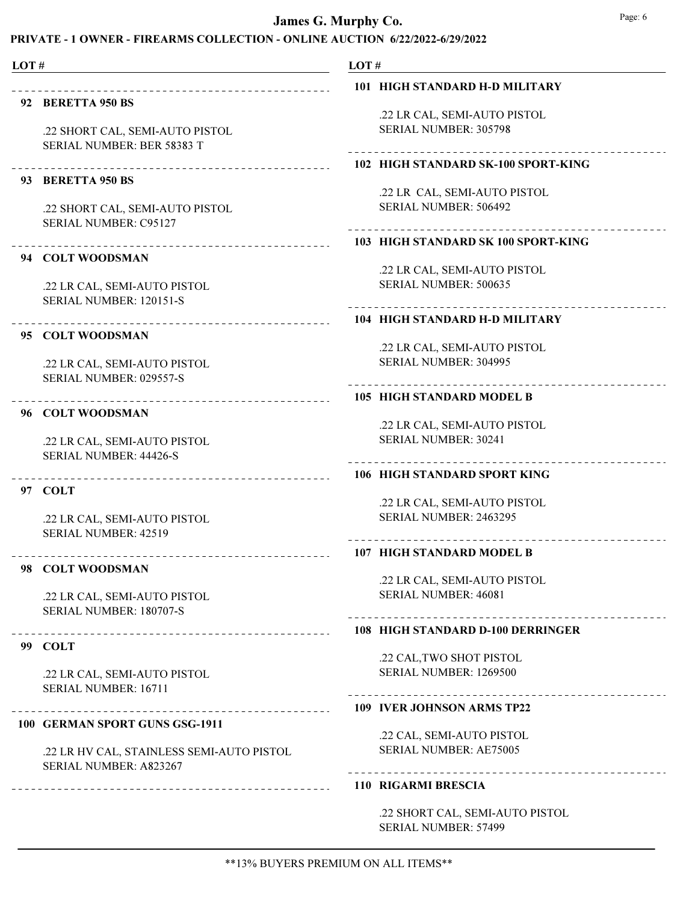# PRIVATE - 1 OWNER - FIREARMS COLLECTION - ONLINE AUCTION 6/22/2022-6/29/2022

LOT # LOT # 101 HIGH STANDARD H-D MILITARY 92 BERETTA 950 BS .22 LR CAL, SEMI-AUTO PISTOL SERIAL NUMBER: 305798 .22 SHORT CAL, SEMI-AUTO PISTOL SERIAL NUMBER: BER 58383 T 102 HIGH STANDARD SK-100 SPORT-KING 93 BERETTA 950 BS .22 LR CAL, SEMI-AUTO PISTOL .22 SHORT CAL, SEMI-AUTO PISTOL SERIAL NUMBER: 506492 SERIAL NUMBER: C95127 103 HIGH STANDARD SK 100 SPORT-KING 94 COLT WOODSMAN .22 LR CAL, SEMI-AUTO PISTOL SERIAL NUMBER: 500635 .22 LR CAL, SEMI-AUTO PISTOL SERIAL NUMBER: 120151-S 104 HIGH STANDARD H-D MILITARY 95 COLT WOODSMAN .22 LR CAL, SEMI-AUTO PISTOL SERIAL NUMBER: 304995 .22 LR CAL, SEMI-AUTO PISTOL SERIAL NUMBER: 029557-S 105 HIGH STANDARD MODEL B 96 COLT WOODSMAN .22 LR CAL, SEMI-AUTO PISTOL SERIAL NUMBER: 30241 .22 LR CAL, SEMI-AUTO PISTOL SERIAL NUMBER: 44426-S 106 HIGH STANDARD SPORT KING 97 COLT .22 LR CAL, SEMI-AUTO PISTOL SERIAL NUMBER: 2463295 .22 LR CAL, SEMI-AUTO PISTOL SERIAL NUMBER: 42519 107 HIGH STANDARD MODEL B 98 COLT WOODSMAN .22 LR CAL, SEMI-AUTO PISTOL SERIAL NUMBER: 46081 .22 LR CAL, SEMI-AUTO PISTOL SERIAL NUMBER: 180707-S 108 HIGH STANDARD D-100 DERRINGER 99 COLT .22 CAL,TWO SHOT PISTOL SERIAL NUMBER: 1269500 .22 LR CAL, SEMI-AUTO PISTOL SERIAL NUMBER: 16711 109 IVER JOHNSON ARMS TP22 100 GERMAN SPORT GUNS GSG-1911 .22 CAL, SEMI-AUTO PISTOL SERIAL NUMBER: AE75005 .22 LR HV CAL, STAINLESS SEMI-AUTO PISTOL

SERIAL NUMBER: A823267

#### 110 RIGARMI BRESCIA

.22 SHORT CAL, SEMI-AUTO PISTOL SERIAL NUMBER: 57499

\*\*13% BUYERS PREMIUM ON ALL ITEMS\*\*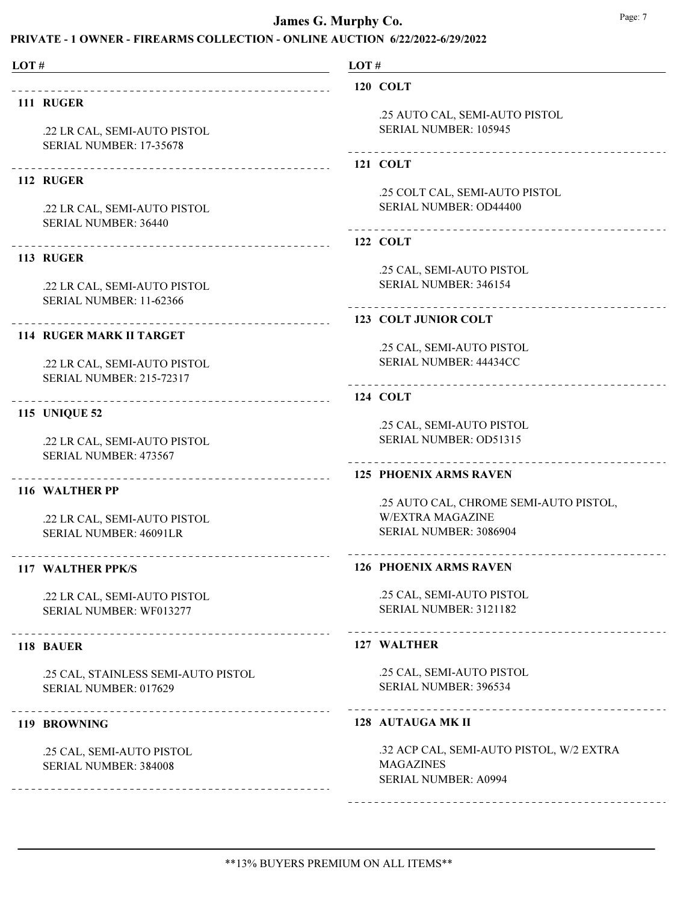# PRIVATE - 1 OWNER - FIREARMS COLLECTION - ONLINE AUCTION 6/22/2022-6/29/2022

| LOT# |                                                               | LOT# |                                                         |
|------|---------------------------------------------------------------|------|---------------------------------------------------------|
|      |                                                               |      | 120 COLT                                                |
|      | 111 RUGER                                                     |      |                                                         |
|      | .22 LR CAL, SEMI-AUTO PISTOL                                  |      | .25 AUTO CAL, SEMI-AUTO PISTOL<br>SERIAL NUMBER: 105945 |
|      | SERIAL NUMBER: 17-35678                                       |      | _________________________                               |
|      |                                                               |      | <b>121 COLT</b>                                         |
|      | 112 RUGER                                                     |      | .25 COLT CAL, SEMI-AUTO PISTOL                          |
|      | .22 LR CAL, SEMI-AUTO PISTOL                                  |      | SERIAL NUMBER: OD44400                                  |
|      | SERIAL NUMBER: 36440                                          |      |                                                         |
|      |                                                               |      | <b>122 COLT</b>                                         |
|      | 113 RUGER                                                     |      | .25 CAL, SEMI-AUTO PISTOL                               |
|      | .22 LR CAL, SEMI-AUTO PISTOL                                  |      | SERIAL NUMBER: 346154                                   |
|      | <b>SERIAL NUMBER: 11-62366</b>                                |      |                                                         |
|      | _________________________________                             |      | 123 COLT JUNIOR COLT                                    |
|      | <b>114 RUGER MARK II TARGET</b>                               |      | .25 CAL, SEMI-AUTO PISTOL                               |
|      | .22 LR CAL, SEMI-AUTO PISTOL                                  |      | SERIAL NUMBER: 44434CC                                  |
|      | <b>SERIAL NUMBER: 215-72317</b>                               |      |                                                         |
|      | <b>115 UNIQUE 52</b>                                          |      | <b>124 COLT</b>                                         |
|      |                                                               |      | .25 CAL, SEMI-AUTO PISTOL                               |
|      | .22 LR CAL, SEMI-AUTO PISTOL                                  |      | SERIAL NUMBER: OD51315                                  |
|      | <b>SERIAL NUMBER: 473567</b>                                  |      | <b>125 PHOENIX ARMS RAVEN</b>                           |
|      | _______________________________<br>116 WALTHER PP             |      |                                                         |
|      |                                                               |      | .25 AUTO CAL, CHROME SEMI-AUTO PISTOL,                  |
|      | .22 LR CAL, SEMI-AUTO PISTOL<br><b>SERIAL NUMBER: 46091LR</b> |      | <b>W/EXTRA MAGAZINE</b><br>SERIAL NUMBER: 3086904       |
|      |                                                               |      |                                                         |
|      | 117 WALTHER PPK/S                                             |      | <b>126 PHOENIX ARMS RAVEN</b>                           |
|      | .22 LR CAL, SEMI-AUTO PISTOL                                  |      | .25 CAL, SEMI-AUTO PISTOL                               |
|      | SERIAL NUMBER: WF013277                                       |      | SERIAL NUMBER: 3121182                                  |
|      | 118 BAUER                                                     |      | 127 WALTHER                                             |
|      | .25 CAL, STAINLESS SEMI-AUTO PISTOL                           |      | .25 CAL, SEMI-AUTO PISTOL                               |
|      | SERIAL NUMBER: 017629                                         |      | SERIAL NUMBER: 396534                                   |
|      | ----------------------------------<br>119 BROWNING            |      | 128 AUTAUGA MK II                                       |
|      | .25 CAL, SEMI-AUTO PISTOL                                     |      | .32 ACP CAL, SEMI-AUTO PISTOL, W/2 EXTRA                |
|      | SERIAL NUMBER: 384008                                         |      | <b>MAGAZINES</b><br><b>SERIAL NUMBER: A0994</b>         |
|      |                                                               |      |                                                         |

-------------------------------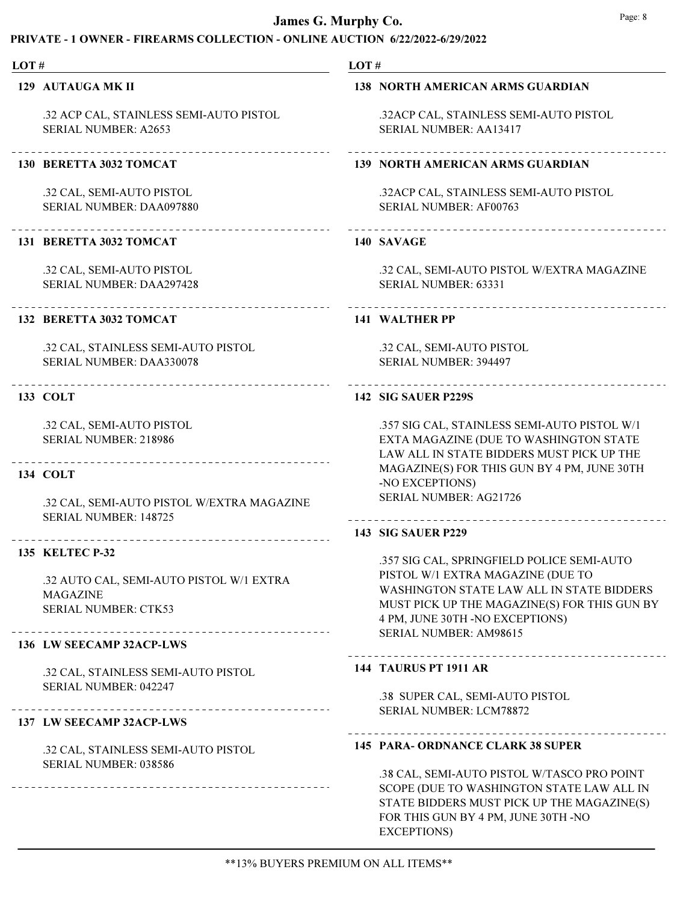# PRIVATE - 1 OWNER - FIREARMS COLLECTION - ONLINE AUCTION 6/22/2022-6/29/2022

| LOT# |                                                                                            | LOT#                                                                                                                                                                                                                                      |  |  |
|------|--------------------------------------------------------------------------------------------|-------------------------------------------------------------------------------------------------------------------------------------------------------------------------------------------------------------------------------------------|--|--|
|      | 129 AUTAUGA MK II                                                                          | <b>138 NORTH AMERICAN ARMS GUARDIAN</b>                                                                                                                                                                                                   |  |  |
|      | .32 ACP CAL, STAINLESS SEMI-AUTO PISTOL<br><b>SERIAL NUMBER: A2653</b>                     | .32ACP CAL, STAINLESS SEMI-AUTO PISTOL<br><b>SERIAL NUMBER: AA13417</b>                                                                                                                                                                   |  |  |
|      | 130 BERETTA 3032 TOMCAT                                                                    | <b>139 NORTH AMERICAN ARMS GUARDIAN</b>                                                                                                                                                                                                   |  |  |
|      | .32 CAL, SEMI-AUTO PISTOL<br>SERIAL NUMBER: DAA097880                                      | .32ACP CAL, STAINLESS SEMI-AUTO PISTOL<br>SERIAL NUMBER: AF00763                                                                                                                                                                          |  |  |
|      | 131 BERETTA 3032 TOMCAT                                                                    | 140 SAVAGE                                                                                                                                                                                                                                |  |  |
|      | .32 CAL, SEMI-AUTO PISTOL<br>SERIAL NUMBER: DAA297428                                      | .32 CAL, SEMI-AUTO PISTOL W/EXTRA MAGAZINE<br><b>SERIAL NUMBER: 63331</b>                                                                                                                                                                 |  |  |
|      | 132 BERETTA 3032 TOMCAT                                                                    | <b>141 WALTHER PP</b>                                                                                                                                                                                                                     |  |  |
|      | .32 CAL, STAINLESS SEMI-AUTO PISTOL<br>SERIAL NUMBER: DAA330078                            | .32 CAL, SEMI-AUTO PISTOL<br>SERIAL NUMBER: 394497                                                                                                                                                                                        |  |  |
|      | ------------------------------<br>133 COLT                                                 | 142 SIG SAUER P229S                                                                                                                                                                                                                       |  |  |
|      | .32 CAL, SEMI-AUTO PISTOL<br>SERIAL NUMBER: 218986                                         | .357 SIG CAL, STAINLESS SEMI-AUTO PISTOL W/1<br>EXTA MAGAZINE (DUE TO WASHINGTON STATE<br>LAW ALL IN STATE BIDDERS MUST PICK UP THE                                                                                                       |  |  |
|      | 134 COLT                                                                                   | MAGAZINE(S) FOR THIS GUN BY 4 PM, JUNE 30TH<br>-NO EXCEPTIONS)                                                                                                                                                                            |  |  |
|      | .32 CAL, SEMI-AUTO PISTOL W/EXTRA MAGAZINE<br>SERIAL NUMBER: 148725                        | <b>SERIAL NUMBER: AG21726</b>                                                                                                                                                                                                             |  |  |
|      | <b>135 KELTEC P-32</b>                                                                     | <b>143 SIG SAUER P229</b>                                                                                                                                                                                                                 |  |  |
|      | .32 AUTO CAL, SEMI-AUTO PISTOL W/1 EXTRA<br><b>MAGAZINE</b><br><b>SERIAL NUMBER: CTK53</b> | .357 SIG CAL, SPRINGFIELD POLICE SEMI-AUTO<br>PISTOL W/1 EXTRA MAGAZINE (DUE TO<br>WASHINGTON STATE LAW ALL IN STATE BIDDERS<br>MUST PICK UP THE MAGAZINE(S) FOR THIS GUN BY<br>4 PM, JUNE 30TH -NO EXCEPTIONS)<br>SERIAL NUMBER: AM98615 |  |  |
|      | 136 LW SEECAMP 32ACP-LWS                                                                   | <b>144 TAURUS PT 1911 AR</b>                                                                                                                                                                                                              |  |  |
|      | .32 CAL, STAINLESS SEMI-AUTO PISTOL<br>SERIAL NUMBER: 042247                               | .38 SUPER CAL, SEMI-AUTO PISTOL                                                                                                                                                                                                           |  |  |
|      | 137 LW SEECAMP 32ACP-LWS                                                                   | SERIAL NUMBER: LCM78872                                                                                                                                                                                                                   |  |  |
|      | .32 CAL, STAINLESS SEMI-AUTO PISTOL<br>SERIAL NUMBER: 038586                               | <b>145 PARA- ORDNANCE CLARK 38 SUPER</b>                                                                                                                                                                                                  |  |  |
|      |                                                                                            | .38 CAL, SEMI-AUTO PISTOL W/TASCO PRO POINT<br>SCOPE (DUE TO WASHINGTON STATE LAW ALL IN<br>STATE BIDDERS MUST PICK UP THE MAGAZINE(S)<br>FOR THIS GUN BY 4 PM, JUNE 30TH -NO                                                             |  |  |

EXCEPTIONS)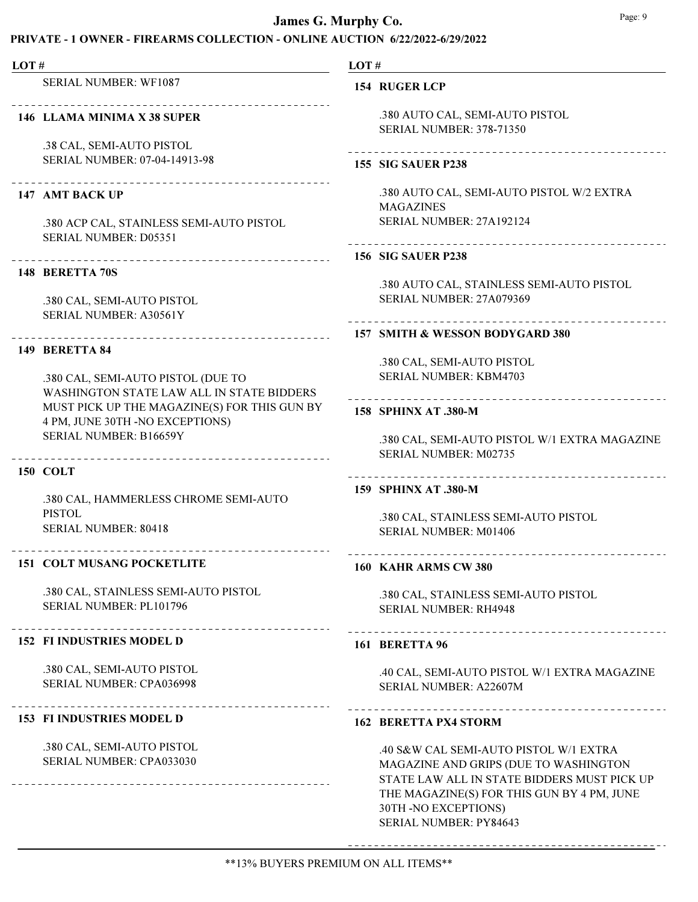### PRIVATE - 1 OWNER - FIREARMS COLLECTION - ONLINE AUCTION 6/22/2022-6/29/2022

#### LOT #

SERIAL NUMBER: WF1087

#### 146 LLAMA MINIMA X 38 SUPER

.38 CAL, SEMI-AUTO PISTOL SERIAL NUMBER: 07-04-14913-98

#### 147 AMT BACK UP

.380 ACP CAL, STAINLESS SEMI-AUTO PISTOL SERIAL NUMBER: D05351

#### 148 BERETTA 70S

.380 CAL, SEMI-AUTO PISTOL SERIAL NUMBER: A30561Y

### 149 BERETTA 84

.380 CAL, SEMI-AUTO PISTOL (DUE TO WASHINGTON STATE LAW ALL IN STATE BIDDERS MUST PICK UP THE MAGAZINE(S) FOR THIS GUN BY 4 PM, JUNE 30TH -NO EXCEPTIONS) SERIAL NUMBER: B16659Y

#### 150 COLT

.380 CAL, HAMMERLESS CHROME SEMI-AUTO PISTOL SERIAL NUMBER: 80418

#### 151 COLT MUSANG POCKETLITE

.380 CAL, STAINLESS SEMI-AUTO PISTOL SERIAL NUMBER: PL101796

#### 152 FI INDUSTRIES MODEL D

.380 CAL, SEMI-AUTO PISTOL SERIAL NUMBER: CPA036998

#### 153 FI INDUSTRIES MODEL D

.380 CAL, SEMI-AUTO PISTOL SERIAL NUMBER: CPA033030

LOT #

### 154 RUGER LCP

.380 AUTO CAL, SEMI-AUTO PISTOL SERIAL NUMBER: 378-71350

### 155 SIG SAUER P238

.380 AUTO CAL, SEMI-AUTO PISTOL W/2 EXTRA MAGAZINES SERIAL NUMBER: 27A192124

# 

### 156 SIG SAUER P238

.380 AUTO CAL, STAINLESS SEMI-AUTO PISTOL SERIAL NUMBER: 27A079369

#### 157 SMITH & WESSON BODYGARD 380

.380 CAL, SEMI-AUTO PISTOL SERIAL NUMBER: KBM4703

### 158 SPHINX AT .380-M

.380 CAL, SEMI-AUTO PISTOL W/1 EXTRA MAGAZINE SERIAL NUMBER: M02735

### 159 SPHINX AT .380-M

.380 CAL, STAINLESS SEMI-AUTO PISTOL SERIAL NUMBER: M01406

#### 160 KAHR ARMS CW 380

.380 CAL, STAINLESS SEMI-AUTO PISTOL

# SERIAL NUMBER: RH4948

#### 161 BERETTA 96

.40 CAL, SEMI-AUTO PISTOL W/1 EXTRA MAGAZINE SERIAL NUMBER: A22607M

#### 162 BERETTA PX4 STORM

.40 S&W CAL SEMI-AUTO PISTOL W/1 EXTRA MAGAZINE AND GRIPS (DUE TO WASHINGTON STATE LAW ALL IN STATE BIDDERS MUST PICK UP THE MAGAZINE(S) FOR THIS GUN BY 4 PM, JUNE 30TH -NO EXCEPTIONS) SERIAL NUMBER: PY84643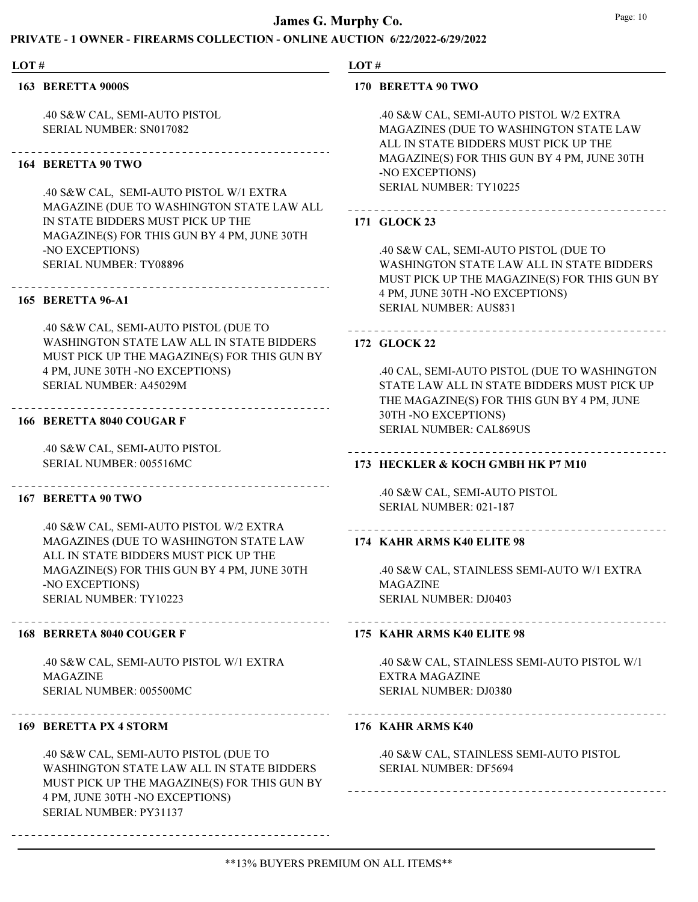### PRIVATE - 1 OWNER - FIREARMS COLLECTION - ONLINE AUCTION 6/22/2022-6/29/2022

#### LOT #

163 BERETTA 9000S

.40 S&W CAL, SEMI-AUTO PISTOL SERIAL NUMBER: SN017082

# 164 BERETTA 90 TWO

.40 S&W CAL, SEMI-AUTO PISTOL W/1 EXTRA MAGAZINE (DUE TO WASHINGTON STATE LAW ALL IN STATE BIDDERS MUST PICK UP THE MAGAZINE(S) FOR THIS GUN BY 4 PM, JUNE 30TH -NO EXCEPTIONS) SERIAL NUMBER: TY08896

#### 165 BERETTA 96-A1

.40 S&W CAL, SEMI-AUTO PISTOL (DUE TO WASHINGTON STATE LAW ALL IN STATE BIDDERS MUST PICK UP THE MAGAZINE(S) FOR THIS GUN BY 4 PM, JUNE 30TH -NO EXCEPTIONS) SERIAL NUMBER: A45029M

# 166 BERETTA 8040 COUGAR F

.40 S&W CAL, SEMI-AUTO PISTOL SERIAL NUMBER: 005516MC

#### 167 BERETTA 90 TWO

.40 S&W CAL, SEMI-AUTO PISTOL W/2 EXTRA MAGAZINES (DUE TO WASHINGTON STATE LAW ALL IN STATE BIDDERS MUST PICK UP THE MAGAZINE(S) FOR THIS GUN BY 4 PM, JUNE 30TH -NO EXCEPTIONS) SERIAL NUMBER: TY10223

### 168 BERRETA 8040 COUGER F

.40 S&W CAL, SEMI-AUTO PISTOL W/1 EXTRA MAGAZINE SERIAL NUMBER: 005500MC

#### 169 BERETTA PX 4 STORM

.40 S&W CAL, SEMI-AUTO PISTOL (DUE TO WASHINGTON STATE LAW ALL IN STATE BIDDERS MUST PICK UP THE MAGAZINE(S) FOR THIS GUN BY 4 PM, JUNE 30TH -NO EXCEPTIONS) SERIAL NUMBER: PY31137

### LOT #

#### 170 BERETTA 90 TWO

.40 S&W CAL, SEMI-AUTO PISTOL W/2 EXTRA MAGAZINES (DUE TO WASHINGTON STATE LAW ALL IN STATE BIDDERS MUST PICK UP THE MAGAZINE(S) FOR THIS GUN BY 4 PM, JUNE 30TH -NO EXCEPTIONS) SERIAL NUMBER: TY10225

### 171 GLOCK 23

.40 S&W CAL, SEMI-AUTO PISTOL (DUE TO WASHINGTON STATE LAW ALL IN STATE BIDDERS MUST PICK UP THE MAGAZINE(S) FOR THIS GUN BY 4 PM, JUNE 30TH -NO EXCEPTIONS) SERIAL NUMBER: AUS831

#### 172 GLOCK 22

.40 CAL, SEMI-AUTO PISTOL (DUE TO WASHINGTON STATE LAW ALL IN STATE BIDDERS MUST PICK UP THE MAGAZINE(S) FOR THIS GUN BY 4 PM, JUNE 30TH -NO EXCEPTIONS) SERIAL NUMBER: CAL869US

### 173 HECKLER & KOCH GMBH HK P7 M10

.40 S&W CAL, SEMI-AUTO PISTOL SERIAL NUMBER: 021-187

#### 174 KAHR ARMS K40 ELITE 98

.40 S&W CAL, STAINLESS SEMI-AUTO W/1 EXTRA MAGAZINE SERIAL NUMBER: DJ0403

# 175 KAHR ARMS K40 ELITE 98

.40 S&W CAL, STAINLESS SEMI-AUTO PISTOL W/1 EXTRA MAGAZINE SERIAL NUMBER: DJ0380

### 176 KAHR ARMS K40

.40 S&W CAL, STAINLESS SEMI-AUTO PISTOL SERIAL NUMBER: DF5694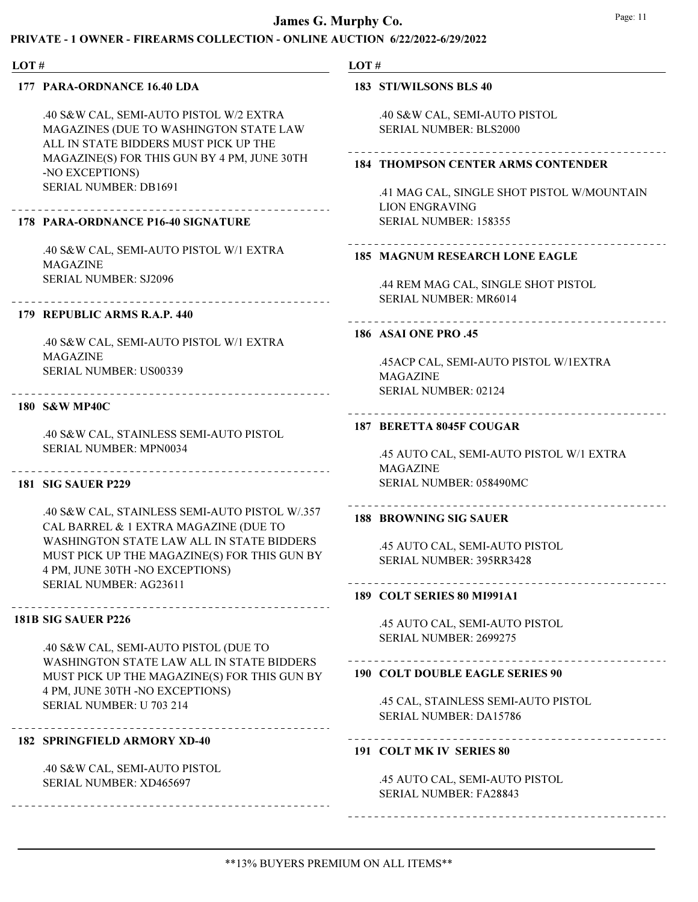# PRIVATE - 1 OWNER - FIREARMS COLLECTION - ONLINE AUCTION 6/22/2022-6/29/2022

### LOT #

# 177 PARA-ORDNANCE 16.40 LDA

.40 S&W CAL, SEMI-AUTO PISTOL W/2 EXTRA MAGAZINES (DUE TO WASHINGTON STATE LAW ALL IN STATE BIDDERS MUST PICK UP THE MAGAZINE(S) FOR THIS GUN BY 4 PM, JUNE 30TH -NO EXCEPTIONS) SERIAL NUMBER: DB1691

# 178 PARA-ORDNANCE P16-40 SIGNATURE

.40 S&W CAL, SEMI-AUTO PISTOL W/1 EXTRA MAGAZINE SERIAL NUMBER: SJ2096

# 179 REPUBLIC ARMS R.A.P. 440

.40 S&W CAL, SEMI-AUTO PISTOL W/1 EXTRA MAGAZINE SERIAL NUMBER: US00339

### 180 S&W MP40C

.40 S&W CAL, STAINLESS SEMI-AUTO PISTOL SERIAL NUMBER: MPN0034

# 181 SIG SAUER P229

.40 S&W CAL, STAINLESS SEMI-AUTO PISTOL W/.357 CAL BARREL & 1 EXTRA MAGAZINE (DUE TO WASHINGTON STATE LAW ALL IN STATE BIDDERS MUST PICK UP THE MAGAZINE(S) FOR THIS GUN BY 4 PM, JUNE 30TH -NO EXCEPTIONS) SERIAL NUMBER: AG23611

### 181B SIG SAUER P226

.40 S&W CAL, SEMI-AUTO PISTOL (DUE TO WASHINGTON STATE LAW ALL IN STATE BIDDERS MUST PICK UP THE MAGAZINE(S) FOR THIS GUN BY 4 PM, JUNE 30TH -NO EXCEPTIONS) SERIAL NUMBER: U 703 214

# 182 SPRINGFIELD ARMORY XD-40

.40 S&W CAL, SEMI-AUTO PISTOL SERIAL NUMBER: XD465697

# LOT #

# 183 STI/WILSONS BLS 40

.40 S&W CAL, SEMI-AUTO PISTOL SERIAL NUMBER: BLS2000

#### 184 THOMPSON CENTER ARMS CONTENDER

.41 MAG CAL, SINGLE SHOT PISTOL W/MOUNTAIN LION ENGRAVING SERIAL NUMBER: 158355

### 185 MAGNUM RESEARCH LONE EAGLE

.44 REM MAG CAL, SINGLE SHOT PISTOL SERIAL NUMBER: MR6014

# 

# 186 ASAI ONE PRO .45

.45ACP CAL, SEMI-AUTO PISTOL W/1EXTRA MAGAZINE SERIAL NUMBER: 02124

### 187 BERETTA 8045F COUGAR

.45 AUTO CAL, SEMI-AUTO PISTOL W/1 EXTRA MAGAZINE SERIAL NUMBER: 058490MC

# 188 BROWNING SIG SAUER

.45 AUTO CAL, SEMI-AUTO PISTOL SERIAL NUMBER: 395RR3428

# 189 COLT SERIES 80 MI991A1

.45 AUTO CAL, SEMI-AUTO PISTOL SERIAL NUMBER: 2699275

# 190 COLT DOUBLE EAGLE SERIES 90

.45 CAL, STAINLESS SEMI-AUTO PISTOL SERIAL NUMBER: DA15786

# 191 COLT MK IV SERIES 80

.45 AUTO CAL, SEMI-AUTO PISTOL SERIAL NUMBER: FA28843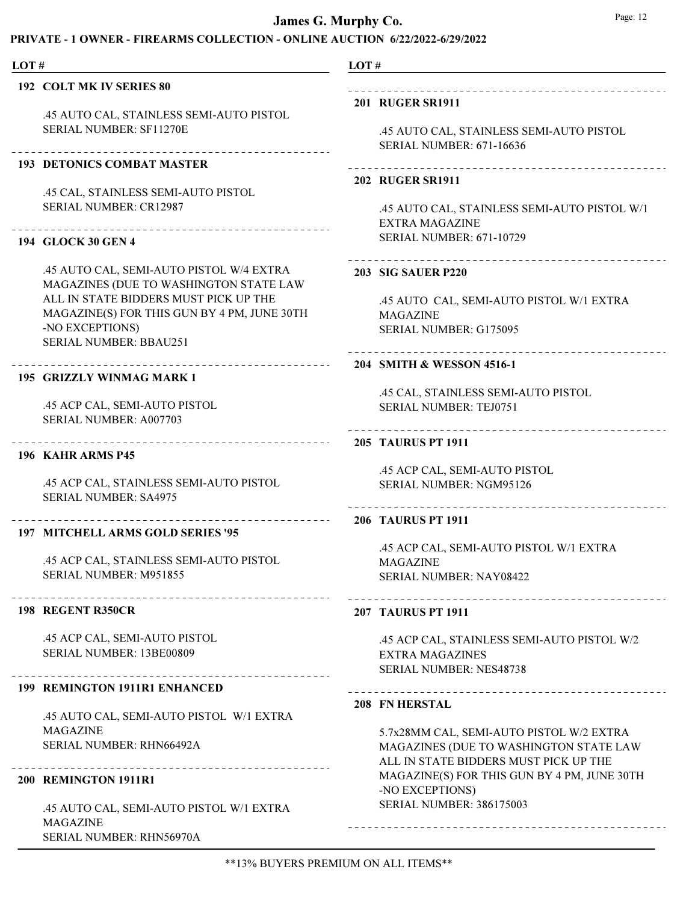### PRIVATE - 1 OWNER - FIREARMS COLLECTION - ONLINE AUCTION 6/22/2022-6/29/2022

# 192 COLT MK IV SERIES 80

LOT #

.45 AUTO CAL, STAINLESS SEMI-AUTO PISTOL SERIAL NUMBER: SF11270E

#### 193 DETONICS COMBAT MASTER

.45 CAL, STAINLESS SEMI-AUTO PISTOL SERIAL NUMBER: CR12987

#### 194 GLOCK 30 GEN 4

.45 AUTO CAL, SEMI-AUTO PISTOL W/4 EXTRA MAGAZINES (DUE TO WASHINGTON STATE LAW ALL IN STATE BIDDERS MUST PICK UP THE MAGAZINE(S) FOR THIS GUN BY 4 PM, JUNE 30TH -NO EXCEPTIONS) SERIAL NUMBER: BBAU251

### 195 GRIZZLY WINMAG MARK 1

.45 ACP CAL, SEMI-AUTO PISTOL SERIAL NUMBER: A007703

#### 196 KAHR ARMS P45

.45 ACP CAL, STAINLESS SEMI-AUTO PISTOL SERIAL NUMBER: SA4975

#### 197 MITCHELL ARMS GOLD SERIES '95

.45 ACP CAL, STAINLESS SEMI-AUTO PISTOL SERIAL NUMBER: M951855

#### 198 REGENT R350CR

.45 ACP CAL, SEMI-AUTO PISTOL SERIAL NUMBER: 13BE00809

#### 199 REMINGTON 1911R1 ENHANCED

.45 AUTO CAL, SEMI-AUTO PISTOL W/1 EXTRA MAGAZINE SERIAL NUMBER: RHN66492A

#### 200 REMINGTON 1911R1

.45 AUTO CAL, SEMI-AUTO PISTOL W/1 EXTRA MAGAZINE SERIAL NUMBER: RHN56970A

# LOT #

### 201 RUGER SR1911

.45 AUTO CAL, STAINLESS SEMI-AUTO PISTOL SERIAL NUMBER: 671-16636

#### 202 RUGER SR1911

.45 AUTO CAL, STAINLESS SEMI-AUTO PISTOL W/1 EXTRA MAGAZINE SERIAL NUMBER: 671-10729

### 

#### 203 SIG SAUER P220

.45 AUTO CAL, SEMI-AUTO PISTOL W/1 EXTRA MAGAZINE SERIAL NUMBER: G175095

# 

# 204 SMITH & WESSON 4516-1

.45 CAL, STAINLESS SEMI-AUTO PISTOL SERIAL NUMBER: TEJ0751

#### 205 TAURUS PT 1911

.45 ACP CAL, SEMI-AUTO PISTOL SERIAL NUMBER: NGM95126

# 206 TAURUS PT 1911

.45 ACP CAL, SEMI-AUTO PISTOL W/1 EXTRA MAGAZINE SERIAL NUMBER: NAY08422

#### 207 TAURUS PT 1911

.45 ACP CAL, STAINLESS SEMI-AUTO PISTOL W/2 EXTRA MAGAZINES SERIAL NUMBER: NES48738

#### 208 FN HERSTAL

5.7x28MM CAL, SEMI-AUTO PISTOL W/2 EXTRA MAGAZINES (DUE TO WASHINGTON STATE LAW ALL IN STATE BIDDERS MUST PICK UP THE MAGAZINE(S) FOR THIS GUN BY 4 PM, JUNE 30TH -NO EXCEPTIONS) SERIAL NUMBER: 386175003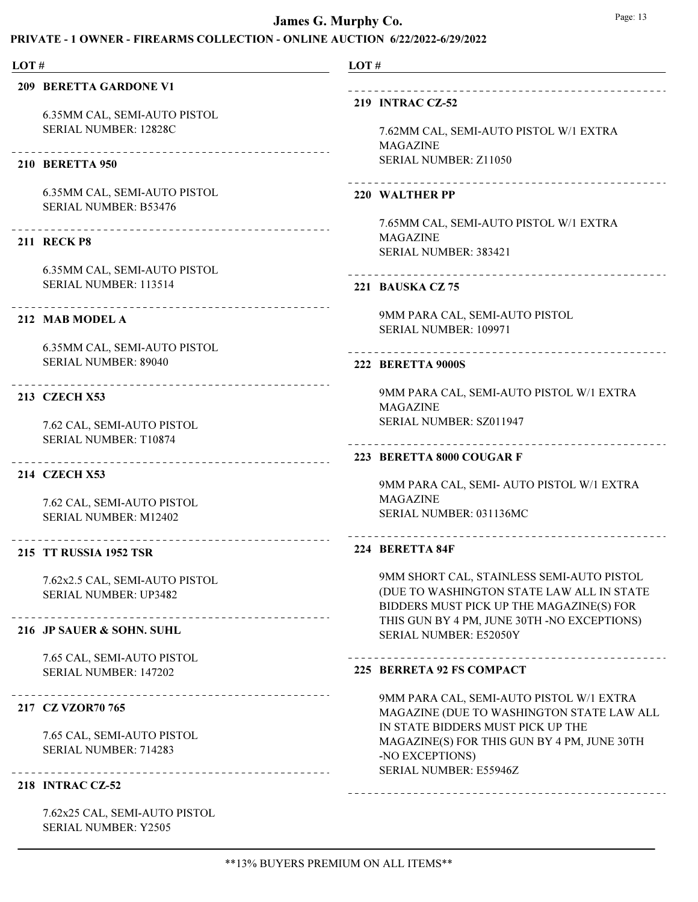# PRIVATE - 1 OWNER - FIREARMS COLLECTION - ONLINE AUCTION 6/22/2022-6/29/2022

| LOT# |                                                     | LOT# |                                                                |
|------|-----------------------------------------------------|------|----------------------------------------------------------------|
|      | <b>209 BERETTA GARDONE V1</b>                       |      |                                                                |
|      |                                                     |      | <b>219 INTRAC CZ-52</b>                                        |
|      | 6.35MM CAL, SEMI-AUTO PISTOL                        |      |                                                                |
|      | SERIAL NUMBER: 12828C                               |      | 7.62MM CAL, SEMI-AUTO PISTOL W/1 EXTRA                         |
|      |                                                     |      | <b>MAGAZINE</b><br>SERIAL NUMBER: Z11050                       |
|      | <b>210 BERETTA 950</b>                              |      |                                                                |
|      | 6.35MM CAL, SEMI-AUTO PISTOL                        |      | 220 WALTHER PP                                                 |
|      | <b>SERIAL NUMBER: B53476</b>                        |      |                                                                |
|      |                                                     |      | 7.65MM CAL, SEMI-AUTO PISTOL W/1 EXTRA                         |
|      | <b>211 RECK P8</b>                                  |      | <b>MAGAZINE</b>                                                |
|      |                                                     |      | SERIAL NUMBER: 383421                                          |
|      | 6.35MM CAL, SEMI-AUTO PISTOL                        |      |                                                                |
|      | SERIAL NUMBER: 113514                               |      | 221 BAUSKA CZ 75                                               |
|      |                                                     |      | 9MM PARA CAL, SEMI-AUTO PISTOL                                 |
|      | 212 MAB MODEL A                                     |      | SERIAL NUMBER: 109971                                          |
|      | 6.35MM CAL, SEMI-AUTO PISTOL                        |      | ------------------                                             |
|      | <b>SERIAL NUMBER: 89040</b>                         |      | <b>222 BERETTA 9000S</b>                                       |
|      | _____________________________________               |      |                                                                |
|      | <b>213 CZECH X53</b>                                |      | 9MM PARA CAL, SEMI-AUTO PISTOL W/1 EXTRA                       |
|      |                                                     |      | <b>MAGAZINE</b><br>SERIAL NUMBER: SZ011947                     |
|      | 7.62 CAL, SEMI-AUTO PISTOL<br>SERIAL NUMBER: T10874 |      |                                                                |
|      |                                                     |      | 223 BERETTA 8000 COUGAR F                                      |
|      | 214 CZECH X53                                       |      |                                                                |
|      |                                                     |      | 9MM PARA CAL, SEMI- AUTO PISTOL W/1 EXTRA                      |
|      | 7.62 CAL, SEMI-AUTO PISTOL                          |      | <b>MAGAZINE</b>                                                |
|      | <b>SERIAL NUMBER: M12402</b>                        |      | SERIAL NUMBER: 031136MC                                        |
|      | _______________________<br>215 TT RUSSIA 1952 TSR   |      | 224 BERETTA 84F                                                |
|      | 7.62x2.5 CAL, SEMI-AUTO PISTOL                      |      | 9MM SHORT CAL, STAINLESS SEMI-AUTO PISTOL                      |
|      | <b>SERIAL NUMBER: UP3482</b>                        |      | (DUE TO WASHINGTON STATE LAW ALL IN STATE                      |
|      |                                                     |      | BIDDERS MUST PICK UP THE MAGAZINE(S) FOR                       |
|      | 216 JP SAUER & SOHN. SUHL                           |      | THIS GUN BY 4 PM, JUNE 30TH -NO EXCEPTIONS)                    |
|      |                                                     |      | SERIAL NUMBER: E52050Y                                         |
|      | 7.65 CAL, SEMI-AUTO PISTOL                          |      |                                                                |
|      | SERIAL NUMBER: 147202                               |      | 225 BERRETA 92 FS COMPACT                                      |
|      | ------------------------------                      |      | 9MM PARA CAL, SEMI-AUTO PISTOL W/1 EXTRA                       |
|      | 217 CZ VZOR70 765                                   |      | MAGAZINE (DUE TO WASHINGTON STATE LAW ALL                      |
|      | 7.65 CAL, SEMI-AUTO PISTOL                          |      | IN STATE BIDDERS MUST PICK UP THE                              |
|      | SERIAL NUMBER: 714283                               |      | MAGAZINE(S) FOR THIS GUN BY 4 PM, JUNE 30TH<br>-NO EXCEPTIONS) |
|      | ------------------------------------                |      | SERIAL NUMBER: E55946Z                                         |
|      | <b>218 INTRAC CZ-52</b>                             |      |                                                                |
|      |                                                     |      |                                                                |

7.62x25 CAL, SEMI-AUTO PISTOL SERIAL NUMBER: Y2505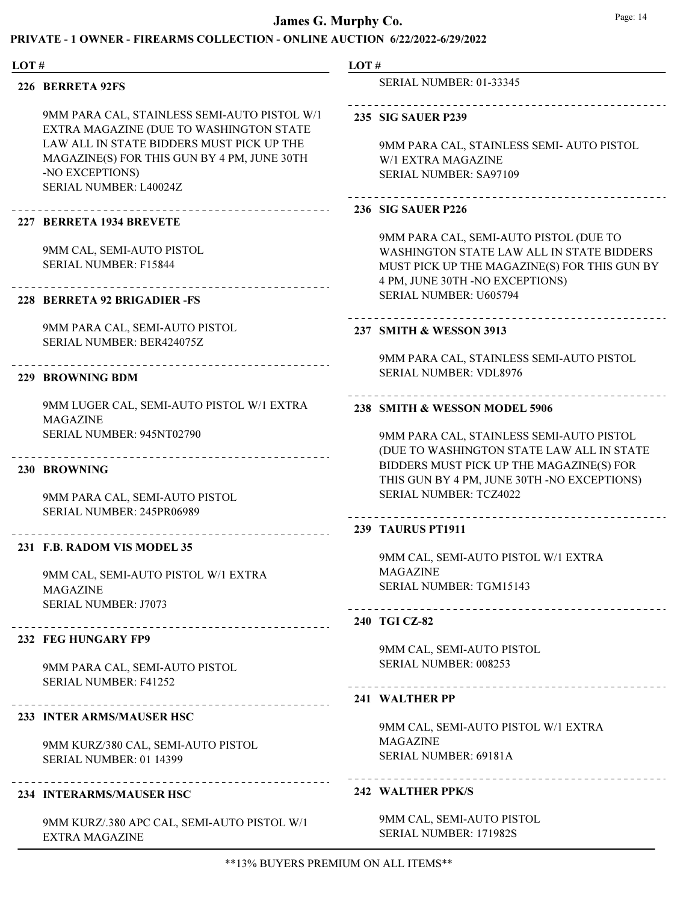### PRIVATE - 1 OWNER - FIREARMS COLLECTION - ONLINE AUCTION 6/22/2022-6/29/2022

| LOT# |                                                                                         | LOT# |                                                                                            |
|------|-----------------------------------------------------------------------------------------|------|--------------------------------------------------------------------------------------------|
|      | 226 BERRETA 92FS                                                                        |      | <b>SERIAL NUMBER: 01-33345</b>                                                             |
|      | 9MM PARA CAL, STAINLESS SEMI-AUTO PISTOL W/1<br>EXTRA MAGAZINE (DUE TO WASHINGTON STATE |      | <b>235 SIG SAUER P239</b>                                                                  |
|      | LAW ALL IN STATE BIDDERS MUST PICK UP THE                                               |      | 9MM PARA CAL, STAINLESS SEMI- AUTO PISTOL                                                  |
|      | MAGAZINE(S) FOR THIS GUN BY 4 PM, JUNE 30TH                                             |      | W/1 EXTRA MAGAZINE                                                                         |
|      | -NO EXCEPTIONS)<br>SERIAL NUMBER: L40024Z                                               |      | <b>SERIAL NUMBER: SA97109</b>                                                              |
|      |                                                                                         |      | <b>236 SIG SAUER P226</b>                                                                  |
|      | 227 BERRETA 1934 BREVETE                                                                |      |                                                                                            |
|      | 9MM CAL, SEMI-AUTO PISTOL                                                               |      | 9MM PARA CAL, SEMI-AUTO PISTOL (DUE TO<br><b>WASHINGTON STATE LAW ALL IN STATE BIDDERS</b> |
|      | <b>SERIAL NUMBER: F15844</b>                                                            |      | MUST PICK UP THE MAGAZINE(S) FOR THIS GUN BY                                               |
|      |                                                                                         |      | 4 PM, JUNE 30TH -NO EXCEPTIONS)                                                            |
|      | 228 BERRETA 92 BRIGADIER - FS                                                           |      | SERIAL NUMBER: U605794                                                                     |
|      | 9MM PARA CAL, SEMI-AUTO PISTOL                                                          |      | 237 SMITH & WESSON 3913                                                                    |
|      | SERIAL NUMBER: BER424075Z                                                               |      |                                                                                            |
|      | ________________________________                                                        |      | 9MM PARA CAL, STAINLESS SEMI-AUTO PISTOL                                                   |
|      | 229 BROWNING BDM                                                                        |      | <b>SERIAL NUMBER: VDL8976</b>                                                              |
|      | 9MM LUGER CAL, SEMI-AUTO PISTOL W/1 EXTRA<br><b>MAGAZINE</b>                            |      | 238 SMITH & WESSON MODEL 5906                                                              |
|      | SERIAL NUMBER: 945NT02790                                                               |      | 9MM PARA CAL, STAINLESS SEMI-AUTO PISTOL                                                   |
|      |                                                                                         |      | (DUE TO WASHINGTON STATE LAW ALL IN STATE                                                  |
|      | 230 BROWNING                                                                            |      | BIDDERS MUST PICK UP THE MAGAZINE(S) FOR                                                   |
|      |                                                                                         |      | THIS GUN BY 4 PM, JUNE 30TH -NO EXCEPTIONS)                                                |
|      | 9MM PARA CAL, SEMI-AUTO PISTOL                                                          |      | <b>SERIAL NUMBER: TCZ4022</b>                                                              |
|      | SERIAL NUMBER: 245PR06989<br>--------------------------------------                     |      | 239 TAURUS PT1911                                                                          |
|      | 231 F.B. RADOM VIS MODEL 35                                                             |      |                                                                                            |
|      |                                                                                         |      | 9MM CAL, SEMI-AUTO PISTOL W/1 EXTRA                                                        |
|      | 9MM CAL, SEMI-AUTO PISTOL W/1 EXTRA                                                     |      | <b>MAGAZINE</b>                                                                            |
|      | <b>MAGAZINE</b>                                                                         |      | SERIAL NUMBER: TGM15143                                                                    |
|      | <b>SERIAL NUMBER: J7073</b>                                                             |      | --------------------------------------                                                     |
|      |                                                                                         |      | 240 TGI CZ-82                                                                              |
|      | 232 FEG HUNGARY FP9                                                                     |      | 9MM CAL, SEMI-AUTO PISTOL                                                                  |
|      | 9MM PARA CAL, SEMI-AUTO PISTOL                                                          |      | SERIAL NUMBER: 008253                                                                      |
|      | <b>SERIAL NUMBER: F41252</b>                                                            |      |                                                                                            |
|      |                                                                                         |      | 241 WALTHER PP                                                                             |
|      | 233 INTER ARMS/MAUSER HSC                                                               |      |                                                                                            |
|      |                                                                                         |      | 9MM CAL, SEMI-AUTO PISTOL W/1 EXTRA                                                        |
|      | 9MM KURZ/380 CAL, SEMI-AUTO PISTOL                                                      |      | <b>MAGAZINE</b>                                                                            |
|      | SERIAL NUMBER: 01 14399                                                                 |      | SERIAL NUMBER: 69181A                                                                      |

### 234 INTERARMS/MAUSER HSC

9MM KURZ/.380 APC CAL, SEMI-AUTO PISTOL W/1 EXTRA MAGAZINE

### 242 WALTHER PPK/S

9MM CAL, SEMI-AUTO PISTOL SERIAL NUMBER: 171982S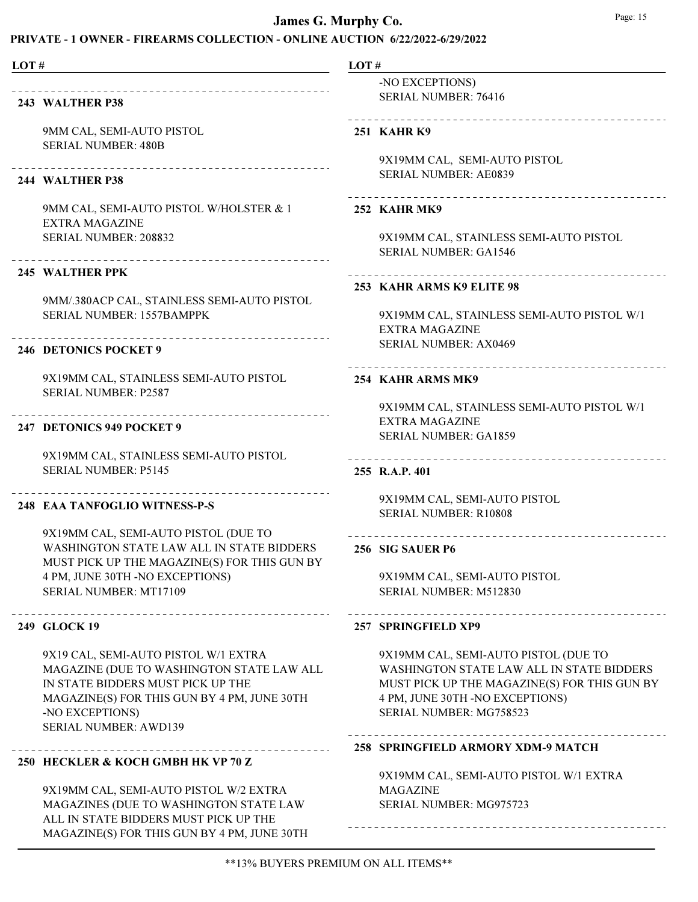# PRIVATE - 1 OWNER - FIREARMS COLLECTION - ONLINE AUCTION 6/22/2022-6/29/2022

| LOT# |                                                                                                                                                                                                                          | LOT#              |                                                                                                                                                                                                 |
|------|--------------------------------------------------------------------------------------------------------------------------------------------------------------------------------------------------------------------------|-------------------|-------------------------------------------------------------------------------------------------------------------------------------------------------------------------------------------------|
|      | 243 WALTHER P38                                                                                                                                                                                                          |                   | -NO EXCEPTIONS)<br><b>SERIAL NUMBER: 76416</b>                                                                                                                                                  |
|      | 9MM CAL, SEMI-AUTO PISTOL<br><b>SERIAL NUMBER: 480B</b>                                                                                                                                                                  | <b>251 KAHRK9</b> |                                                                                                                                                                                                 |
|      | --------------------------------<br>244 WALTHER P38                                                                                                                                                                      |                   | 9X19MM CAL, SEMI-AUTO PISTOL<br><b>SERIAL NUMBER: AE0839</b>                                                                                                                                    |
|      | 9MM CAL, SEMI-AUTO PISTOL W/HOLSTER & 1<br><b>EXTRA MAGAZINE</b>                                                                                                                                                         | 252 KAHR MK9      |                                                                                                                                                                                                 |
|      | SERIAL NUMBER: 208832<br>----------------------------------                                                                                                                                                              |                   | 9X19MM CAL, STAINLESS SEMI-AUTO PISTOL<br><b>SERIAL NUMBER: GA1546</b>                                                                                                                          |
|      | <b>245 WALTHER PPK</b>                                                                                                                                                                                                   |                   | 253 KAHR ARMS K9 ELITE 98                                                                                                                                                                       |
|      | 9MM/.380ACP CAL, STAINLESS SEMI-AUTO PISTOL<br>SERIAL NUMBER: 1557BAMPPK                                                                                                                                                 |                   | 9X19MM CAL, STAINLESS SEMI-AUTO PISTOL W/1<br><b>EXTRA MAGAZINE</b>                                                                                                                             |
|      | <b>246 DETONICS POCKET 9</b>                                                                                                                                                                                             |                   | <b>SERIAL NUMBER: AX0469</b>                                                                                                                                                                    |
|      | 9X19MM CAL, STAINLESS SEMI-AUTO PISTOL<br><b>SERIAL NUMBER: P2587</b>                                                                                                                                                    |                   | --------------------------<br>254 KAHR ARMS MK9                                                                                                                                                 |
|      | 247 DETONICS 949 POCKET 9                                                                                                                                                                                                |                   | 9X19MM CAL, STAINLESS SEMI-AUTO PISTOL W/1<br><b>EXTRA MAGAZINE</b><br><b>SERIAL NUMBER: GA1859</b>                                                                                             |
|      | 9X19MM CAL, STAINLESS SEMI-AUTO PISTOL<br><b>SERIAL NUMBER: P5145</b>                                                                                                                                                    | 255 R.A.P. 401    |                                                                                                                                                                                                 |
|      | 248 EAA TANFOGLIO WITNESS-P-S                                                                                                                                                                                            |                   | 9X19MM CAL, SEMI-AUTO PISTOL<br><b>SERIAL NUMBER: R10808</b>                                                                                                                                    |
|      | 9X19MM CAL, SEMI-AUTO PISTOL (DUE TO<br><b>WASHINGTON STATE LAW ALL IN STATE BIDDERS</b><br>MUST PICK UP THE MAGAZINE(S) FOR THIS GUN BY                                                                                 | 256 SIG SAUER P6  | _ _ _ _ _ _ _ _ _ _ _ _ _ _ _ _ _                                                                                                                                                               |
|      | 4 PM, JUNE 30TH -NO EXCEPTIONS)<br>SERIAL NUMBER: MT17109                                                                                                                                                                |                   | 9X19MM CAL, SEMI-AUTO PISTOL<br>SERIAL NUMBER: M512830                                                                                                                                          |
|      | 249 GLOCK 19                                                                                                                                                                                                             |                   | 257 SPRINGFIELD XP9                                                                                                                                                                             |
|      | 9X19 CAL, SEMI-AUTO PISTOL W/1 EXTRA<br>MAGAZINE (DUE TO WASHINGTON STATE LAW ALL<br>IN STATE BIDDERS MUST PICK UP THE<br>MAGAZINE(S) FOR THIS GUN BY 4 PM, JUNE 30TH<br>-NO EXCEPTIONS)<br><b>SERIAL NUMBER: AWD139</b> |                   | 9X19MM CAL, SEMI-AUTO PISTOL (DUE TO<br>WASHINGTON STATE LAW ALL IN STATE BIDDERS<br>MUST PICK UP THE MAGAZINE(S) FOR THIS GUN BY<br>4 PM, JUNE 30TH -NO EXCEPTIONS)<br>SERIAL NUMBER: MG758523 |
|      | 250 HECKLER & KOCH GMBH HK VP 70 Z                                                                                                                                                                                       |                   | 258 SPRINGFIELD ARMORY XDM-9 MATCH                                                                                                                                                              |
|      | 9X19MM CAL, SEMI-AUTO PISTOL W/2 EXTRA<br>MAGAZINES (DUE TO WASHINGTON STATE LAW<br>ALL IN STATE BIDDERS MUST PICK UP THE                                                                                                |                   | 9X19MM CAL, SEMI-AUTO PISTOL W/1 EXTRA<br><b>MAGAZINE</b><br>SERIAL NUMBER: MG975723                                                                                                            |

MAGAZINE(S) FOR THIS GUN BY 4 PM, JUNE 30TH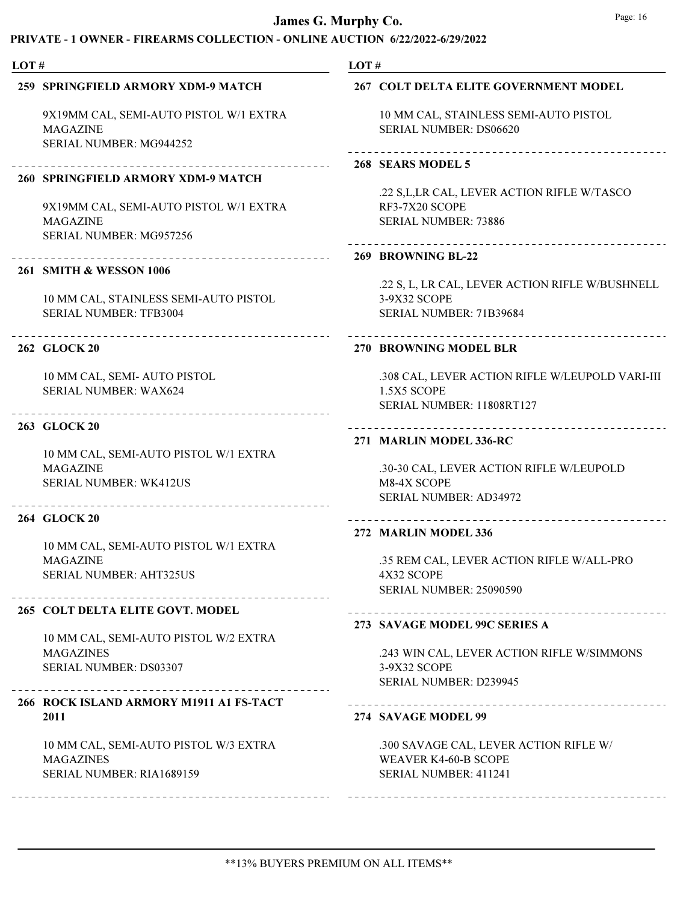| LOT# |                                                                                      | LOT#                                                            |
|------|--------------------------------------------------------------------------------------|-----------------------------------------------------------------|
|      | 259 SPRINGFIELD ARMORY XDM-9 MATCH                                                   | 267 COLT DELTA ELITE GOVERNMENT MODEL                           |
|      | 9X19MM CAL, SEMI-AUTO PISTOL W/1 EXTRA<br><b>MAGAZINE</b><br>SERIAL NUMBER: MG944252 | 10 MM CAL, STAINLESS SEMI-AUTO PISTOL<br>SERIAL NUMBER: DS06620 |
|      |                                                                                      | 268 SEARS MODEL 5                                               |
|      | 260 SPRINGFIELD ARMORY XDM-9 MATCH                                                   |                                                                 |
|      | 9X19MM CAL, SEMI-AUTO PISTOL W/1 EXTRA                                               | .22 S,L,LR CAL, LEVER ACTION RIFLE W/TASCO<br>RF3-7X20 SCOPE    |
|      | <b>MAGAZINE</b><br>SERIAL NUMBER: MG957256                                           | <b>SERIAL NUMBER: 73886</b>                                     |
|      |                                                                                      | 269 BROWNING BL-22                                              |
|      | 261 SMITH & WESSON 1006                                                              | .22 S, L, LR CAL, LEVER ACTION RIFLE W/BUSHNELL                 |
|      | 10 MM CAL, STAINLESS SEMI-AUTO PISTOL                                                | 3-9X32 SCOPE                                                    |
|      | <b>SERIAL NUMBER: TFB3004</b>                                                        | SERIAL NUMBER: 71B39684                                         |
|      | 262 GLOCK 20                                                                         | ---------------------------<br>270 BROWNING MODEL BLR           |
|      | 10 MM CAL, SEMI- AUTO PISTOL                                                         | .308 CAL, LEVER ACTION RIFLE W/LEUPOLD VARI-III                 |
|      | SERIAL NUMBER: WAX624                                                                | 1.5X5 SCOPE<br>SERIAL NUMBER: 11808RT127                        |
|      | 263 GLOCK 20                                                                         |                                                                 |
|      |                                                                                      | 271 MARLIN MODEL 336-RC                                         |
|      | 10 MM CAL, SEMI-AUTO PISTOL W/1 EXTRA                                                |                                                                 |
|      | <b>MAGAZINE</b><br><b>SERIAL NUMBER: WK412US</b>                                     | .30-30 CAL, LEVER ACTION RIFLE W/LEUPOLD<br>M8-4X SCOPE         |
|      |                                                                                      | SERIAL NUMBER: AD34972                                          |
|      | 264 GLOCK 20                                                                         | _______________________                                         |
|      | 10 MM CAL, SEMI-AUTO PISTOL W/1 EXTRA                                                | 272 MARLIN MODEL 336                                            |
|      | <b>MAGAZINE</b>                                                                      | .35 REM CAL, LEVER ACTION RIFLE W/ALL-PRO                       |
|      | <b>SERIAL NUMBER: AHT325US</b>                                                       | 4X32 SCOPE                                                      |
|      |                                                                                      | <b>SERIAL NUMBER: 25090590</b>                                  |
|      | 265 COLT DELTA ELITE GOVT. MODEL                                                     | 273 SAVAGE MODEL 99C SERIES A                                   |
|      | 10 MM CAL, SEMI-AUTO PISTOL W/2 EXTRA                                                |                                                                 |
|      | <b>MAGAZINES</b>                                                                     | .243 WIN CAL, LEVER ACTION RIFLE W/SIMMONS                      |
|      | SERIAL NUMBER: DS03307                                                               | 3-9X32 SCOPE<br>SERIAL NUMBER: D239945                          |
|      | 266 ROCK ISLAND ARMORY M1911 A1 FS-TACT                                              | -----------------------------                                   |
|      | 2011                                                                                 | 274 SAVAGE MODEL 99                                             |
|      | 10 MM CAL, SEMI-AUTO PISTOL W/3 EXTRA                                                | .300 SAVAGE CAL, LEVER ACTION RIFLE W/                          |
|      | <b>MAGAZINES</b>                                                                     | <b>WEAVER K4-60-B SCOPE</b>                                     |
|      | SERIAL NUMBER: RIA1689159                                                            | SERIAL NUMBER: 411241                                           |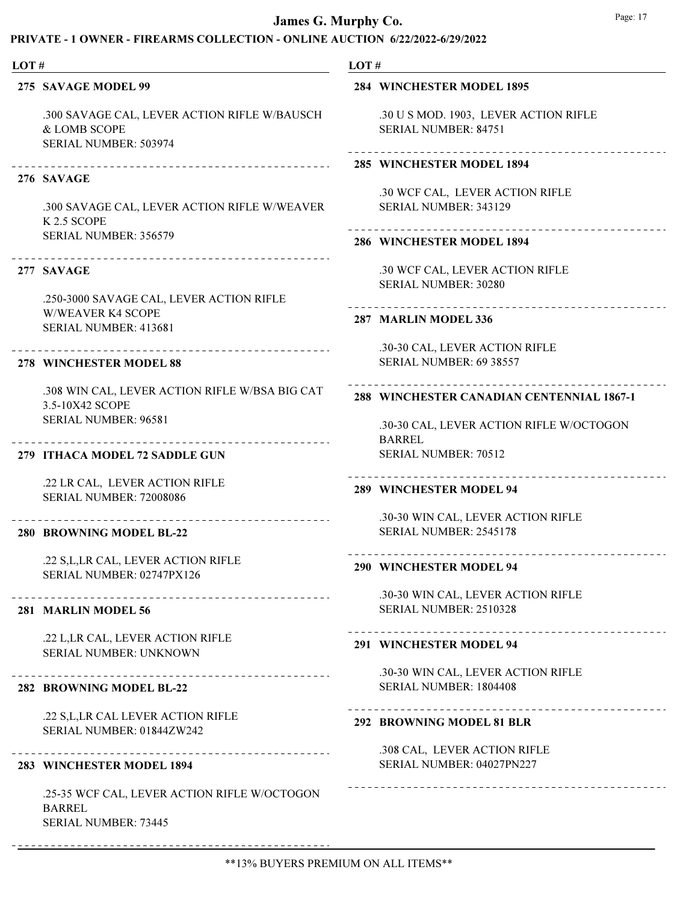# COLLECTION - ONLINE AUCTION 6/22/2022-6/29/2022

| LOT# |                                                                                       | LOT# |                                                                    |
|------|---------------------------------------------------------------------------------------|------|--------------------------------------------------------------------|
|      | 275 SAVAGE MODEL 99                                                                   |      | <b>284 WINCHESTER MODEL 1895</b>                                   |
|      | .300 SAVAGE CAL, LEVER ACTION RIFLE W/BAUSCH<br>& LOMB SCOPE<br>SERIAL NUMBER: 503974 |      | .30 U S MOD. 1903, LEVER ACTION RIFLE<br>SERIAL NUMBER: 84751      |
|      |                                                                                       |      | 285 WINCHESTER MODEL 1894                                          |
|      | 276 SAVAGE                                                                            |      |                                                                    |
|      | .300 SAVAGE CAL, LEVER ACTION RIFLE W/WEAVER<br>K 2.5 SCOPE                           |      | .30 WCF CAL, LEVER ACTION RIFLE<br>SERIAL NUMBER: 343129           |
|      | SERIAL NUMBER: 356579                                                                 |      | 286 WINCHESTER MODEL 1894                                          |
|      | 277 SAVAGE                                                                            |      | .30 WCF CAL, LEVER ACTION RIFLE<br>SERIAL NUMBER: 30280            |
|      | .250-3000 SAVAGE CAL, LEVER ACTION RIFLE                                              |      | --------------------                                               |
|      | <b>W/WEAVER K4 SCOPE</b><br>SERIAL NUMBER: 413681                                     |      | 287 MARLIN MODEL 336                                               |
|      |                                                                                       |      | .30-30 CAL, LEVER ACTION RIFLE                                     |
|      | 278 WINCHESTER MODEL 88                                                               |      | <b>SERIAL NUMBER: 69 38557</b>                                     |
|      | .308 WIN CAL, LEVER ACTION RIFLE W/BSA BIG CAT<br>3.5-10X42 SCOPE                     |      | 288 WINCHESTER CANADIAN CENTENNIAL 1867-1                          |
|      | SERIAL NUMBER: 96581                                                                  |      | .30-30 CAL, LEVER ACTION RIFLE W/OCTOGON<br><b>BARREL</b>          |
|      | 279 ITHACA MODEL 72 SADDLE GUN                                                        |      | <b>SERIAL NUMBER: 70512</b>                                        |
|      | .22 LR CAL, LEVER ACTION RIFLE<br>SERIAL NUMBER: 72008086                             |      | <u>Listo Listo Lis</u><br>289 WINCHESTER MODEL 94                  |
|      | 280 BROWNING MODEL BL-22                                                              |      | .30-30 WIN CAL, LEVER ACTION RIFLE<br>SERIAL NUMBER: 2545178       |
|      | .22 S,L,LR CAL, LEVER ACTION RIFLE<br>SERIAL NUMBER: 02747PX126                       |      | 290 WINCHESTER MODEL 94                                            |
|      |                                                                                       |      | .30-30 WIN CAL, LEVER ACTION RIFLE                                 |
|      | 281 MARLIN MODEL 56                                                                   |      | SERIAL NUMBER: 2510328                                             |
|      | .22 L, LR CAL, LEVER ACTION RIFLE<br>SERIAL NUMBER: UNKNOWN                           |      | 291 WINCHESTER MODEL 94                                            |
|      | ----------------------                                                                |      | .30-30 WIN CAL, LEVER ACTION RIFLE                                 |
|      | 282 BROWNING MODEL BL-22                                                              |      | SERIAL NUMBER: 1804408                                             |
|      | .22 S,L,LR CAL LEVER ACTION RIFLE<br>SERIAL NUMBER: 01844ZW242                        |      | _____________________________________<br>292 BROWNING MODEL 81 BLR |
|      | 283 WINCHESTER MODEL 1894                                                             |      | .308 CAL, LEVER ACTION RIFLE<br>SERIAL NUMBER: 04027PN227          |
|      | .25-35 WCF CAL, LEVER ACTION RIFLE W/OCTOGON<br><b>BARREL</b><br>SERIAL NUMBER: 73445 |      |                                                                    |

-------

 $\cdot$   $-$ 

 $- - - - -$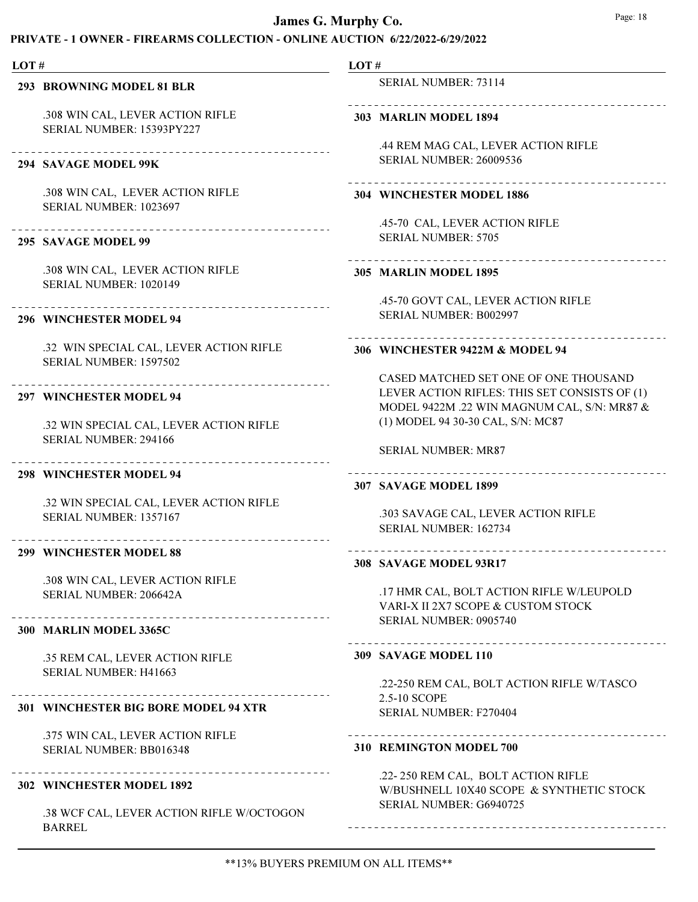### PRIVATE - 1 OWNER - FIREARMS COLLECTION - ONLINE AUCTION 6/22/2022-6/29/2022

#### LOT #

### 293 BROWNING MODEL 81 BLR

.308 WIN CAL, LEVER ACTION RIFLE SERIAL NUMBER: 15393PY227

#### 294 SAVAGE MODEL 99K

.308 WIN CAL, LEVER ACTION RIFLE SERIAL NUMBER: 1023697

### 295 SAVAGE MODEL 99

.308 WIN CAL, LEVER ACTION RIFLE SERIAL NUMBER: 1020149

----------------------------

# 296 WINCHESTER MODEL 94

.32 WIN SPECIAL CAL, LEVER ACTION RIFLE SERIAL NUMBER: 1597502

# 297 WINCHESTER MODEL 94

.32 WIN SPECIAL CAL, LEVER ACTION RIFLE SERIAL NUMBER: 294166

### 298 WINCHESTER MODEL 94

.32 WIN SPECIAL CAL, LEVER ACTION RIFLE SERIAL NUMBER: 1357167

### 299 WINCHESTER MODEL 88

.308 WIN CAL, LEVER ACTION RIFLE SERIAL NUMBER: 206642A

### 300 MARLIN MODEL 3365C

.35 REM CAL, LEVER ACTION RIFLE SERIAL NUMBER: H41663

# 301 WINCHESTER BIG BORE MODEL 94 XTR

.375 WIN CAL, LEVER ACTION RIFLE SERIAL NUMBER: BB016348

### 302 WINCHESTER MODEL 1892

.38 WCF CAL, LEVER ACTION RIFLE W/OCTOGON BARREL

# LOT #

SERIAL NUMBER: 73114

### 303 MARLIN MODEL 1894

.44 REM MAG CAL, LEVER ACTION RIFLE SERIAL NUMBER: 26009536

# 304 WINCHESTER MODEL 1886

.45-70 CAL, LEVER ACTION RIFLE SERIAL NUMBER: 5705

# 305 MARLIN MODEL 1895

.45-70 GOVT CAL, LEVER ACTION RIFLE SERIAL NUMBER: B002997

### 306 WINCHESTER 9422M & MODEL 94

CASED MATCHED SET ONE OF ONE THOUSAND LEVER ACTION RIFLES: THIS SET CONSISTS OF (1) MODEL 9422M .22 WIN MAGNUM CAL, S/N: MR87 & (1) MODEL 94 30-30 CAL, S/N: MC87

SERIAL NUMBER: MR87

#### 307 SAVAGE MODEL 1899

.303 SAVAGE CAL, LEVER ACTION RIFLE SERIAL NUMBER: 162734

### 308 SAVAGE MODEL 93R17

.17 HMR CAL, BOLT ACTION RIFLE W/LEUPOLD VARI-X II 2X7 SCOPE & CUSTOM STOCK SERIAL NUMBER: 0905740

#### 309 SAVAGE MODEL 110

.22-250 REM CAL, BOLT ACTION RIFLE W/TASCO 2.5-10 SCOPE SERIAL NUMBER: F270404

# 

310 REMINGTON MODEL 700

.22- 250 REM CAL, BOLT ACTION RIFLE W/BUSHNELL 10X40 SCOPE & SYNTHETIC STOCK SERIAL NUMBER: G6940725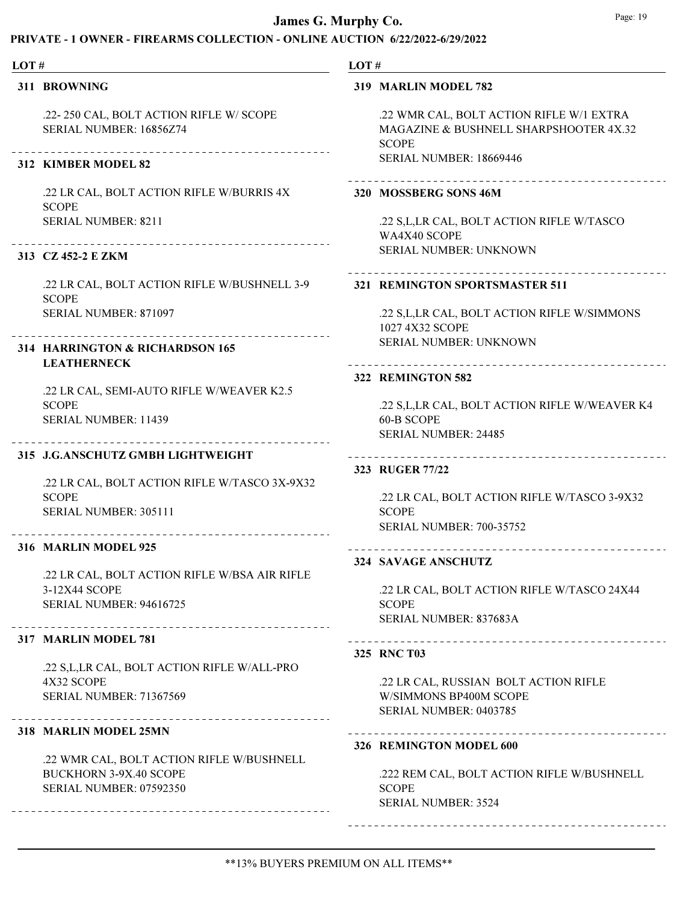# PRIVATE - 1 OWNER - FIREARMS COLLECTION - ONLINE AUCTION 6/22/2022-6/29/2022

#### LOT #

311 BROWNING

.22- 250 CAL, BOLT ACTION RIFLE W/ SCOPE SERIAL NUMBER: 16856Z74

# 312 KIMBER MODEL 82

.22 LR CAL, BOLT ACTION RIFLE W/BURRIS 4X SCOPE SERIAL NUMBER: 8211

### 313 CZ 452-2 E ZKM

.22 LR CAL, BOLT ACTION RIFLE W/BUSHNELL 3-9 **SCOPE** SERIAL NUMBER: 871097

# 314 HARRINGTON & RICHARDSON 165 LEATHERNECK

.22 LR CAL, SEMI-AUTO RIFLE W/WEAVER K2.5 **SCOPE** SERIAL NUMBER: 11439

### 315 J.G.ANSCHUTZ GMBH LIGHTWEIGHT

.22 LR CAL, BOLT ACTION RIFLE W/TASCO 3X-9X32 **SCOPE** SERIAL NUMBER: 305111

#### 316 MARLIN MODEL 925

.22 LR CAL, BOLT ACTION RIFLE W/BSA AIR RIFLE 3-12X44 SCOPE SERIAL NUMBER: 94616725

#### 317 MARLIN MODEL 781

.22 S,L,LR CAL, BOLT ACTION RIFLE W/ALL-PRO 4X32 SCOPE SERIAL NUMBER: 71367569

### 318 MARLIN MODEL 25MN

.22 WMR CAL, BOLT ACTION RIFLE W/BUSHNELL BUCKHORN 3-9X.40 SCOPE SERIAL NUMBER: 07592350

#### LOT #

### 319 MARLIN MODEL 782

.22 WMR CAL, BOLT ACTION RIFLE W/1 EXTRA MAGAZINE & BUSHNELL SHARPSHOOTER 4X.32 SCOPE SERIAL NUMBER: 18669446

#### 320 MOSSBERG SONS 46M

.22 S,L,LR CAL, BOLT ACTION RIFLE W/TASCO WA4X40 SCOPE SERIAL NUMBER: UNKNOWN

#### 321 REMINGTON SPORTSMASTER 511

.22 S,L,LR CAL, BOLT ACTION RIFLE W/SIMMONS 1027 4X32 SCOPE SERIAL NUMBER: UNKNOWN

# 322 REMINGTON 582

.22 S,L,LR CAL, BOLT ACTION RIFLE W/WEAVER K4 60-B SCOPE SERIAL NUMBER: 24485

#### 323 RUGER 77/22

.22 LR CAL, BOLT ACTION RIFLE W/TASCO 3-9X32 **SCOPE** SERIAL NUMBER: 700-35752

# 324 SAVAGE ANSCHUTZ

.22 LR CAL, BOLT ACTION RIFLE W/TASCO 24X44 **SCOPE** SERIAL NUMBER: 837683A

### 325 RNC T03

.22 LR CAL, RUSSIAN BOLT ACTION RIFLE W/SIMMONS BP400M SCOPE SERIAL NUMBER: 0403785

### 326 REMINGTON MODEL 600

.222 REM CAL, BOLT ACTION RIFLE W/BUSHNELL SCOPE SERIAL NUMBER: 3524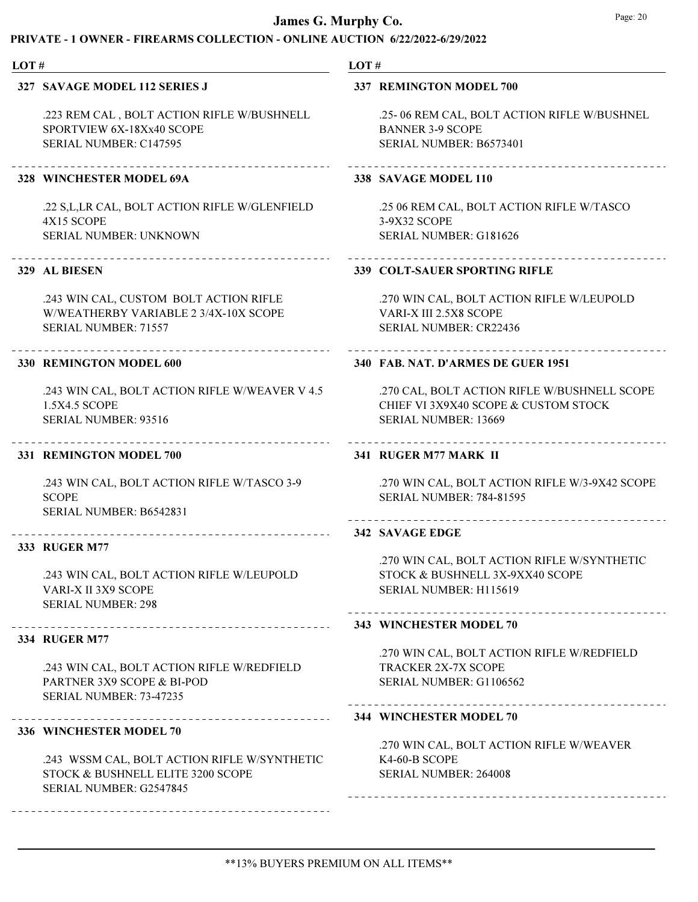# PRIVATE - 1 OWNER - FIREARMS COLLECTION - ONLINE AUCTION 6/22/2022-6/29/2022

#### LOT # LOT # 327 SAVAGE MODEL 112 SERIES J 337 REMINGTON MODEL 700 .223 REM CAL , BOLT ACTION RIFLE W/BUSHNELL .25- 06 REM CAL, BOLT ACTION RIFLE W/BUSHNEL SPORTVIEW 6X-18Xx40 SCOPE BANNER 3-9 SCOPE SERIAL NUMBER: C147595 SERIAL NUMBER: B6573401 328 WINCHESTER MODEL 69A 338 SAVAGE MODEL 110 .22 S,L,LR CAL, BOLT ACTION RIFLE W/GLENFIELD .25 06 REM CAL, BOLT ACTION RIFLE W/TASCO 4X15 SCOPE 3-9X32 SCOPE SERIAL NUMBER: UNKNOWN SERIAL NUMBER: G181626 329 AL BIESEN 339 COLT-SAUER SPORTING RIFLE .243 WIN CAL, CUSTOM BOLT ACTION RIFLE .270 WIN CAL, BOLT ACTION RIFLE W/LEUPOLD W/WEATHERBY VARIABLE 2 3/4X-10X SCOPE VARI-X III 2.5X8 SCOPE SERIAL NUMBER: 71557 SERIAL NUMBER: CR22436 330 REMINGTON MODEL 600 340 FAB. NAT. D'ARMES DE GUER 1951 .243 WIN CAL, BOLT ACTION RIFLE W/WEAVER V 4.5 .270 CAL, BOLT ACTION RIFLE W/BUSHNELL SCOPE 1.5X4.5 SCOPE CHIEF VI 3X9X40 SCOPE & CUSTOM STOCK SERIAL NUMBER: 13669 SERIAL NUMBER: 93516 331 REMINGTON MODEL 700 341 RUGER M77 MARK II .243 WIN CAL, BOLT ACTION RIFLE W/TASCO 3-9 .270 WIN CAL, BOLT ACTION RIFLE W/3-9X42 SCOPE SERIAL NUMBER: 784-81595 **SCOPE** SERIAL NUMBER: B6542831 342 SAVAGE EDGE 333 RUGER M77 .270 WIN CAL, BOLT ACTION RIFLE W/SYNTHETIC .243 WIN CAL, BOLT ACTION RIFLE W/LEUPOLD STOCK & BUSHNELL 3X-9XX40 SCOPE VARI-X II 3X9 SCOPE SERIAL NUMBER: H115619 SERIAL NUMBER: 298 343 WINCHESTER MODEL 70 334 RUGER M77 .270 WIN CAL, BOLT ACTION RIFLE W/REDFIELD .243 WIN CAL, BOLT ACTION RIFLE W/REDFIELD TRACKER 2X-7X SCOPE PARTNER 3X9 SCOPE & BI-POD SERIAL NUMBER: G1106562 SERIAL NUMBER: 73-47235 344 WINCHESTER MODEL 70 336 WINCHESTER MODEL 70

.270 WIN CAL, BOLT ACTION RIFLE W/WEAVER K4-60-B SCOPE SERIAL NUMBER: 264008

.243 WSSM CAL, BOLT ACTION RIFLE W/SYNTHETIC STOCK & BUSHNELL ELITE 3200 SCOPE SERIAL NUMBER: G2547845

### \*\*13% BUYERS PREMIUM ON ALL ITEMS\*\*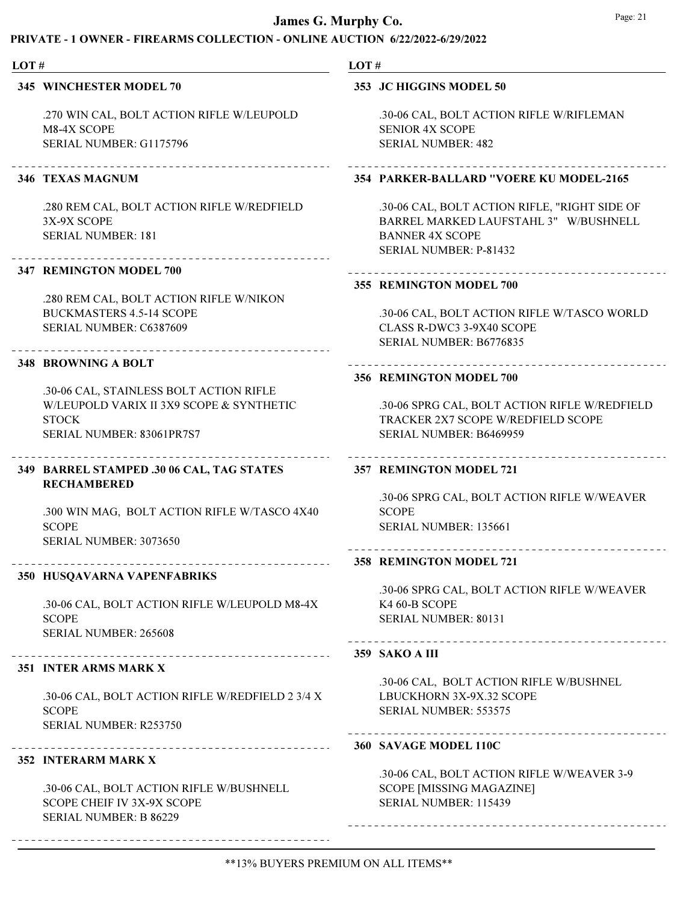### PRIVATE - 1 OWNER - FIREARMS COLLECTION - ONLINE AUCTION 6/22/2022-6/29/2022

## 345 WINCHESTER MODEL 70

.270 WIN CAL, BOLT ACTION RIFLE W/LEUPOLD M8-4X SCOPE SERIAL NUMBER: G1175796

# 346 TEXAS MAGNUM

.280 REM CAL, BOLT ACTION RIFLE W/REDFIELD 3X-9X SCOPE SERIAL NUMBER: 181

# 347 REMINGTON MODEL 700

.280 REM CAL, BOLT ACTION RIFLE W/NIKON BUCKMASTERS 4.5-14 SCOPE SERIAL NUMBER: C6387609

### 348 BROWNING A BOLT

.30-06 CAL, STAINLESS BOLT ACTION RIFLE W/LEUPOLD VARIX II 3X9 SCOPE & SYNTHETIC **STOCK** SERIAL NUMBER: 83061PR7S7

# BARREL STAMPED .30 06 CAL, TAG STATES 349 RECHAMBERED

.300 WIN MAG, BOLT ACTION RIFLE W/TASCO 4X40 **SCOPE** SERIAL NUMBER: 3073650

# 350 HUSQAVARNA VAPENFABRIKS

.30-06 CAL, BOLT ACTION RIFLE W/LEUPOLD M8-4X **SCOPE** SERIAL NUMBER: 265608

### 351 INTER ARMS MARK X

.30-06 CAL, BOLT ACTION RIFLE W/REDFIELD 2 3/4 X SCOPE SERIAL NUMBER: R253750

# 352 INTERARM MARK X

.30-06 CAL, BOLT ACTION RIFLE W/BUSHNELL SCOPE CHEIF IV 3X-9X SCOPE SERIAL NUMBER: B 86229

# LOT #

### 353 JC HIGGINS MODEL 50

.30-06 CAL, BOLT ACTION RIFLE W/RIFLEMAN SENIOR 4X SCOPE SERIAL NUMBER: 482

### 354 PARKER-BALLARD "VOERE KU MODEL-2165

.30-06 CAL, BOLT ACTION RIFLE, "RIGHT SIDE OF BARREL MARKED LAUFSTAHL 3" W/BUSHNELL BANNER 4X SCOPE SERIAL NUMBER: P-81432

### 355 REMINGTON MODEL 700

.30-06 CAL, BOLT ACTION RIFLE W/TASCO WORLD CLASS R-DWC3 3-9X40 SCOPE SERIAL NUMBER: B6776835

### 356 REMINGTON MODEL 700

.30-06 SPRG CAL, BOLT ACTION RIFLE W/REDFIELD TRACKER 2X7 SCOPE W/REDFIELD SCOPE SERIAL NUMBER: B6469959

### 357 REMINGTON MODEL 721

.30-06 SPRG CAL, BOLT ACTION RIFLE W/WEAVER **SCOPE** SERIAL NUMBER: 135661

#### 358 REMINGTON MODEL 721

.30-06 SPRG CAL, BOLT ACTION RIFLE W/WEAVER K4 60-B SCOPE SERIAL NUMBER: 80131

-------------------------------------

### 359 SAKO A III

.30-06 CAL, BOLT ACTION RIFLE W/BUSHNEL LBUCKHORN 3X-9X.32 SCOPE SERIAL NUMBER: 553575

# 360 SAVAGE MODEL 110C

.30-06 CAL, BOLT ACTION RIFLE W/WEAVER 3-9 SCOPE [MISSING MAGAZINE] SERIAL NUMBER: 115439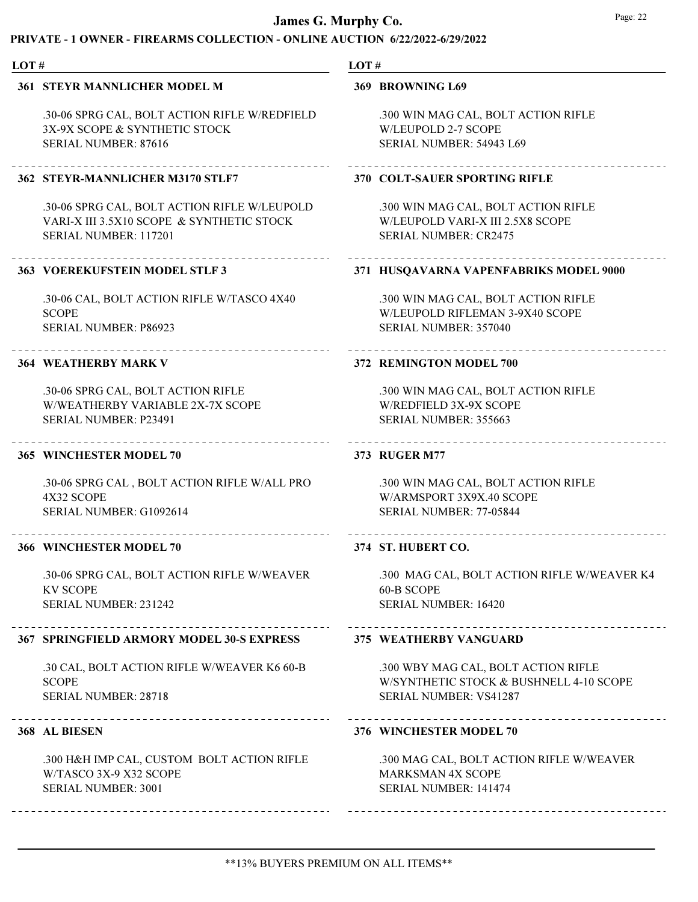# PRIVATE - 1 OWNER - FIREARMS COLLECTION - ONLINE AUCTION 6/22/2022-6/29/2022

#### LOT #

#### 361 STEYR MANNLICHER MODEL M

.30-06 SPRG CAL, BOLT ACTION RIFLE W/REDFIELD 3X-9X SCOPE & SYNTHETIC STOCK SERIAL NUMBER: 87616

# 362 STEYR-MANNLICHER M3170 STLF7

.30-06 SPRG CAL, BOLT ACTION RIFLE W/LEUPOLD VARI-X III 3.5X10 SCOPE & SYNTHETIC STOCK SERIAL NUMBER: 117201

### 363 VOEREKUFSTEIN MODEL STLF 3

.30-06 CAL, BOLT ACTION RIFLE W/TASCO 4X40 **SCOPE** SERIAL NUMBER: P86923

#### 364 WEATHERBY MARK V

.30-06 SPRG CAL, BOLT ACTION RIFLE W/WEATHERBY VARIABLE 2X-7X SCOPE SERIAL NUMBER: P23491

#### 365 WINCHESTER MODEL 70

.30-06 SPRG CAL , BOLT ACTION RIFLE W/ALL PRO 4X32 SCOPE SERIAL NUMBER: G1092614

### 366 WINCHESTER MODEL 70

.30-06 SPRG CAL, BOLT ACTION RIFLE W/WEAVER KV SCOPE SERIAL NUMBER: 231242

### 367 SPRINGFIELD ARMORY MODEL 30-S EXPRESS

.30 CAL, BOLT ACTION RIFLE W/WEAVER K6 60-B SCOPE SERIAL NUMBER: 28718

#### 368 AL BIESEN

.300 H&H IMP CAL, CUSTOM BOLT ACTION RIFLE W/TASCO 3X-9 X32 SCOPE SERIAL NUMBER: 3001

### LOT #

#### 369 BROWNING L69

.300 WIN MAG CAL, BOLT ACTION RIFLE W/LEUPOLD 2-7 SCOPE SERIAL NUMBER: 54943 L69

### 370 COLT-SAUER SPORTING RIFLE

.300 WIN MAG CAL, BOLT ACTION RIFLE W/LEUPOLD VARI-X III 2.5X8 SCOPE SERIAL NUMBER: CR2475

### 371 HUSQAVARNA VAPENFABRIKS MODEL 9000

.300 WIN MAG CAL, BOLT ACTION RIFLE W/LEUPOLD RIFLEMAN 3-9X40 SCOPE SERIAL NUMBER: 357040

### 372 REMINGTON MODEL 700

.300 WIN MAG CAL, BOLT ACTION RIFLE W/REDFIELD 3X-9X SCOPE SERIAL NUMBER: 355663

#### 373 RUGER M77

.300 WIN MAG CAL, BOLT ACTION RIFLE W/ARMSPORT 3X9X.40 SCOPE SERIAL NUMBER: 77-05844

### 374 ST. HUBERT CO.

.300 MAG CAL, BOLT ACTION RIFLE W/WEAVER K4 60-B SCOPE SERIAL NUMBER: 16420

#### 375 WEATHERBY VANGUARD

.300 WBY MAG CAL, BOLT ACTION RIFLE W/SYNTHETIC STOCK & BUSHNELL 4-10 SCOPE SERIAL NUMBER: VS41287

### 376 WINCHESTER MODEL 70

.300 MAG CAL, BOLT ACTION RIFLE W/WEAVER MARKSMAN 4X SCOPE SERIAL NUMBER: 141474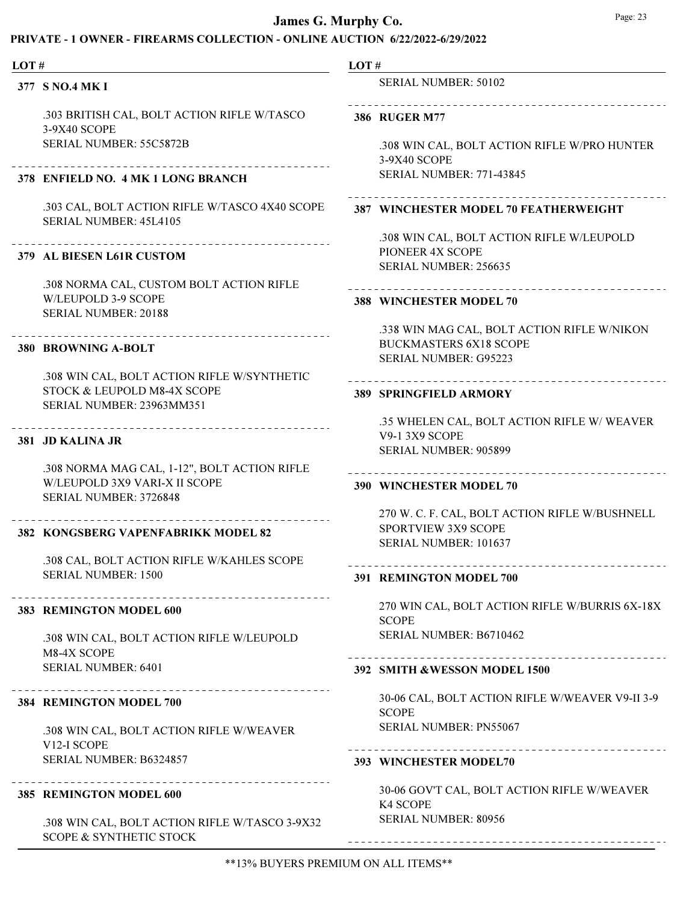### PRIVATE - 1 OWNER - FIREARMS COLLECTION - ONLINE AUCTION 6/22/2022-6/29/2022

#### LOT #

377 S NO.4 MK I

.303 BRITISH CAL, BOLT ACTION RIFLE W/TASCO 3-9X40 SCOPE SERIAL NUMBER: 55C5872B

### 378 ENFIELD NO. 4 MK 1 LONG BRANCH

.303 CAL, BOLT ACTION RIFLE W/TASCO 4X40 SCOPE SERIAL NUMBER: 45L4105

# 379 AL BIESEN L61R CUSTOM

.308 NORMA CAL, CUSTOM BOLT ACTION RIFLE W/LEUPOLD 3-9 SCOPE SERIAL NUMBER: 20188

#### 380 BROWNING A-BOLT

.308 WIN CAL, BOLT ACTION RIFLE W/SYNTHETIC STOCK & LEUPOLD M8-4X SCOPE SERIAL NUMBER: 23963MM351

### 381 JD KALINA JR

.308 NORMA MAG CAL, 1-12", BOLT ACTION RIFLE W/LEUPOLD 3X9 VARI-X II SCOPE SERIAL NUMBER: 3726848

### 382 KONGSBERG VAPENFABRIKK MODEL 82

.308 CAL, BOLT ACTION RIFLE W/KAHLES SCOPE SERIAL NUMBER: 1500

#### 383 REMINGTON MODEL 600

.308 WIN CAL, BOLT ACTION RIFLE W/LEUPOLD M8-4X SCOPE SERIAL NUMBER: 6401

#### 384 REMINGTON MODEL 700

.308 WIN CAL, BOLT ACTION RIFLE W/WEAVER V12-I SCOPE SERIAL NUMBER: B6324857

### 385 REMINGTON MODEL 600

.308 WIN CAL, BOLT ACTION RIFLE W/TASCO 3-9X32 SCOPE & SYNTHETIC STOCK

# LOT #

SERIAL NUMBER: 50102

# 

386 RUGER M77

.308 WIN CAL, BOLT ACTION RIFLE W/PRO HUNTER 3-9X40 SCOPE SERIAL NUMBER: 771-43845

# 387 WINCHESTER MODEL 70 FEATHERWEIGHT

.308 WIN CAL, BOLT ACTION RIFLE W/LEUPOLD PIONEER 4X SCOPE SERIAL NUMBER: 256635

#### 388 WINCHESTER MODEL 70

\_\_\_\_\_\_\_\_\_\_\_\_\_\_\_\_\_\_\_\_\_\_

.338 WIN MAG CAL, BOLT ACTION RIFLE W/NIKON BUCKMASTERS 6X18 SCOPE SERIAL NUMBER: G95223

#### 389 SPRINGFIELD ARMORY

.35 WHELEN CAL, BOLT ACTION RIFLE W/ WEAVER V9-1 3X9 SCOPE SERIAL NUMBER: 905899

#### 390 WINCHESTER MODEL 70

270 W. C. F. CAL, BOLT ACTION RIFLE W/BUSHNELL SPORTVIEW 3X9 SCOPE SERIAL NUMBER: 101637

# 391 REMINGTON MODEL 700

270 WIN CAL, BOLT ACTION RIFLE W/BURRIS 6X-18X **SCOPE** SERIAL NUMBER: B6710462

-------------------------------

# 392 SMITH &WESSON MODEL 1500

30-06 CAL, BOLT ACTION RIFLE W/WEAVER V9-II 3-9 **SCOPE** SERIAL NUMBER: PN55067

#### 393 WINCHESTER MODEL70

30-06 GOV'T CAL, BOLT ACTION RIFLE W/WEAVER K4 SCOPE SERIAL NUMBER: 80956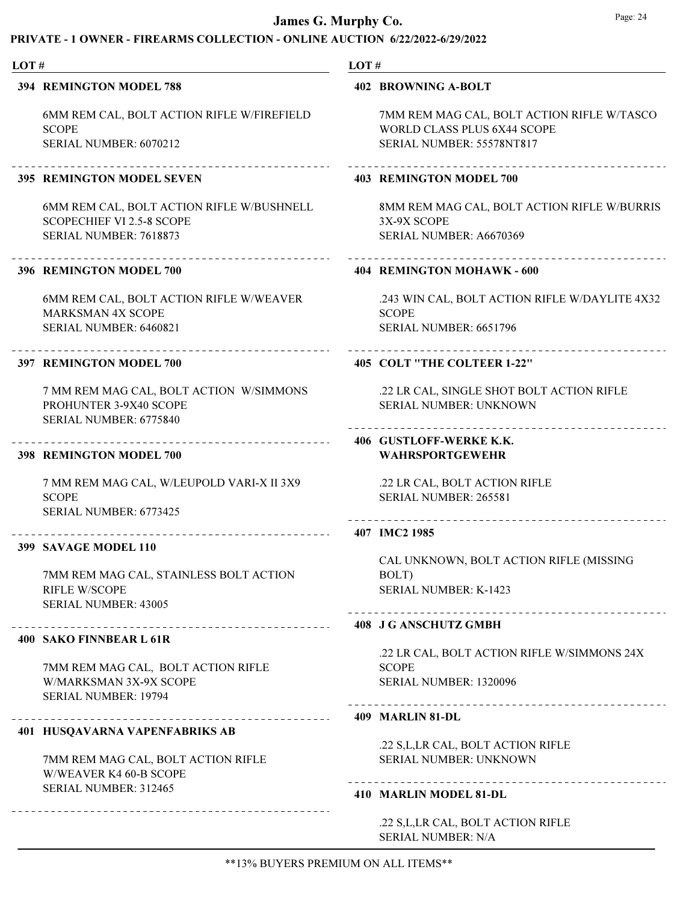| LOT# |                                                                                               | LOT# |                                                                           |  |
|------|-----------------------------------------------------------------------------------------------|------|---------------------------------------------------------------------------|--|
|      | 394 REMINGTON MODEL 788                                                                       |      | <b>402 BROWNING A-BOLT</b>                                                |  |
|      | 6MM REM CAL, BOLT ACTION RIFLE W/FIREFIELD<br><b>SCOPE</b>                                    |      | 7MM REM MAG CAL, BOLT ACTION RIFLE W/TASCO<br>WORLD CLASS PLUS 6X44 SCOPE |  |
|      | SERIAL NUMBER: 6070212                                                                        |      | SERIAL NUMBER: 55578NT817                                                 |  |
|      | <b>395 REMINGTON MODEL SEVEN</b>                                                              |      | <b>403 REMINGTON MODEL 700</b>                                            |  |
|      | 6MM REM CAL, BOLT ACTION RIFLE W/BUSHNELL<br><b>SCOPECHIEF VI 2.5-8 SCOPE</b>                 |      | 8MM REM MAG CAL, BOLT ACTION RIFLE W/BURRIS<br>3X-9X SCOPE                |  |
|      | SERIAL NUMBER: 7618873                                                                        |      | SERIAL NUMBER: A6670369                                                   |  |
|      | 396 REMINGTON MODEL 700                                                                       |      | 404 REMINGTON MOHAWK - 600                                                |  |
|      | 6MM REM CAL, BOLT ACTION RIFLE W/WEAVER<br><b>MARKSMAN 4X SCOPE</b>                           |      | .243 WIN CAL, BOLT ACTION RIFLE W/DAYLITE 4X32<br><b>SCOPE</b>            |  |
|      | SERIAL NUMBER: 6460821                                                                        |      | SERIAL NUMBER: 6651796                                                    |  |
|      | 397 REMINGTON MODEL 700                                                                       |      | 405 COLT "THE COLTEER 1-22"                                               |  |
|      | 7 MM REM MAG CAL, BOLT ACTION W/SIMMONS<br>PROHUNTER 3-9X40 SCOPE                             |      | .22 LR CAL, SINGLE SHOT BOLT ACTION RIFLE<br>SERIAL NUMBER: UNKNOWN       |  |
|      | SERIAL NUMBER: 6775840                                                                        |      |                                                                           |  |
|      | 398 REMINGTON MODEL 700                                                                       |      | 406 GUSTLOFF-WERKE K.K.<br><b>WAHRSPORTGEWEHR</b>                         |  |
|      | 7 MM REM MAG CAL, W/LEUPOLD VARI-X II 3X9                                                     |      | .22 LR CAL, BOLT ACTION RIFLE                                             |  |
|      | <b>SCOPE</b><br>SERIAL NUMBER: 6773425                                                        |      | SERIAL NUMBER: 265581<br>___________________                              |  |
|      | ________________________<br>399 SAVAGE MODEL 110                                              |      | 407 IMC2 1985                                                             |  |
|      |                                                                                               |      | CAL UNKNOWN, BOLT ACTION RIFLE (MISSING                                   |  |
|      | 7MM REM MAG CAL, STAINLESS BOLT ACTION<br><b>RIFLE W/SCOPE</b><br><b>SERIAL NUMBER: 43005</b> |      | BOLT)<br><b>SERIAL NUMBER: K-1423</b>                                     |  |
|      |                                                                                               |      | 408 J G ANSCHUTZ GMBH                                                     |  |
|      | 400 SAKO FINNBEAR L 61R                                                                       |      | .22 LR CAL, BOLT ACTION RIFLE W/SIMMONS 24X                               |  |
|      | 7MM REM MAG CAL, BOLT ACTION RIFLE                                                            |      | <b>SCOPE</b>                                                              |  |
|      | W/MARKSMAN 3X-9X SCOPE<br>SERIAL NUMBER: 19794                                                |      | SERIAL NUMBER: 1320096                                                    |  |
|      |                                                                                               |      | 409 MARLIN 81-DL                                                          |  |
|      | <b>401 HUSQAVARNA VAPENFABRIKS AB</b>                                                         |      | .22 S, L, LR CAL, BOLT ACTION RIFLE                                       |  |
|      | 7MM REM MAG CAL, BOLT ACTION RIFLE<br>W/WEAVER K4 60-B SCOPE                                  |      | SERIAL NUMBER: UNKNOWN                                                    |  |
|      | SERIAL NUMBER: 312465                                                                         |      | 410 MARLIN MODEL 81-DL                                                    |  |
|      |                                                                                               |      | .22 S, L, LR CAL, BOLT ACTION RIFLE<br><b>SERIAL NUMBER: N/A</b>          |  |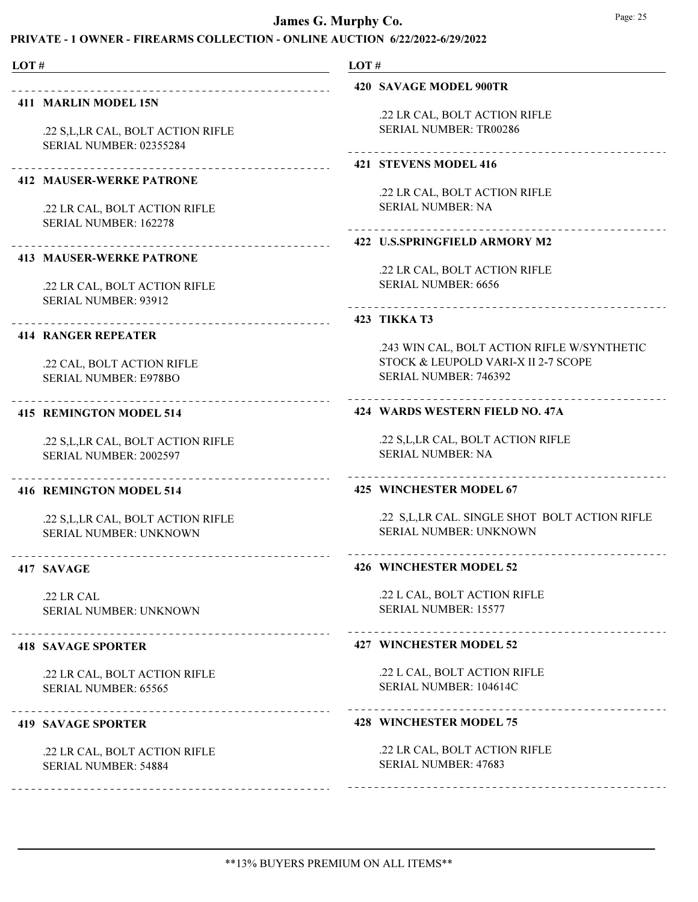| LOT $\#$                                                                                      | LOT#                                                                                                        |
|-----------------------------------------------------------------------------------------------|-------------------------------------------------------------------------------------------------------------|
|                                                                                               | 420 SAVAGE MODEL 900TR                                                                                      |
| <b>411 MARLIN MODEL 15N</b><br>.22 S, L, LR CAL, BOLT ACTION RIFLE<br>SERIAL NUMBER: 02355284 | .22 LR CAL, BOLT ACTION RIFLE<br><b>SERIAL NUMBER: TR00286</b><br>--------------------------------------    |
| <b>412 MAUSER-WERKE PATRONE</b>                                                               | 421 STEVENS MODEL 416                                                                                       |
| .22 LR CAL, BOLT ACTION RIFLE<br><b>SERIAL NUMBER: 162278</b>                                 | .22 LR CAL, BOLT ACTION RIFLE<br><b>SERIAL NUMBER: NA</b>                                                   |
| _____________________                                                                         | 422 U.S.SPRINGFIELD ARMORY M2                                                                               |
| <b>413 MAUSER-WERKE PATRONE</b><br>.22 LR CAL, BOLT ACTION RIFLE                              | .22 LR CAL, BOLT ACTION RIFLE<br><b>SERIAL NUMBER: 6656</b>                                                 |
| <b>SERIAL NUMBER: 93912</b>                                                                   | _____________________________________<br>423 TIKKA T3                                                       |
| <b>414 RANGER REPEATER</b>                                                                    |                                                                                                             |
| .22 CAL, BOLT ACTION RIFLE<br><b>SERIAL NUMBER: E978BO</b>                                    | .243 WIN CAL, BOLT ACTION RIFLE W/SYNTHETIC<br>STOCK & LEUPOLD VARI-X II 2-7 SCOPE<br>SERIAL NUMBER: 746392 |
| ------------------------<br>415 REMINGTON MODEL 514                                           | 424 WARDS WESTERN FIELD NO. 47A                                                                             |
| .22 S, L, LR CAL, BOLT ACTION RIFLE<br>SERIAL NUMBER: 2002597                                 | .22 S,L,LR CAL, BOLT ACTION RIFLE<br><b>SERIAL NUMBER: NA</b>                                               |
| 416 REMINGTON MODEL 514                                                                       | 425 WINCHESTER MODEL 67                                                                                     |
| .22 S, L, LR CAL, BOLT ACTION RIFLE<br><b>SERIAL NUMBER: UNKNOWN</b>                          | .22 S,L,LR CAL. SINGLE SHOT BOLT ACTION RIFLE<br>SERIAL NUMBER: UNKNOWN                                     |
| 417 SAVAGE                                                                                    | .<br><b>426 WINCHESTER MODEL 52</b>                                                                         |
| .22 LR CAL<br><b>SERIAL NUMBER: UNKNOWN</b>                                                   | .22 L CAL, BOLT ACTION RIFLE<br>SERIAL NUMBER: 15577                                                        |
| <b>418 SAVAGE SPORTER</b>                                                                     | <b>427 WINCHESTER MODEL 52</b>                                                                              |
| .22 LR CAL, BOLT ACTION RIFLE<br>SERIAL NUMBER: 65565                                         | .22 L CAL, BOLT ACTION RIFLE<br>SERIAL NUMBER: 104614C                                                      |
| <b>419 SAVAGE SPORTER</b>                                                                     | <b>428 WINCHESTER MODEL 75</b>                                                                              |

.22 LR CAL, BOLT ACTION RIFLE SERIAL NUMBER: 54884

.22 LR CAL, BOLT ACTION RIFLE SERIAL NUMBER: 47683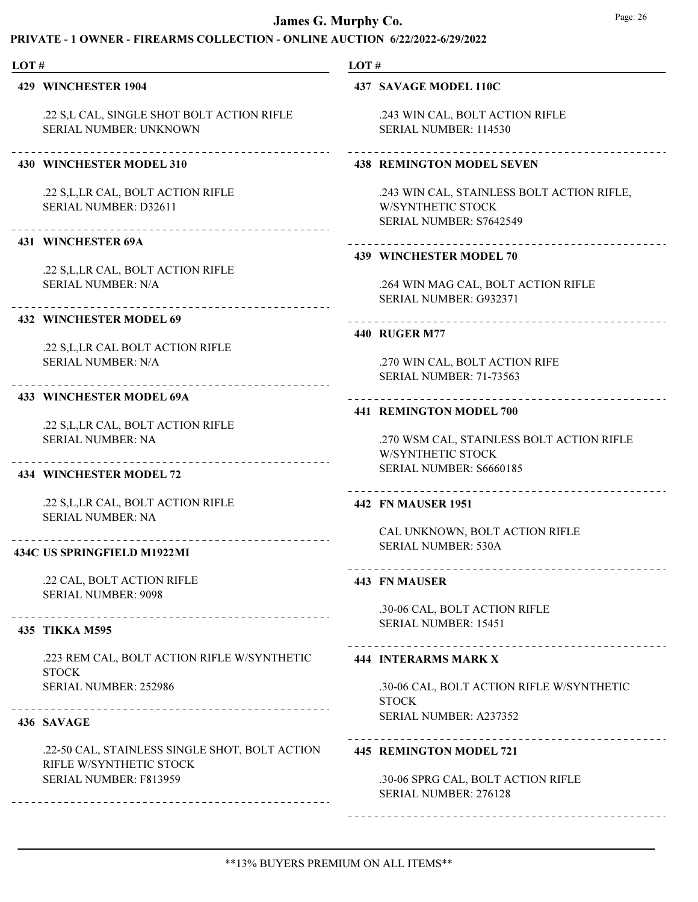# PRIVATE - 1 OWNER - FIREARMS COLLECTION - ONLINE AUCTION 6/22/2022-6/29/2022

#### LOT #

429 WINCHESTER 1904

.22 S,L CAL, SINGLE SHOT BOLT ACTION RIFLE SERIAL NUMBER: UNKNOWN

### 430 WINCHESTER MODEL 310

.22 S,L,LR CAL, BOLT ACTION RIFLE SERIAL NUMBER: D32611

#### 431 WINCHESTER 69A

.22 S,L,LR CAL, BOLT ACTION RIFLE SERIAL NUMBER: N/A

#### 432 WINCHESTER MODEL 69

.22 S,L,LR CAL BOLT ACTION RIFLE SERIAL NUMBER: N/A

### 433 WINCHESTER MODEL 69A

.22 S,L,LR CAL, BOLT ACTION RIFLE SERIAL NUMBER: NA

#### 434 WINCHESTER MODEL 72

.22 S,L,LR CAL, BOLT ACTION RIFLE SERIAL NUMBER: NA

### 434C US SPRINGFIELD M1922MI

.22 CAL, BOLT ACTION RIFLE SERIAL NUMBER: 9098

### 435 TIKKA M595

.223 REM CAL, BOLT ACTION RIFLE W/SYNTHETIC **STOCK** SERIAL NUMBER: 252986

### 436 SAVAGE

.22-50 CAL, STAINLESS SINGLE SHOT, BOLT ACTION RIFLE W/SYNTHETIC STOCK SERIAL NUMBER: F813959

# LOT #

### 437 SAVAGE MODEL 110C

.243 WIN CAL, BOLT ACTION RIFLE SERIAL NUMBER: 114530

# 438 REMINGTON MODEL SEVEN

.243 WIN CAL, STAINLESS BOLT ACTION RIFLE, W/SYNTHETIC STOCK SERIAL NUMBER: S7642549

### 439 WINCHESTER MODEL 70

.264 WIN MAG CAL, BOLT ACTION RIFLE SERIAL NUMBER: G932371

# 

### 440 RUGER M77

.270 WIN CAL, BOLT ACTION RIFE SERIAL NUMBER: 71-73563

#### 441 REMINGTON MODEL 700

.270 WSM CAL, STAINLESS BOLT ACTION RIFLE W/SYNTHETIC STOCK SERIAL NUMBER: S6660185

#### 442 FN MAUSER 1951

CAL UNKNOWN, BOLT ACTION RIFLE SERIAL NUMBER: 530A

#### 443 FN MAUSER

.30-06 CAL, BOLT ACTION RIFLE SERIAL NUMBER: 15451

#### 444 INTERARMS MARK X

.30-06 CAL, BOLT ACTION RIFLE W/SYNTHETIC **STOCK** SERIAL NUMBER: A237352

### 445 REMINGTON MODEL 721

.30-06 SPRG CAL, BOLT ACTION RIFLE SERIAL NUMBER: 276128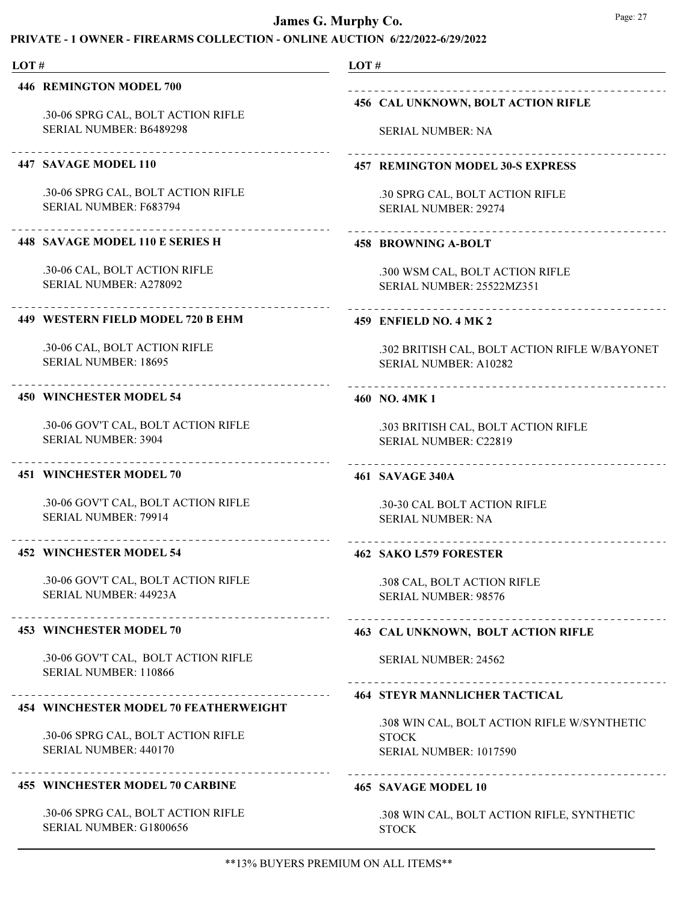# PRIVATE - 1 OWNER - FIREARMS COLLECTION - ONLINE AUCTION 6/22/2022-6/29/2022

#### LOT # LOT # 446 REMINGTON MODEL 700 456 CAL UNKNOWN, BOLT ACTION RIFLE .30-06 SPRG CAL, BOLT ACTION RIFLE SERIAL NUMBER: B6489298 SERIAL NUMBER: NA 447 SAVAGE MODEL 110 457 REMINGTON MODEL 30-S EXPRESS .30-06 SPRG CAL, BOLT ACTION RIFLE .30 SPRG CAL, BOLT ACTION RIFLE SERIAL NUMBER: F683794 SERIAL NUMBER: 29274 \_\_\_\_\_\_\_\_\_\_\_\_\_\_\_\_\_\_\_\_\_ 448 SAVAGE MODEL 110 E SERIES H 458 BROWNING A-BOLT .30-06 CAL, BOLT ACTION RIFLE .300 WSM CAL, BOLT ACTION RIFLE SERIAL NUMBER: A278092 SERIAL NUMBER: 25522MZ351 449 WESTERN FIELD MODEL 720 B EHM 459 ENFIELD NO. 4 MK 2 .30-06 CAL, BOLT ACTION RIFLE .302 BRITISH CAL, BOLT ACTION RIFLE W/BAYONET SERIAL NUMBER: 18695 SERIAL NUMBER: A10282 450 WINCHESTER MODEL 54 460 NO. 4MK 1 .30-06 GOV'T CAL, BOLT ACTION RIFLE .303 BRITISH CAL, BOLT ACTION RIFLE SERIAL NUMBER: 3904 SERIAL NUMBER: C22819 451 WINCHESTER MODEL 70 461 SAVAGE 340A .30-06 GOV'T CAL, BOLT ACTION RIFLE .30-30 CAL BOLT ACTION RIFLE SERIAL NUMBER: 79914 SERIAL NUMBER: NA 452 WINCHESTER MODEL 54 462 SAKO L579 FORESTER .30-06 GOV'T CAL, BOLT ACTION RIFLE .308 CAL, BOLT ACTION RIFLE SERIAL NUMBER: 44923A SERIAL NUMBER: 98576 453 WINCHESTER MODEL 70 463 CAL UNKNOWN, BOLT ACTION RIFLE .30-06 GOV'T CAL, BOLT ACTION RIFLE SERIAL NUMBER: 24562 SERIAL NUMBER: 110866 464 STEYR MANNLICHER TACTICAL 454 WINCHESTER MODEL 70 FEATHERWEIGHT .308 WIN CAL, BOLT ACTION RIFLE W/SYNTHETIC .30-06 SPRG CAL, BOLT ACTION RIFLE **STOCK** SERIAL NUMBER: 440170 SERIAL NUMBER: 1017590 455 WINCHESTER MODEL 70 CARBINE 465 SAVAGE MODEL 10 .30-06 SPRG CAL, BOLT ACTION RIFLE .308 WIN CAL, BOLT ACTION RIFLE, SYNTHETIC SERIAL NUMBER: G1800656 STOCK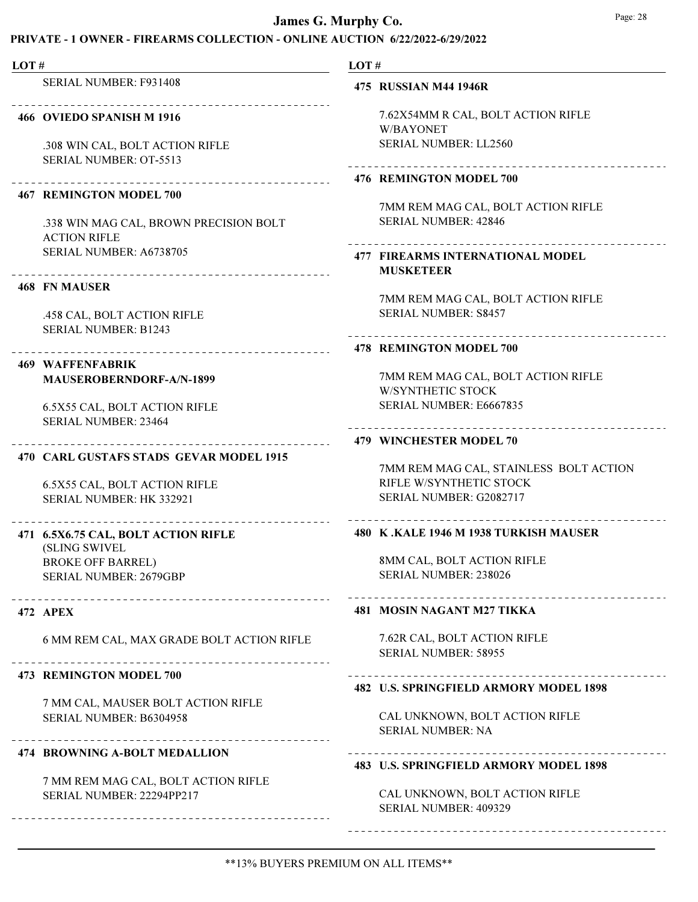### PRIVATE - 1 OWNER - FIREARMS COLLECTION - ONLINE AUCTION 6/22/2022-6/29/2022

LOT # LOT # SERIAL NUMBER: F931408 475 RUSSIAN M44 1946R 7.62X54MM R CAL, BOLT ACTION RIFLE 466 OVIEDO SPANISH M 1916 W/BAYONET SERIAL NUMBER: LL2560 .308 WIN CAL, BOLT ACTION RIFLE SERIAL NUMBER: OT-5513 476 REMINGTON MODEL 700 467 REMINGTON MODEL 700 7MM REM MAG CAL, BOLT ACTION RIFLE SERIAL NUMBER: 42846 .338 WIN MAG CAL, BROWN PRECISION BOLT ACTION RIFLE SERIAL NUMBER: A6738705 FIREARMS INTERNATIONAL MODEL 477 MUSKETEER 468 FN MAUSER 7MM REM MAG CAL, BOLT ACTION RIFLE SERIAL NUMBER: S8457 .458 CAL, BOLT ACTION RIFLE SERIAL NUMBER: B1243 478 REMINGTON MODEL 700 WAFFENFABRIK 469 7MM REM MAG CAL, BOLT ACTION RIFLE MAUSEROBERNDORF-A/N-1899 W/SYNTHETIC STOCK 6.5X55 CAL, BOLT ACTION RIFLE SERIAL NUMBER: E6667835 SERIAL NUMBER: 23464 479 WINCHESTER MODEL 70 470 CARL GUSTAFS STADS GEVAR MODEL 1915 7MM REM MAG CAL, STAINLESS BOLT ACTION RIFLE W/SYNTHETIC STOCK 6.5X55 CAL, BOLT ACTION RIFLE SERIAL NUMBER: G2082717 SERIAL NUMBER: HK 332921 480 K .KALE 1946 M 1938 TURKISH MAUSER 471 6.5X6.75 CAL, BOLT ACTION RIFLE (SLING SWIVEL 8MM CAL, BOLT ACTION RIFLE BROKE OFF BARREL) SERIAL NUMBER: 238026 SERIAL NUMBER: 2679GBP 472 APEX 481 MOSIN NAGANT M27 TIKKA 7.62R CAL, BOLT ACTION RIFLE 6 MM REM CAL, MAX GRADE BOLT ACTION RIFLE SERIAL NUMBER: 58955 473 REMINGTON MODEL 700 482 U.S. SPRINGFIELD ARMORY MODEL 1898 7 MM CAL, MAUSER BOLT ACTION RIFLE CAL UNKNOWN, BOLT ACTION RIFLE SERIAL NUMBER: B6304958 SERIAL NUMBER: NA 474 BROWNING A-BOLT MEDALLION 483 U.S. SPRINGFIELD ARMORY MODEL 1898 7 MM REM MAG CAL, BOLT ACTION RIFLE

> CAL UNKNOWN, BOLT ACTION RIFLE SERIAL NUMBER: 409329

SERIAL NUMBER: 22294PP217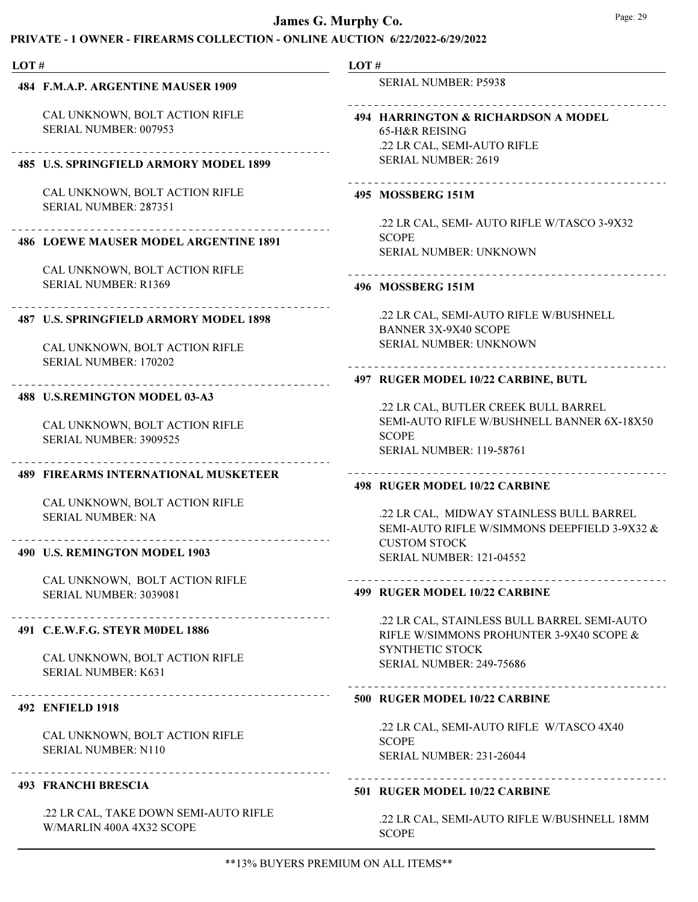### PRIVATE - 1 OWNER - FIREARMS COLLECTION - ONLINE AUCTION 6/22/2022-6/29/2022

#### LOT # LOT # SERIAL NUMBER: P5938 484 F.M.A.P. ARGENTINE MAUSER 1909 CAL UNKNOWN, BOLT ACTION RIFLE 494 HARRINGTON & RICHARDSON A MODEL SERIAL NUMBER: 007953 65-H&R REISING .22 LR CAL, SEMI-AUTO RIFLE SERIAL NUMBER: 2619 485 U.S. SPRINGFIELD ARMORY MODEL 1899 CAL UNKNOWN, BOLT ACTION RIFLE 495 MOSSBERG 151M SERIAL NUMBER: 287351 .22 LR CAL, SEMI- AUTO RIFLE W/TASCO 3-9X32 SCOPE 486 LOEWE MAUSER MODEL ARGENTINE 1891 SERIAL NUMBER: UNKNOWN CAL UNKNOWN, BOLT ACTION RIFLE SERIAL NUMBER: R1369 496 MOSSBERG 151M .22 LR CAL, SEMI-AUTO RIFLE W/BUSHNELL 487 U.S. SPRINGFIELD ARMORY MODEL 1898 BANNER 3X-9X40 SCOPE SERIAL NUMBER: UNKNOWN CAL UNKNOWN, BOLT ACTION RIFLE SERIAL NUMBER: 170202 497 RUGER MODEL 10/22 CARBINE, BUTL 488 U.S.REMINGTON MODEL 03-A3 .22 LR CAL, BUTLER CREEK BULL BARREL SEMI-AUTO RIFLE W/BUSHNELL BANNER 6X-18X50 CAL UNKNOWN, BOLT ACTION RIFLE SCOPE SERIAL NUMBER: 3909525 SERIAL NUMBER: 119-58761 489 FIREARMS INTERNATIONAL MUSKETEER 498 RUGER MODEL 10/22 CARBINE CAL UNKNOWN, BOLT ACTION RIFLE .22 LR CAL, MIDWAY STAINLESS BULL BARREL SERIAL NUMBER: NA SEMI-AUTO RIFLE W/SIMMONS DEEPFIELD 3-9X32 & CUSTOM STOCK 490 U.S. REMINGTON MODEL 1903 SERIAL NUMBER: 121-04552 CAL UNKNOWN, BOLT ACTION RIFLE 499 RUGER MODEL 10/22 CARBINE SERIAL NUMBER: 3039081 .22 LR CAL, STAINLESS BULL BARREL SEMI-AUTO 491 C.E.W.F.G. STEYR M0DEL 1886 RIFLE W/SIMMONS PROHUNTER 3-9X40 SCOPE & SYNTHETIC STOCK CAL UNKNOWN, BOLT ACTION RIFLE SERIAL NUMBER: 249-75686 SERIAL NUMBER: K631

#### 500 RUGER MODEL 10/22 CARBINE

CAL UNKNOWN, BOLT ACTION RIFLE

.22 LR CAL, TAKE DOWN SEMI-AUTO RIFLE

SERIAL NUMBER: N110

493 FRANCHI BRESCIA

W/MARLIN 400A 4X32 SCOPE

492 ENFIELD 1918

# .22 LR CAL, SEMI-AUTO RIFLE W/TASCO 4X40 SCOPE

SERIAL NUMBER: 231-26044

### 501 RUGER MODEL 10/22 CARBINE

.22 LR CAL, SEMI-AUTO RIFLE W/BUSHNELL 18MM **SCOPE** 

. . . . . . . . . . . . . . . . .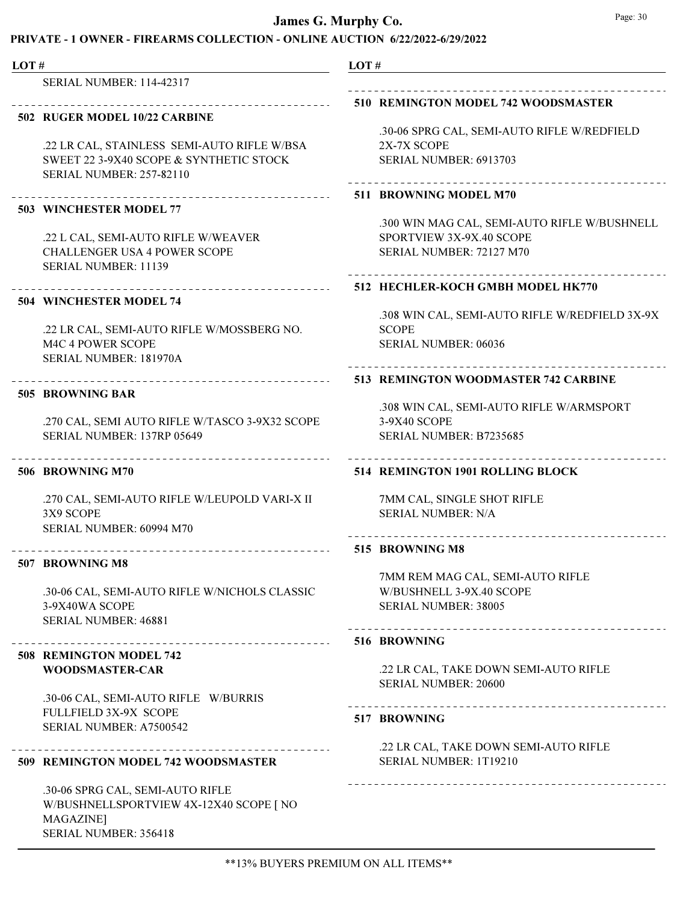# PRIVATE - 1 OWNER - FIREARMS COLLECTION - ONLINE AUCTION 6/22/2022-6/29/2022

| LOT# |                                                | LOT#         |                                                |
|------|------------------------------------------------|--------------|------------------------------------------------|
|      | <b>SERIAL NUMBER: 114-42317</b>                |              |                                                |
|      | _______________________                        |              | 510 REMINGTON MODEL 742 WOODSMASTER            |
|      | 502 RUGER MODEL 10/22 CARBINE                  |              |                                                |
|      |                                                |              | .30-06 SPRG CAL, SEMI-AUTO RIFLE W/REDFIELD    |
|      | .22 LR CAL, STAINLESS SEMI-AUTO RIFLE W/BSA    |              | 2X-7X SCOPE                                    |
|      | SWEET 22 3-9X40 SCOPE & SYNTHETIC STOCK        |              | SERIAL NUMBER: 6913703                         |
|      | <b>SERIAL NUMBER: 257-82110</b>                |              |                                                |
|      | ____________________________                   |              | 511 BROWNING MODEL M70                         |
|      | 503 WINCHESTER MODEL 77                        |              |                                                |
|      |                                                |              | .300 WIN MAG CAL, SEMI-AUTO RIFLE W/BUSHNELL   |
|      | .22 L CAL, SEMI-AUTO RIFLE W/WEAVER            |              | SPORTVIEW 3X-9X.40 SCOPE                       |
|      | <b>CHALLENGER USA 4 POWER SCOPE</b>            |              | SERIAL NUMBER: 72127 M70                       |
|      | SERIAL NUMBER: 11139                           |              |                                                |
|      | _______________________________                |              | 512 HECHLER-KOCH GMBH MODEL HK770              |
|      | <b>504 WINCHESTER MODEL 74</b>                 |              |                                                |
|      |                                                |              | .308 WIN CAL, SEMI-AUTO RIFLE W/REDFIELD 3X-9X |
|      | .22 LR CAL, SEMI-AUTO RIFLE W/MOSSBERG NO.     | <b>SCOPE</b> |                                                |
|      | M4C 4 POWER SCOPE                              |              | SERIAL NUMBER: 06036                           |
|      | SERIAL NUMBER: 181970A                         |              |                                                |
|      | ---------------------------------              |              | 513 REMINGTON WOODMASTER 742 CARBINE           |
|      | 505 BROWNING BAR                               |              |                                                |
|      |                                                |              | .308 WIN CAL, SEMI-AUTO RIFLE W/ARMSPORT       |
|      | .270 CAL, SEMI AUTO RIFLE W/TASCO 3-9X32 SCOPE |              | 3-9X40 SCOPE                                   |
|      | SERIAL NUMBER: 137RP 05649                     |              | SERIAL NUMBER: B7235685                        |
|      | 506 BROWNING M70                               |              | 514 REMINGTON 1901 ROLLING BLOCK               |
|      | .270 CAL, SEMI-AUTO RIFLE W/LEUPOLD VARI-X II  |              | 7MM CAL, SINGLE SHOT RIFLE                     |
|      | 3X9 SCOPE                                      |              | <b>SERIAL NUMBER: N/A</b>                      |
|      | SERIAL NUMBER: 60994 M70                       |              |                                                |
|      |                                                |              | --------------------                           |
|      | 507 BROWNING M8                                |              | 515 BROWNING M8                                |
|      |                                                |              | 7MM REM MAG CAL, SEMI-AUTO RIFLE               |
|      | .30-06 CAL, SEMI-AUTO RIFLE W/NICHOLS CLASSIC  |              | W/BUSHNELL 3-9X.40 SCOPE                       |
|      | 3-9X40WA SCOPE                                 |              | SERIAL NUMBER: 38005                           |
|      | SERIAL NUMBER: 46881                           |              |                                                |
|      | ------------------------                       | 516 BROWNING | ------------------------------------           |
|      | 508 REMINGTON MODEL 742                        |              |                                                |
|      | <b>WOODSMASTER-CAR</b>                         |              | .22 LR CAL, TAKE DOWN SEMI-AUTO RIFLE          |
|      |                                                |              | <b>SERIAL NUMBER: 20600</b>                    |
|      | .30-06 CAL, SEMI-AUTO RIFLE W/BURRIS           |              |                                                |
|      | FULLFIELD 3X-9X SCOPE                          | 517 BROWNING |                                                |
|      | SERIAL NUMBER: A7500542                        |              |                                                |
|      |                                                |              | .22 LR CAL, TAKE DOWN SEMI-AUTO RIFLE          |
|      | 509 REMINGTON MODEL 742 WOODSMASTER            |              | SERIAL NUMBER: 1T19210                         |
|      | .30-06 SPRG CAL, SEMI-AUTO RIFLE               |              |                                                |
|      | W/BUSHNELLSPORTVIEW 4X-12X40 SCOPE [ NO        |              |                                                |
|      | MAGAZINE]                                      |              |                                                |

SERIAL NUMBER: 356418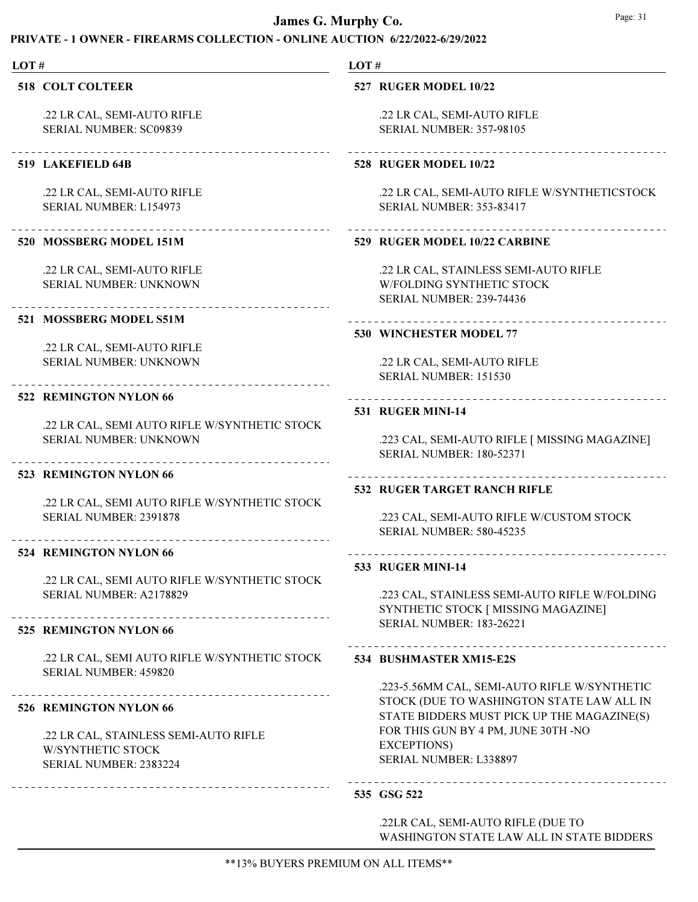# PRIVATE - 1 OWNER - FIREARMS COLLECTION - ONLINE AUCTION 6/22/2022-6/29/2022

| LOT# |                                                                                                 | LOT# |                                                                                                                                         |  |
|------|-------------------------------------------------------------------------------------------------|------|-----------------------------------------------------------------------------------------------------------------------------------------|--|
|      | <b>518 COLT COLTEER</b>                                                                         |      | 527 RUGER MODEL 10/22                                                                                                                   |  |
|      | .22 LR CAL, SEMI-AUTO RIFLE<br><b>SERIAL NUMBER: SC09839</b>                                    |      | .22 LR CAL, SEMI-AUTO RIFLE<br><b>SERIAL NUMBER: 357-98105</b>                                                                          |  |
|      | 519 LAKEFIELD 64B                                                                               |      | <b>528 RUGER MODEL 10/22</b>                                                                                                            |  |
|      | .22 LR CAL, SEMI-AUTO RIFLE<br>SERIAL NUMBER: L154973                                           |      | .22 LR CAL, SEMI-AUTO RIFLE W/SYNTHETICSTOCK<br><b>SERIAL NUMBER: 353-83417</b>                                                         |  |
|      | 520 MOSSBERG MODEL 151M                                                                         |      | 529 RUGER MODEL 10/22 CARBINE                                                                                                           |  |
|      | .22 LR CAL, SEMI-AUTO RIFLE<br>SERIAL NUMBER: UNKNOWN                                           |      | .22 LR CAL, STAINLESS SEMI-AUTO RIFLE<br>W/FOLDING SYNTHETIC STOCK<br><b>SERIAL NUMBER: 239-74436</b>                                   |  |
|      | 521 MOSSBERG MODEL S51M                                                                         |      | 530 WINCHESTER MODEL 77                                                                                                                 |  |
|      | .22 LR CAL, SEMI-AUTO RIFLE<br><b>SERIAL NUMBER: UNKNOWN</b>                                    |      | .22 LR CAL, SEMI-AUTO RIFLE<br>SERIAL NUMBER: 151530                                                                                    |  |
|      | 522 REMINGTON NYLON 66                                                                          |      | .<br>531 RUGER MINI-14                                                                                                                  |  |
|      | .22 LR CAL, SEMI AUTO RIFLE W/SYNTHETIC STOCK<br>SERIAL NUMBER: UNKNOWN                         |      | .223 CAL, SEMI-AUTO RIFLE [ MISSING MAGAZINE]<br><b>SERIAL NUMBER: 180-52371</b>                                                        |  |
|      | 523 REMINGTON NYLON 66                                                                          |      | 532 RUGER TARGET RANCH RIFLE                                                                                                            |  |
|      | .22 LR CAL, SEMI AUTO RIFLE W/SYNTHETIC STOCK<br>SERIAL NUMBER: 2391878<br>____________________ |      | .223 CAL, SEMI-AUTO RIFLE W/CUSTOM STOCK<br><b>SERIAL NUMBER: 580-45235</b>                                                             |  |
|      | 524 REMINGTON NYLON 66                                                                          |      | 533 RUGER MINI-14                                                                                                                       |  |
|      | .22 LR CAL, SEMI AUTO RIFLE W/SYNTHETIC STOCK<br>SERIAL NUMBER: A2178829                        |      | .223 CAL, STAINLESS SEMI-AUTO RIFLE W/FOLDING<br>SYNTHETIC STOCK [ MISSING MAGAZINE]                                                    |  |
|      | 525 REMINGTON NYLON 66                                                                          |      | <b>SERIAL NUMBER: 183-26221</b>                                                                                                         |  |
|      | .22 LR CAL, SEMI AUTO RIFLE W/SYNTHETIC STOCK<br>SERIAL NUMBER: 459820                          |      | 534 BUSHMASTER XM15-E2S                                                                                                                 |  |
|      | 526 REMINGTON NYLON 66                                                                          |      | .223-5.56MM CAL, SEMI-AUTO RIFLE W/SYNTHETIC<br>STOCK (DUE TO WASHINGTON STATE LAW ALL IN<br>STATE BIDDERS MUST PICK UP THE MAGAZINE(S) |  |
|      | .22 LR CAL, STAINLESS SEMI-AUTO RIFLE<br>W/SYNTHETIC STOCK<br>SERIAL NUMBER: 2383224            |      | FOR THIS GUN BY 4 PM, JUNE 30TH -NO<br><b>EXCEPTIONS)</b><br>SERIAL NUMBER: L338897                                                     |  |

# 535 GSG 522

.22LR CAL, SEMI-AUTO RIFLE (DUE TO WASHINGTON STATE LAW ALL IN STATE BIDDERS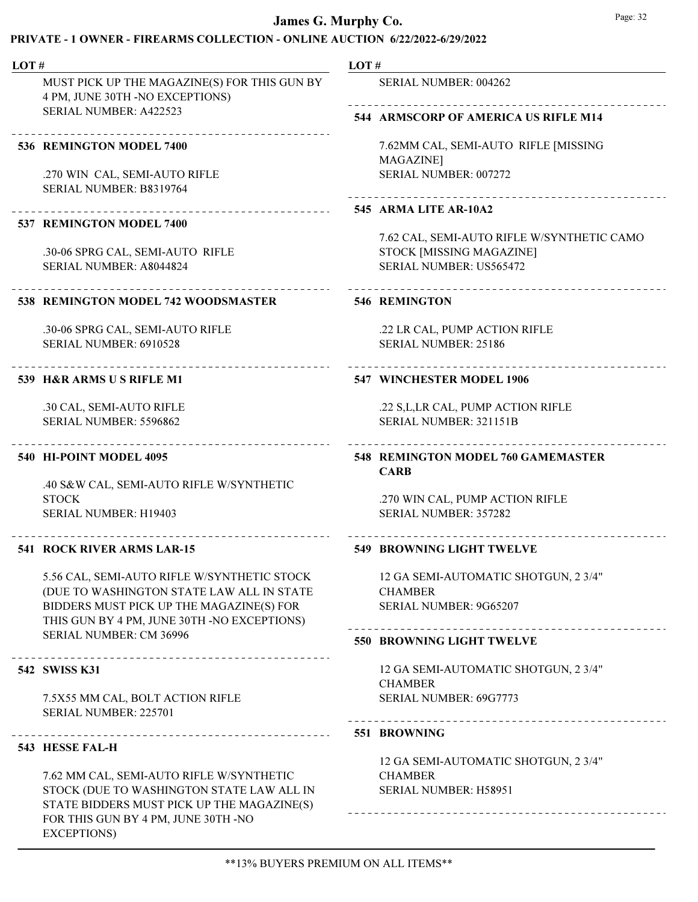# PRIVATE - 1 OWNER - FIREARMS COLLECTION - ONLINE AUCTION 6/22/2022-6/29/2022

| LOT# |                                                                                         | LOT# |                                                                  |  |
|------|-----------------------------------------------------------------------------------------|------|------------------------------------------------------------------|--|
|      | MUST PICK UP THE MAGAZINE(S) FOR THIS GUN BY<br>4 PM, JUNE 30TH -NO EXCEPTIONS)         |      | SERIAL NUMBER: 004262                                            |  |
|      | SERIAL NUMBER: A422523                                                                  |      | 544 ARMSCORP OF AMERICA US RIFLE M14                             |  |
|      | 536 REMINGTON MODEL 7400                                                                |      | 7.62MM CAL, SEMI-AUTO RIFLE [MISSING<br>MAGAZINE]                |  |
|      | .270 WIN CAL, SEMI-AUTO RIFLE<br>SERIAL NUMBER: B8319764                                |      | SERIAL NUMBER: 007272                                            |  |
|      | ______________________                                                                  |      | 545 ARMA LITE AR-10A2                                            |  |
|      | 537 REMINGTON MODEL 7400                                                                |      | 7.62 CAL, SEMI-AUTO RIFLE W/SYNTHETIC CAMO                       |  |
|      | .30-06 SPRG CAL, SEMI-AUTO RIFLE<br>SERIAL NUMBER: A8044824                             |      | STOCK [MISSING MAGAZINE]<br><b>SERIAL NUMBER: US565472</b>       |  |
|      | 538 REMINGTON MODEL 742 WOODSMASTER                                                     |      | <b>546 REMINGTON</b>                                             |  |
|      | .30-06 SPRG CAL, SEMI-AUTO RIFLE                                                        |      | .22 LR CAL, PUMP ACTION RIFLE                                    |  |
|      | SERIAL NUMBER: 6910528                                                                  |      | <b>SERIAL NUMBER: 25186</b>                                      |  |
|      | 539 H&R ARMS US RIFLE M1                                                                |      | 547 WINCHESTER MODEL 1906                                        |  |
|      | .30 CAL, SEMI-AUTO RIFLE                                                                |      | .22 S, L, LR CAL, PUMP ACTION RIFLE                              |  |
|      | SERIAL NUMBER: 5596862                                                                  |      | SERIAL NUMBER: 321151B                                           |  |
|      | 540 HI-POINT MODEL 4095                                                                 |      | 548 REMINGTON MODEL 760 GAMEMASTER<br><b>CARB</b>                |  |
|      | .40 S&W CAL, SEMI-AUTO RIFLE W/SYNTHETIC<br><b>STOCK</b>                                |      |                                                                  |  |
|      | SERIAL NUMBER: H19403                                                                   |      | .270 WIN CAL, PUMP ACTION RIFLE<br><b>SERIAL NUMBER: 357282</b>  |  |
|      | 541 ROCK RIVER ARMS LAR-15                                                              |      | <b>549 BROWNING LIGHT TWELVE</b>                                 |  |
|      | 5.56 CAL, SEMI-AUTO RIFLE W/SYNTHETIC STOCK                                             |      | 12 GA SEMI-AUTOMATIC SHOTGUN, 2 3/4"                             |  |
|      | (DUE TO WASHINGTON STATE LAW ALL IN STATE                                               |      | <b>CHAMBER</b>                                                   |  |
|      | BIDDERS MUST PICK UP THE MAGAZINE(S) FOR<br>THIS GUN BY 4 PM, JUNE 30TH -NO EXCEPTIONS) |      | SERIAL NUMBER: 9G65207                                           |  |
|      | SERIAL NUMBER: CM 36996                                                                 |      | <b>550 BROWNING LIGHT TWELVE</b>                                 |  |
|      | ------------------------------------<br>542 SWISS K31                                   |      | 12 GA SEMI-AUTOMATIC SHOTGUN, 2 3/4"                             |  |
|      |                                                                                         |      | <b>CHAMBER</b>                                                   |  |
|      | 7.5X55 MM CAL, BOLT ACTION RIFLE<br>SERIAL NUMBER: 225701                               |      | SERIAL NUMBER: 69G7773<br>-------------------------------------- |  |
|      | ----------------------------------                                                      |      | 551 BROWNING                                                     |  |
|      | 543 HESSE FAL-H                                                                         |      |                                                                  |  |
|      | 7.62 MM CAL, SEMI-AUTO RIFLE W/SYNTHETIC                                                |      | 12 GA SEMI-AUTOMATIC SHOTGUN, 2 3/4"<br><b>CHAMBER</b>           |  |
|      | STOCK (DUE TO WASHINGTON STATE LAW ALL IN                                               |      | SERIAL NUMBER: H58951                                            |  |

STATE BIDDERS MUST PICK UP THE MAGAZINE(S)

FOR THIS GUN BY 4 PM, JUNE 30TH -NO

EXCEPTIONS)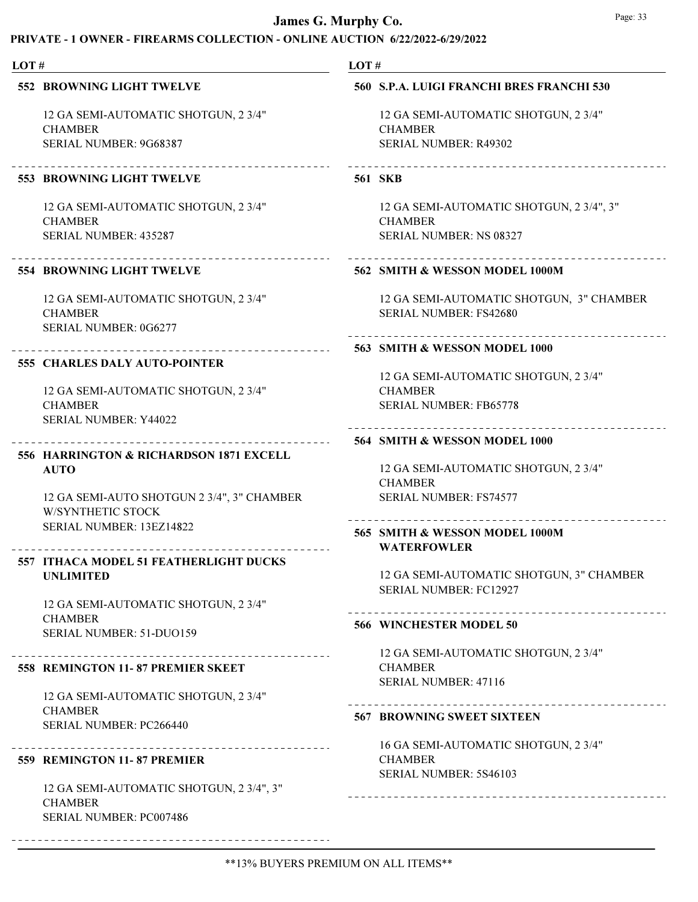| LOT#                                                            |  | LOT#                                      |  |  |
|-----------------------------------------------------------------|--|-------------------------------------------|--|--|
| <b>552 BROWNING LIGHT TWELVE</b>                                |  | 560 S.P.A. LUIGI FRANCHI BRES FRANCHI 530 |  |  |
| 12 GA SEMI-AUTOMATIC SHOTGUN, 2 3/4"                            |  | 12 GA SEMI-AUTOMATIC SHOTGUN, 2 3/4"      |  |  |
| <b>CHAMBER</b>                                                  |  | <b>CHAMBER</b>                            |  |  |
| SERIAL NUMBER: 9G68387                                          |  | SERIAL NUMBER: R49302                     |  |  |
| -----------------------------<br>553 BROWNING LIGHT TWELVE      |  | <b>561 SKB</b>                            |  |  |
| 12 GA SEMI-AUTOMATIC SHOTGUN, 2 3/4"                            |  | 12 GA SEMI-AUTOMATIC SHOTGUN, 2 3/4", 3"  |  |  |
| <b>CHAMBER</b>                                                  |  | <b>CHAMBER</b>                            |  |  |
| SERIAL NUMBER: 435287<br>_________________________              |  | SERIAL NUMBER: NS 08327                   |  |  |
| <b>554 BROWNING LIGHT TWELVE</b>                                |  | 562 SMITH & WESSON MODEL 1000M            |  |  |
| 12 GA SEMI-AUTOMATIC SHOTGUN, 2 3/4"                            |  | 12 GA SEMI-AUTOMATIC SHOTGUN, 3" CHAMBER  |  |  |
| <b>CHAMBER</b>                                                  |  | <b>SERIAL NUMBER: FS42680</b>             |  |  |
| SERIAL NUMBER: 0G6277                                           |  |                                           |  |  |
| .<br>555 CHARLES DALY AUTO-POINTER                              |  | 563 SMITH & WESSON MODEL 1000             |  |  |
|                                                                 |  | 12 GA SEMI-AUTOMATIC SHOTGUN, 2 3/4"      |  |  |
| 12 GA SEMI-AUTOMATIC SHOTGUN, 2 3/4"                            |  | <b>CHAMBER</b>                            |  |  |
| <b>CHAMBER</b>                                                  |  | <b>SERIAL NUMBER: FB65778</b>             |  |  |
| SERIAL NUMBER: Y44022                                           |  |                                           |  |  |
|                                                                 |  | 564 SMITH & WESSON MODEL 1000             |  |  |
| 556 HARRINGTON & RICHARDSON 1871 EXCELL                         |  |                                           |  |  |
| <b>AUTO</b>                                                     |  | 12 GA SEMI-AUTOMATIC SHOTGUN, 2 3/4"      |  |  |
|                                                                 |  | <b>CHAMBER</b>                            |  |  |
| 12 GA SEMI-AUTO SHOTGUN 2 3/4", 3" CHAMBER<br>W/SYNTHETIC STOCK |  | <b>SERIAL NUMBER: FS74577</b>             |  |  |
| SERIAL NUMBER: 13EZ14822                                        |  |                                           |  |  |
|                                                                 |  | 565 SMITH & WESSON MODEL 1000M            |  |  |
| 557 ITHACA MODEL 51 FEATHERLIGHT DUCKS                          |  | <b>WATERFOWLER</b>                        |  |  |
| <b>UNLIMITED</b>                                                |  | 12 GA SEMI-AUTOMATIC SHOTGUN, 3" CHAMBER  |  |  |
|                                                                 |  | <b>SERIAL NUMBER: FC12927</b>             |  |  |
| 12 GA SEMI-AUTOMATIC SHOTGUN, 2 3/4"                            |  |                                           |  |  |
| <b>CHAMBER</b>                                                  |  | 566 WINCHESTER MODEL 50                   |  |  |
| SERIAL NUMBER: 51-DUO159                                        |  |                                           |  |  |
|                                                                 |  | 12 GA SEMI-AUTOMATIC SHOTGUN, 2 3/4"      |  |  |
| 558 REMINGTON 11-87 PREMIER SKEET                               |  | <b>CHAMBER</b>                            |  |  |
|                                                                 |  | <b>SERIAL NUMBER: 47116</b>               |  |  |
| 12 GA SEMI-AUTOMATIC SHOTGUN, 2 3/4"                            |  |                                           |  |  |
| <b>CHAMBER</b>                                                  |  | <b>567 BROWNING SWEET SIXTEEN</b>         |  |  |
| SERIAL NUMBER: PC266440                                         |  |                                           |  |  |
|                                                                 |  | 16 GA SEMI-AUTOMATIC SHOTGUN, 2 3/4"      |  |  |
| 559 REMINGTON 11-87 PREMIER                                     |  | <b>CHAMBER</b><br>SERIAL NUMBER: 5S46103  |  |  |
|                                                                 |  |                                           |  |  |
| <b>CHAMBER</b>                                                  |  |                                           |  |  |
| SERIAL NUMBER: PC007486                                         |  |                                           |  |  |
| 12 GA SEMI-AUTOMATIC SHOTGUN, 2 3/4", 3"                        |  |                                           |  |  |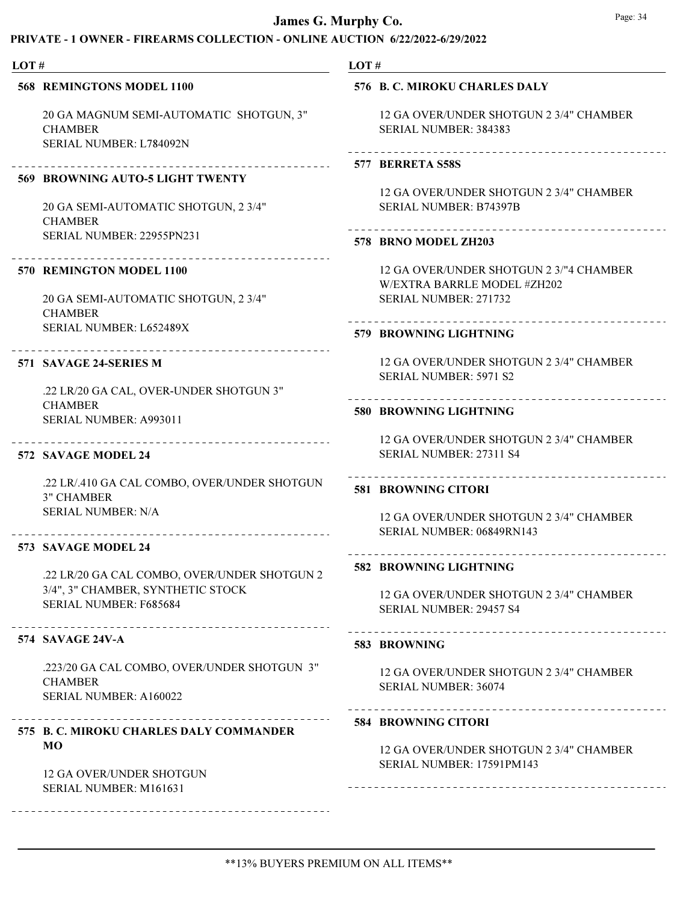# PRIVATE - 1 OWNER - FIREARMS COLLECTION - ONLINE AUCTION 6/22/2022-6/29/2022

| LOT# |                                                                                         | LOT#                                                                                               |  |  |
|------|-----------------------------------------------------------------------------------------|----------------------------------------------------------------------------------------------------|--|--|
|      | <b>568 REMINGTONS MODEL 1100</b>                                                        | 576 B. C. MIROKU CHARLES DALY                                                                      |  |  |
|      | 20 GA MAGNUM SEMI-AUTOMATIC SHOTGUN, 3"<br><b>CHAMBER</b><br>SERIAL NUMBER: L784092N    | 12 GA OVER/UNDER SHOTGUN 2 3/4" CHAMBER<br>SERIAL NUMBER: 384383<br>______________________________ |  |  |
|      | _____________________________                                                           | 577 BERRETA S58S                                                                                   |  |  |
|      | 569 BROWNING AUTO-5 LIGHT TWENTY                                                        | 12 GA OVER/UNDER SHOTGUN 2 3/4" CHAMBER                                                            |  |  |
|      | 20 GA SEMI-AUTOMATIC SHOTGUN, 2 3/4"<br><b>CHAMBER</b>                                  | <b>SERIAL NUMBER: B74397B</b>                                                                      |  |  |
|      | SERIAL NUMBER: 22955PN231                                                               | 578 BRNO MODEL ZH203                                                                               |  |  |
|      | 570 REMINGTON MODEL 1100                                                                | 12 GA OVER/UNDER SHOTGUN 2 3/"4 CHAMBER<br>W/EXTRA BARRLE MODEL #ZH202                             |  |  |
|      | 20 GA SEMI-AUTOMATIC SHOTGUN, 2 3/4"<br><b>CHAMBER</b>                                  | SERIAL NUMBER: 271732                                                                              |  |  |
|      | SERIAL NUMBER: L652489X                                                                 | 579 BROWNING LIGHTNING                                                                             |  |  |
|      | 571 SAVAGE 24-SERIES M                                                                  | 12 GA OVER/UNDER SHOTGUN 2 3/4" CHAMBER<br><b>SERIAL NUMBER: 5971 S2</b>                           |  |  |
|      | .22 LR/20 GA CAL, OVER-UNDER SHOTGUN 3"                                                 |                                                                                                    |  |  |
|      | <b>CHAMBER</b><br>SERIAL NUMBER: A993011                                                | 580 BROWNING LIGHTNING                                                                             |  |  |
|      | 572 SAVAGE MODEL 24                                                                     | 12 GA OVER/UNDER SHOTGUN 2 3/4" CHAMBER<br>SERIAL NUMBER: 27311 S4                                 |  |  |
|      | .22 LR/.410 GA CAL COMBO, OVER/UNDER SHOTGUN<br><b>3" CHAMBER</b>                       | <b>581 BROWNING CITORI</b>                                                                         |  |  |
|      | <b>SERIAL NUMBER: N/A</b><br>----------------------------                               | 12 GA OVER/UNDER SHOTGUN 2 3/4" CHAMBER<br>SERIAL NUMBER: 06849RN143                               |  |  |
|      | 573 SAVAGE MODEL 24                                                                     |                                                                                                    |  |  |
|      | .22 LR/20 GA CAL COMBO, OVER/UNDER SHOTGUN 2                                            | 582 BROWNING LIGHTNING                                                                             |  |  |
|      | 3/4", 3" CHAMBER, SYNTHETIC STOCK<br>SERIAL NUMBER: F685684                             | 12 GA OVER/UNDER SHOTGUN 2 3/4" CHAMBER<br>SERIAL NUMBER: 29457 S4                                 |  |  |
|      | ----------------------------------<br>574 SAVAGE 24V-A                                  | 583 BROWNING                                                                                       |  |  |
|      | .223/20 GA CAL COMBO, OVER/UNDER SHOTGUN 3"<br><b>CHAMBER</b><br>SERIAL NUMBER: A160022 | 12 GA OVER/UNDER SHOTGUN 2 3/4" CHAMBER<br><b>SERIAL NUMBER: 36074</b>                             |  |  |
|      | 575 B. C. MIROKU CHARLES DALY COMMANDER                                                 | <b>584 BROWNING CITORI</b>                                                                         |  |  |

12 GA OVER/UNDER SHOTGUN 2 3/4" CHAMBER SERIAL NUMBER: 17591PM143

\_\_\_\_\_\_\_\_\_\_\_\_\_\_\_\_\_\_\_\_\_\_\_\_\_\_

12 GA OVER/UNDER SHOTGUN SERIAL NUMBER: M161631

\_\_\_\_\_\_\_\_\_\_\_\_\_\_\_\_\_

MO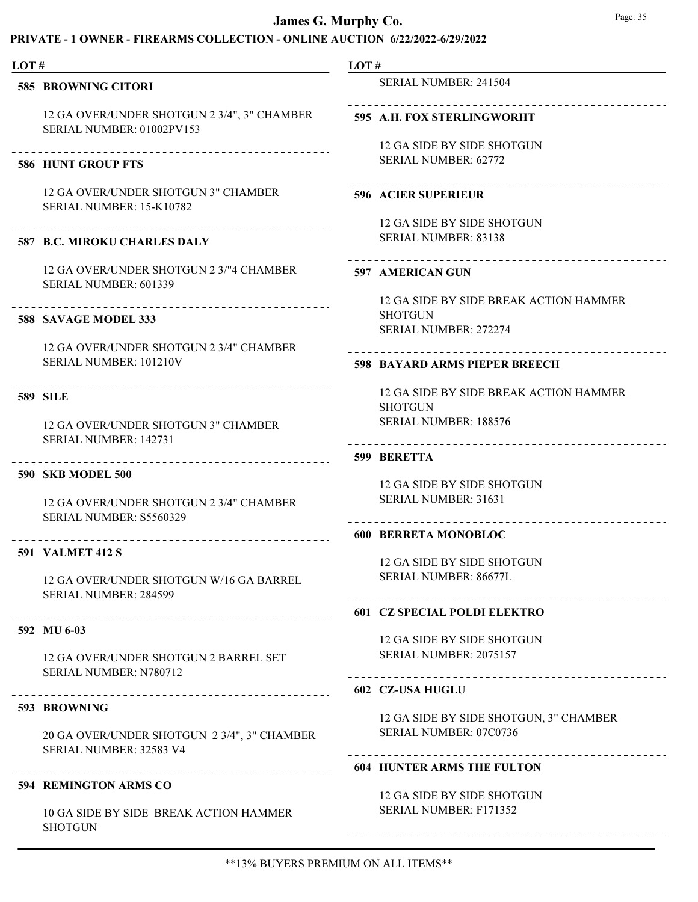# PRIVATE - 1 OWNER - FIREARMS COLLECTION - ONLINE AUCTION 6/22/2022-6/29/2022

| LOT# |                                                                          | LOT# |                                                                  |
|------|--------------------------------------------------------------------------|------|------------------------------------------------------------------|
|      | 585 BROWNING CITORI                                                      |      | SERIAL NUMBER: 241504                                            |
|      | 12 GA OVER/UNDER SHOTGUN 2 3/4", 3" CHAMBER<br>SERIAL NUMBER: 01002PV153 |      | 595 A.H. FOX STERLINGWORHT                                       |
|      |                                                                          |      | 12 GA SIDE BY SIDE SHOTGUN                                       |
|      | <b>586 HUNT GROUP FTS</b>                                                |      | <b>SERIAL NUMBER: 62772</b>                                      |
|      | 12 GA OVER/UNDER SHOTGUN 3" CHAMBER<br>SERIAL NUMBER: 15-K10782          |      | <b>596 ACIER SUPERIEUR</b>                                       |
|      |                                                                          |      | 12 GA SIDE BY SIDE SHOTGUN                                       |
|      | <b>587 B.C. MIROKU CHARLES DALY</b>                                      |      | SERIAL NUMBER: 83138                                             |
|      | 12 GA OVER/UNDER SHOTGUN 2 3/"4 CHAMBER<br>SERIAL NUMBER: 601339         |      | ________________<br>597 AMERICAN GUN                             |
|      |                                                                          |      | 12 GA SIDE BY SIDE BREAK ACTION HAMMER                           |
|      | 588 SAVAGE MODEL 333                                                     |      | <b>SHOTGUN</b><br>SERIAL NUMBER: 272274                          |
|      | 12 GA OVER/UNDER SHOTGUN 2 3/4" CHAMBER                                  |      |                                                                  |
|      | SERIAL NUMBER: 101210V                                                   |      | 598 BAYARD ARMS PIEPER BREECH                                    |
|      | <b>589 SILE</b>                                                          |      | 12 GA SIDE BY SIDE BREAK ACTION HAMMER<br><b>SHOTGUN</b>         |
|      | 12 GA OVER/UNDER SHOTGUN 3" CHAMBER<br>SERIAL NUMBER: 142731             |      | <b>SERIAL NUMBER: 188576</b><br>___________________________      |
|      |                                                                          |      | 599 BERETTA                                                      |
|      | <b>590 SKB MODEL 500</b>                                                 |      |                                                                  |
|      |                                                                          |      | 12 GA SIDE BY SIDE SHOTGUN                                       |
|      | 12 GA OVER/UNDER SHOTGUN 2 3/4" CHAMBER<br>SERIAL NUMBER: S5560329       |      | <b>SERIAL NUMBER: 31631</b>                                      |
|      | ______________________________________                                   |      | <b>600 BERRETA MONOBLOC</b>                                      |
|      | <b>591 VALMET 412 S</b>                                                  |      |                                                                  |
|      | 12 GA OVER/UNDER SHOTGUN W/16 GA BARREL                                  |      | 12 GA SIDE BY SIDE SHOTGUN<br><b>SERIAL NUMBER: 86677L</b>       |
|      | <b>SERIAL NUMBER: 284599</b>                                             |      | <b>601 CZ SPECIAL POLDI ELEKTRO</b>                              |
|      | 592 MU 6-03                                                              |      |                                                                  |
|      |                                                                          |      | 12 GA SIDE BY SIDE SHOTGUN                                       |
|      | 12 GA OVER/UNDER SHOTGUN 2 BARREL SET<br>SERIAL NUMBER: N780712          |      | SERIAL NUMBER: 2075157                                           |
|      |                                                                          |      | ----------------------------<br>602 CZ-USA HUGLU                 |
|      | 593 BROWNING                                                             |      |                                                                  |
|      |                                                                          |      | 12 GA SIDE BY SIDE SHOTGUN, 3" CHAMBER<br>SERIAL NUMBER: 07C0736 |
|      | 20 GA OVER/UNDER SHOTGUN 2 3/4", 3" CHAMBER                              |      |                                                                  |

594 REMINGTON ARMS CO

SERIAL NUMBER: 32583 V4

10 GA SIDE BY SIDE BREAK ACTION HAMMER **SHOTGUN** 

### 604 HUNTER ARMS THE FULTON

12 GA SIDE BY SIDE SHOTGUN SERIAL NUMBER: F171352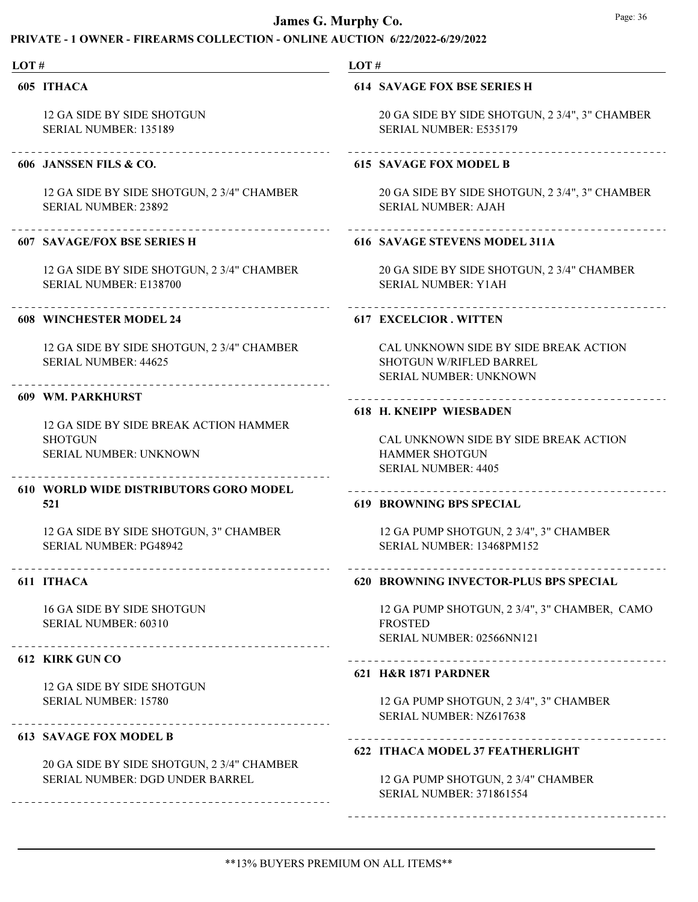# PRIVATE - 1 OWNER - FIREARMS COLLECTION - ONLINE AUCTION 6/22/2022-6/29/2022

| LOT# |                                                                                    | LOT#                                                                                                      |  |  |
|------|------------------------------------------------------------------------------------|-----------------------------------------------------------------------------------------------------------|--|--|
|      | 605 ITHACA                                                                         | <b>614 SAVAGE FOX BSE SERIES H</b>                                                                        |  |  |
|      | 12 GA SIDE BY SIDE SHOTGUN<br><b>SERIAL NUMBER: 135189</b>                         | 20 GA SIDE BY SIDE SHOTGUN, 2 3/4", 3" CHAMBER<br><b>SERIAL NUMBER: E535179</b>                           |  |  |
|      | 606 JANSSEN FILS & CO.                                                             | 615 SAVAGE FOX MODEL B                                                                                    |  |  |
|      | 12 GA SIDE BY SIDE SHOTGUN, 2 3/4" CHAMBER<br><b>SERIAL NUMBER: 23892</b>          | 20 GA SIDE BY SIDE SHOTGUN, 2 3/4", 3" CHAMBER<br><b>SERIAL NUMBER: AJAH</b>                              |  |  |
|      | _______________________<br><b>607 SAVAGE/FOX BSE SERIES H</b>                      | 616 SAVAGE STEVENS MODEL 311A                                                                             |  |  |
|      | 12 GA SIDE BY SIDE SHOTGUN, 2 3/4" CHAMBER<br>SERIAL NUMBER: E138700               | 20 GA SIDE BY SIDE SHOTGUN, 2 3/4" CHAMBER<br><b>SERIAL NUMBER: Y1AH</b>                                  |  |  |
|      | <b>608 WINCHESTER MODEL 24</b>                                                     | 617 EXCELCIOR. WITTEN                                                                                     |  |  |
|      | 12 GA SIDE BY SIDE SHOTGUN, 2 3/4" CHAMBER<br><b>SERIAL NUMBER: 44625</b>          | CAL UNKNOWN SIDE BY SIDE BREAK ACTION<br>SHOTGUN W/RIFLED BARREL<br><b>SERIAL NUMBER: UNKNOWN</b>         |  |  |
|      | 609 WM. PARKHURST                                                                  | 618 H. KNEIPP WIESBADEN                                                                                   |  |  |
|      | 12 GA SIDE BY SIDE BREAK ACTION HAMMER<br><b>SHOTGUN</b><br>SERIAL NUMBER: UNKNOWN | CAL UNKNOWN SIDE BY SIDE BREAK ACTION<br><b>HAMMER SHOTGUN</b><br><b>SERIAL NUMBER: 4405</b>              |  |  |
|      | <b>610 WORLD WIDE DISTRIBUTORS GORO MODEL</b><br>521                               | <b>619 BROWNING BPS SPECIAL</b>                                                                           |  |  |
|      | 12 GA SIDE BY SIDE SHOTGUN, 3" CHAMBER<br><b>SERIAL NUMBER: PG48942</b>            | 12 GA PUMP SHOTGUN, 2 3/4", 3" CHAMBER<br>SERIAL NUMBER: 13468PM152                                       |  |  |
|      | -------------------------------------<br>611 ITHACA                                | 620 BROWNING INVECTOR-PLUS BPS SPECIAL                                                                    |  |  |
|      | 16 GA SIDE BY SIDE SHOTGUN<br><b>SERIAL NUMBER: 60310</b>                          | 12 GA PUMP SHOTGUN, 2 3/4", 3" CHAMBER, CAMO<br><b>FROSTED</b><br>SERIAL NUMBER: 02566NN121               |  |  |
|      | 612 KIRK GUN CO                                                                    | --------------------------                                                                                |  |  |
|      | 12 GA SIDE BY SIDE SHOTGUN<br>SERIAL NUMBER: 15780                                 | 621 H&R 1871 PARDNER<br>12 GA PUMP SHOTGUN, 2 3/4", 3" CHAMBER<br>SERIAL NUMBER: NZ617638                 |  |  |
|      | <b>613 SAVAGE FOX MODEL B</b>                                                      |                                                                                                           |  |  |
|      | 20 GA SIDE BY SIDE SHOTGUN, 2 3/4" CHAMBER<br>SERIAL NUMBER: DGD UNDER BARREL      | 622 ITHACA MODEL 37 FEATHERLIGHT<br>12 GA PUMP SHOTGUN, 2 3/4" CHAMBER<br><b>SERIAL NUMBER: 371861554</b> |  |  |

\*\*13% BUYERS PREMIUM ON ALL ITEMS\*\*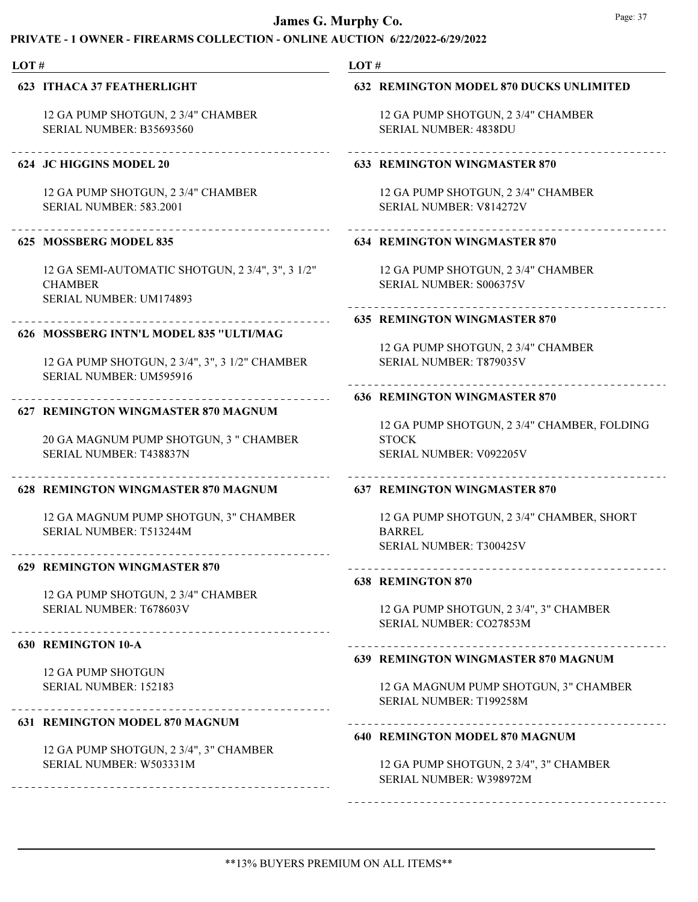| LOT# |                                                                                                          | LOT# |                                                                                                            |  |
|------|----------------------------------------------------------------------------------------------------------|------|------------------------------------------------------------------------------------------------------------|--|
|      | <b>623 ITHACA 37 FEATHERLIGHT</b>                                                                        |      | <b>632 REMINGTON MODEL 870 DUCKS UNLIMITED</b>                                                             |  |
|      | 12 GA PUMP SHOTGUN, 2 3/4" CHAMBER<br>SERIAL NUMBER: B35693560                                           |      | 12 GA PUMP SHOTGUN, 2 3/4" CHAMBER<br><b>SERIAL NUMBER: 4838DU</b>                                         |  |
|      | -----------------------------<br>624 JC HIGGINS MODEL 20                                                 |      | <b>633 REMINGTON WINGMASTER 870</b>                                                                        |  |
|      | 12 GA PUMP SHOTGUN, 2 3/4" CHAMBER<br><b>SERIAL NUMBER: 583.2001</b>                                     |      | 12 GA PUMP SHOTGUN, 2 3/4" CHAMBER<br>SERIAL NUMBER: V814272V                                              |  |
|      | 625 MOSSBERG MODEL 835                                                                                   |      | <b>634 REMINGTON WINGMASTER 870</b>                                                                        |  |
|      | 12 GA SEMI-AUTOMATIC SHOTGUN, 2 3/4", 3", 3 1/2"<br><b>CHAMBER</b><br>SERIAL NUMBER: UM174893            |      | 12 GA PUMP SHOTGUN, 2 3/4" CHAMBER<br>SERIAL NUMBER: S006375V                                              |  |
|      | .<br>626 MOSSBERG INTN'L MODEL 835 "ULTI/MAG                                                             |      | <b>635 REMINGTON WINGMASTER 870</b>                                                                        |  |
|      | 12 GA PUMP SHOTGUN, 2 3/4", 3", 3 1/2" CHAMBER<br>SERIAL NUMBER: UM595916                                |      | 12 GA PUMP SHOTGUN, 2 3/4" CHAMBER<br><b>SERIAL NUMBER: T879035V</b>                                       |  |
|      |                                                                                                          |      | <b>636 REMINGTON WINGMASTER 870</b>                                                                        |  |
|      | 627 REMINGTON WINGMASTER 870 MAGNUM<br>20 GA MAGNUM PUMP SHOTGUN, 3 " CHAMBER<br>SERIAL NUMBER: T438837N |      | 12 GA PUMP SHOTGUN, 2 3/4" CHAMBER, FOLDING<br><b>STOCK</b><br>SERIAL NUMBER: V092205V                     |  |
|      | 628 REMINGTON WINGMASTER 870 MAGNUM                                                                      |      | <b>637 REMINGTON WINGMASTER 870</b>                                                                        |  |
|      | 12 GA MAGNUM PUMP SHOTGUN, 3" CHAMBER<br>SERIAL NUMBER: T513244M                                         |      | 12 GA PUMP SHOTGUN, 2 3/4" CHAMBER, SHORT<br><b>BARREL</b><br><b>SERIAL NUMBER: T300425V</b>               |  |
|      | <b>629 REMINGTON WINGMASTER 870</b>                                                                      |      |                                                                                                            |  |
|      | 12 GA PUMP SHOTGUN, 2 3/4" CHAMBER<br>SERIAL NUMBER: T678603V                                            |      | 638 REMINGTON 870<br>12 GA PUMP SHOTGUN, 2 3/4", 3" CHAMBER                                                |  |
|      |                                                                                                          |      | SERIAL NUMBER: CO27853M                                                                                    |  |
|      | 630 REMINGTON 10-A                                                                                       |      |                                                                                                            |  |
|      | <b>12 GA PUMP SHOTGUN</b>                                                                                |      | <b>639 REMINGTON WINGMASTER 870 MAGNUM</b>                                                                 |  |
|      | SERIAL NUMBER: 152183                                                                                    |      | 12 GA MAGNUM PUMP SHOTGUN, 3" CHAMBER<br>SERIAL NUMBER: T199258M                                           |  |
|      | <b>631 REMINGTON MODEL 870 MAGNUM</b>                                                                    |      |                                                                                                            |  |
|      | 12 GA PUMP SHOTGUN, 2 3/4", 3" CHAMBER<br>SERIAL NUMBER: W503331M                                        |      | <b>640 REMINGTON MODEL 870 MAGNUM</b><br>12 GA PUMP SHOTGUN, 2 3/4", 3" CHAMBER<br>SERIAL NUMBER: W398972M |  |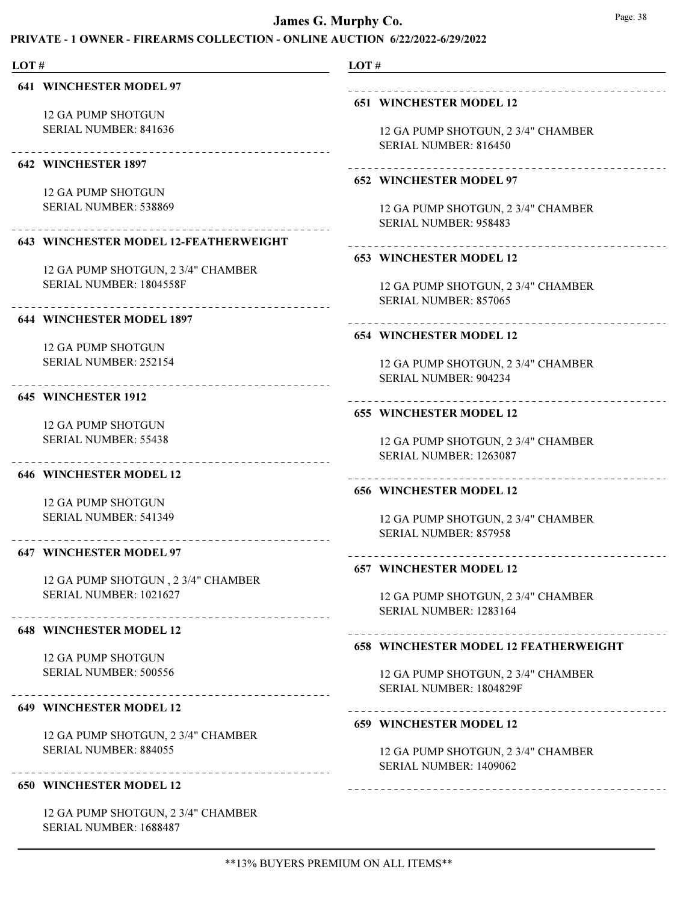# PRIVATE - 1 OWNER - FIREARMS COLLECTION - ONLINE AUCTION 6/22/2022-6/29/2022

LOT #

641 WINCHESTER MODEL 97

12 GA PUMP SHOTGUN SERIAL NUMBER: 841636

# 

642 WINCHESTER 1897

12 GA PUMP SHOTGUN SERIAL NUMBER: 538869

#### 643 WINCHESTER MODEL 12-FEATHERWEIGHT

12 GA PUMP SHOTGUN, 2 3/4" CHAMBER SERIAL NUMBER: 1804558F

### 644 WINCHESTER MODEL 1897

12 GA PUMP SHOTGUN SERIAL NUMBER: 252154

#### 645 WINCHESTER 1912

12 GA PUMP SHOTGUN SERIAL NUMBER: 55438

#### 646 WINCHESTER MODEL 12

12 GA PUMP SHOTGUN SERIAL NUMBER: 541349

## 647 WINCHESTER MODEL 97

12 GA PUMP SHOTGUN , 2 3/4" CHAMBER SERIAL NUMBER: 1021627

### 648 WINCHESTER MODEL 12

12 GA PUMP SHOTGUN SERIAL NUMBER: 500556

# 649 WINCHESTER MODEL 12

12 GA PUMP SHOTGUN, 2 3/4" CHAMBER SERIAL NUMBER: 884055

### 650 WINCHESTER MODEL 12

12 GA PUMP SHOTGUN, 2 3/4" CHAMBER SERIAL NUMBER: 1688487

### LOT #

### 651 WINCHESTER MODEL 12

12 GA PUMP SHOTGUN, 2 3/4" CHAMBER SERIAL NUMBER: 816450

#### 652 WINCHESTER MODEL 97

12 GA PUMP SHOTGUN, 2 3/4" CHAMBER SERIAL NUMBER: 958483

# 

# 653 WINCHESTER MODEL 12

12 GA PUMP SHOTGUN, 2 3/4" CHAMBER SERIAL NUMBER: 857065

#### 654 WINCHESTER MODEL 12

12 GA PUMP SHOTGUN, 2 3/4" CHAMBER SERIAL NUMBER: 904234

#### 655 WINCHESTER MODEL 12

12 GA PUMP SHOTGUN, 2 3/4" CHAMBER SERIAL NUMBER: 1263087

#### 656 WINCHESTER MODEL 12

12 GA PUMP SHOTGUN, 2 3/4" CHAMBER SERIAL NUMBER: 857958

# 657 WINCHESTER MODEL 12

12 GA PUMP SHOTGUN, 2 3/4" CHAMBER SERIAL NUMBER: 1283164

# 658 WINCHESTER MODEL 12 FEATHERWEIGHT

12 GA PUMP SHOTGUN, 2 3/4" CHAMBER SERIAL NUMBER: 1804829F

### 

#### 659 WINCHESTER MODEL 12

12 GA PUMP SHOTGUN, 2 3/4" CHAMBER SERIAL NUMBER: 1409062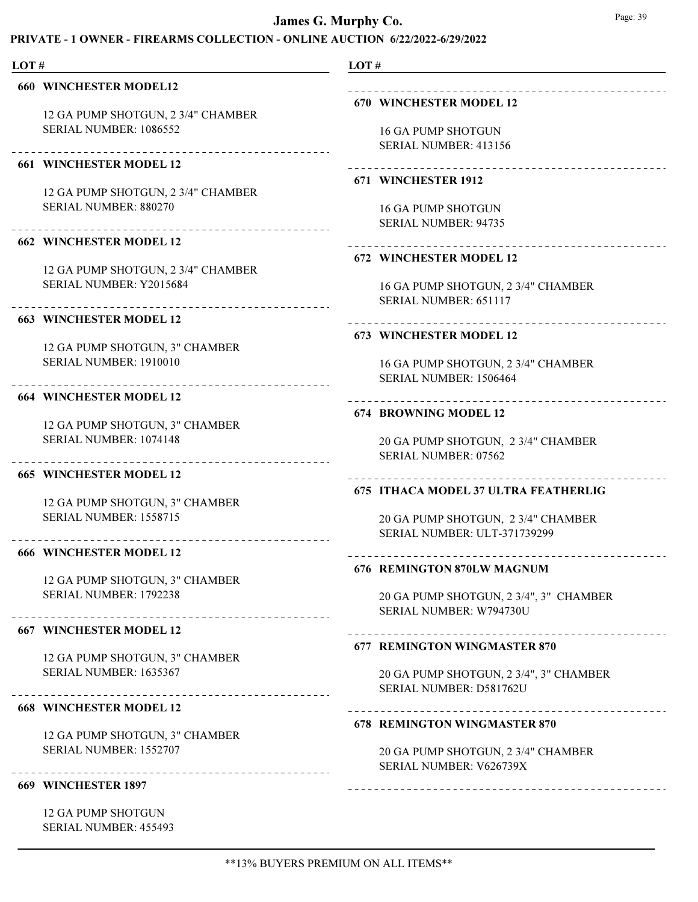# PRIVATE - 1 OWNER - FIREARMS COLLECTION - ONLINE AUCTION 6/22/2022-6/29/2022

| . .<br>۰. |  |
|-----------|--|
|-----------|--|

#### 660 WINCHESTER MODEL12

12 GA PUMP SHOTGUN, 2 3/4" CHAMBER SERIAL NUMBER: 1086552

### 661 WINCHESTER MODEL 12

12 GA PUMP SHOTGUN, 2 3/4" CHAMBER SERIAL NUMBER: 880270

#### 662 WINCHESTER MODEL 12

12 GA PUMP SHOTGUN, 2 3/4" CHAMBER SERIAL NUMBER: Y2015684

#### 663 WINCHESTER MODEL 12

12 GA PUMP SHOTGUN, 3" CHAMBER SERIAL NUMBER: 1910010

#### 664 WINCHESTER MODEL 12

12 GA PUMP SHOTGUN, 3" CHAMBER SERIAL NUMBER: 1074148

#### 665 WINCHESTER MODEL 12

12 GA PUMP SHOTGUN, 3" CHAMBER SERIAL NUMBER: 1558715

#### 666 WINCHESTER MODEL 12

12 GA PUMP SHOTGUN, 3" CHAMBER SERIAL NUMBER: 1792238

### 667 WINCHESTER MODEL 12

12 GA PUMP SHOTGUN, 3" CHAMBER SERIAL NUMBER: 1635367

# 668 WINCHESTER MODEL 12

12 GA PUMP SHOTGUN, 3" CHAMBER SERIAL NUMBER: 1552707

### 669 WINCHESTER 1897

12 GA PUMP SHOTGUN SERIAL NUMBER: 455493

# LOT #

# 

#### 670 WINCHESTER MODEL 12

16 GA PUMP SHOTGUN SERIAL NUMBER: 413156

#### 671 WINCHESTER 1912

16 GA PUMP SHOTGUN SERIAL NUMBER: 94735

# 

### 672 WINCHESTER MODEL 12

16 GA PUMP SHOTGUN, 2 3/4" CHAMBER SERIAL NUMBER: 651117

#### 673 WINCHESTER MODEL 12

16 GA PUMP SHOTGUN, 2 3/4" CHAMBER SERIAL NUMBER: 1506464

#### 674 BROWNING MODEL 12

20 GA PUMP SHOTGUN, 2 3/4" CHAMBER SERIAL NUMBER: 07562

#### 675 ITHACA MODEL 37 ULTRA FEATHERLIG

20 GA PUMP SHOTGUN, 2 3/4" CHAMBER SERIAL NUMBER: ULT-371739299

#### 676 REMINGTON 870LW MAGNUM

20 GA PUMP SHOTGUN, 2 3/4", 3" CHAMBER SERIAL NUMBER: W794730U

#### 677 REMINGTON WINGMASTER 870

-----------------------------

20 GA PUMP SHOTGUN, 2 3/4", 3" CHAMBER SERIAL NUMBER: D581762U

### 678 REMINGTON WINGMASTER 870

20 GA PUMP SHOTGUN, 2 3/4" CHAMBER SERIAL NUMBER: V626739X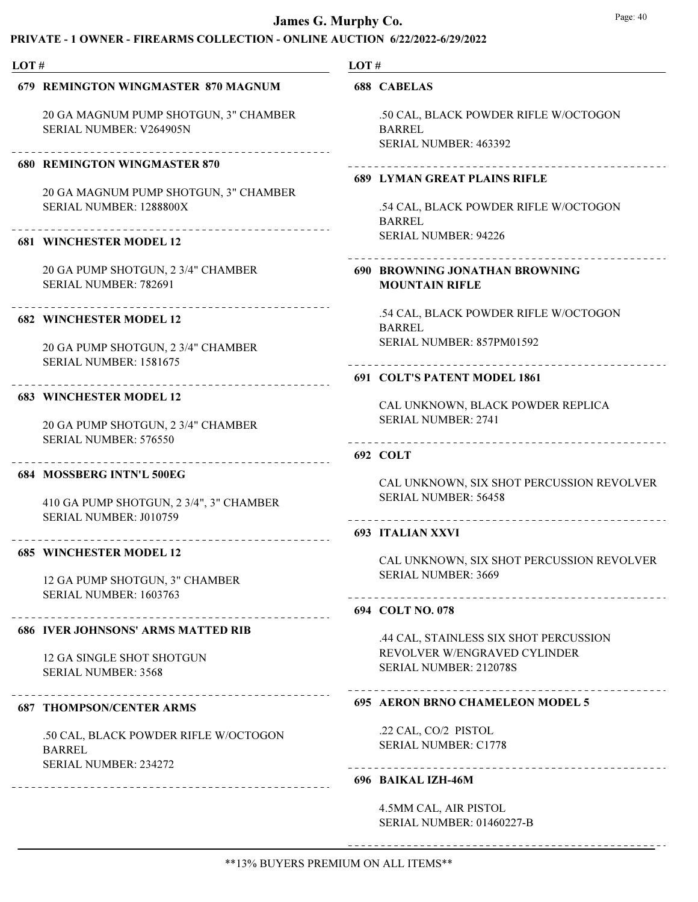# $P_{\text{ATE}}$  - 1 OWNER - FIREARMS COLLECTION - ONLINE AUCTION 6/22/2022-6/20/2022

| LOT# |                                                                      | LOT# |                                                                                               |
|------|----------------------------------------------------------------------|------|-----------------------------------------------------------------------------------------------|
|      | 679 REMINGTON WINGMASTER 870 MAGNUM                                  |      | <b>688 CABELAS</b>                                                                            |
|      | 20 GA MAGNUM PUMP SHOTGUN, 3" CHAMBER<br>SERIAL NUMBER: V264905N     |      | .50 CAL, BLACK POWDER RIFLE W/OCTOGON<br><b>BARREL</b><br><b>SERIAL NUMBER: 463392</b>        |
|      | <b>680 REMINGTON WINGMASTER 870</b>                                  |      |                                                                                               |
|      | 20 GA MAGNUM PUMP SHOTGUN, 3" CHAMBER<br>SERIAL NUMBER: 1288800X     |      | <b>689 LYMAN GREAT PLAINS RIFLE</b><br>.54 CAL, BLACK POWDER RIFLE W/OCTOGON<br><b>BARREL</b> |
|      | <b>681 WINCHESTER MODEL 12</b>                                       |      | <b>SERIAL NUMBER: 94226</b>                                                                   |
|      | 20 GA PUMP SHOTGUN, 2 3/4" CHAMBER<br><b>SERIAL NUMBER: 782691</b>   |      | 690 BROWNING JONATHAN BROWNING<br><b>MOUNTAIN RIFLE</b>                                       |
|      | <b>682 WINCHESTER MODEL 12</b>                                       |      | .54 CAL, BLACK POWDER RIFLE W/OCTOGON<br><b>BARREL</b>                                        |
|      | 20 GA PUMP SHOTGUN, 2 3/4" CHAMBER<br>SERIAL NUMBER: 1581675         |      | SERIAL NUMBER: 857PM01592                                                                     |
|      |                                                                      |      | 691 COLT'S PATENT MODEL 1861                                                                  |
|      | <b>683 WINCHESTER MODEL 12</b><br>20 GA PUMP SHOTGUN, 2 3/4" CHAMBER |      | CAL UNKNOWN, BLACK POWDER REPLICA<br><b>SERIAL NUMBER: 2741</b>                               |
|      | SERIAL NUMBER: 576550                                                |      | ------------------------------------<br>692 COLT                                              |
|      | 684 MOSSBERG INTN'L 500EG                                            |      | CAL UNKNOWN, SIX SHOT PERCUSSION REVOLVER                                                     |
|      | 410 GA PUMP SHOTGUN, 2 3/4", 3" CHAMBER<br>SERIAL NUMBER: J010759    |      | <b>SERIAL NUMBER: 56458</b><br>___________________________                                    |
|      |                                                                      |      | <b>693 ITALIAN XXVI</b>                                                                       |
|      | <b>685 WINCHESTER MODEL 12</b>                                       |      | CAL UNKNOWN, SIX SHOT PERCUSSION REVOLVER<br><b>SERIAL NUMBER: 3669</b>                       |
|      | 12 GA PUMP SHOTGUN, 3" CHAMBER<br>SERIAL NUMBER: 1603763             |      |                                                                                               |
|      |                                                                      |      | 694 COLT NO. 078                                                                              |
|      | <b>686 IVER JOHNSONS' ARMS MATTED RIB</b>                            |      | .44 CAL, STAINLESS SIX SHOT PERCUSSION                                                        |
|      | 12 GA SINGLE SHOT SHOTGUN<br><b>SERIAL NUMBER: 3568</b>              |      | REVOLVER W/ENGRAVED CYLINDER<br>SERIAL NUMBER: 212078S                                        |
|      | <b>687 THOMPSON/CENTER ARMS</b>                                      |      | 695 AERON BRNO CHAMELEON MODEL 5                                                              |
|      | .50 CAL, BLACK POWDER RIFLE W/OCTOGON<br><b>BARREL</b>               |      | .22 CAL, CO/2 PISTOL<br><b>SERIAL NUMBER: C1778</b>                                           |
|      | SERIAL NUMBER: 234272<br>___________________________________         |      | 696 BAIKAL IZH-46M                                                                            |
|      |                                                                      |      | 4.5MM CAL, AIR PISTOL                                                                         |

SERIAL NUMBER: 01460227-B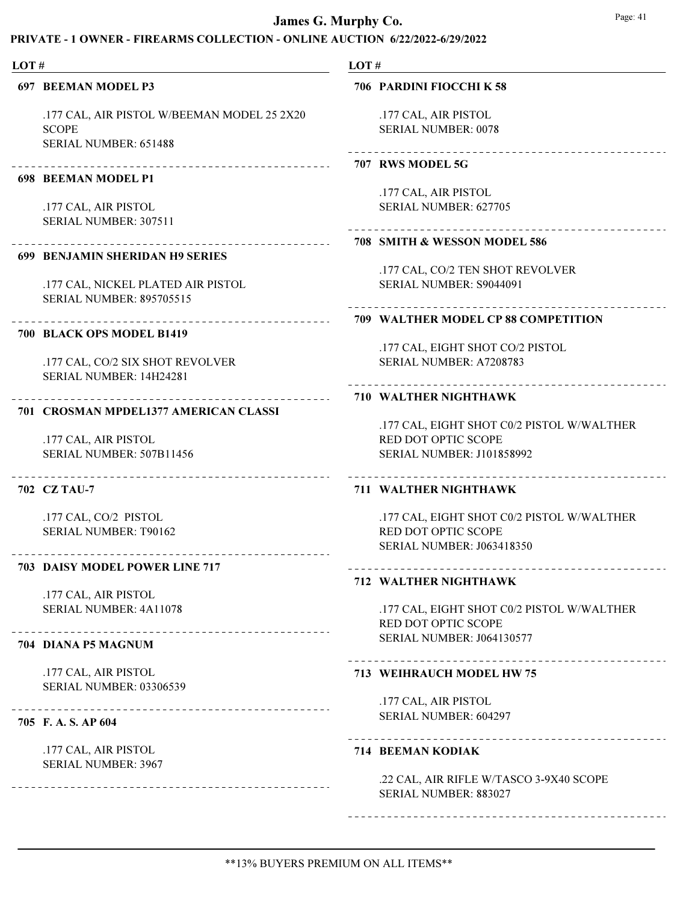## PRIVATE - 1 OWNER - FIREARMS COLLECTION - ONLINE AUCTION 6/22/2022-6/29/2022

#### LOT#

#### 697 BEEMAN MODEL P3

.177 CAL, AIR PISTOL W/BEEMAN MODEL 25 2X20 SCOPE SERIAL NUMBER: 651488

. \_ \_ \_ \_ \_ \_ \_ \_ \_ \_ \_ \_ \_ \_ \_ \_ \_

### 698 BEEMAN MODEL P1

.177 CAL, AIR PISTOL SERIAL NUMBER: 307511

# 699 BENJAMIN SHERIDAN H9 SERIES

.177 CAL, NICKEL PLATED AIR PISTOL SERIAL NUMBER: 895705515

#### 700 BLACK OPS MODEL B1419

.177 CAL, CO/2 SIX SHOT REVOLVER SERIAL NUMBER: 14H24281

#### 701 CROSMAN MPDEL1377 AMERICAN CLASSI

.177 CAL, AIR PISTOL SERIAL NUMBER: 507B11456

#### 702 CZ TAU-7

.177 CAL, CO/2 PISTOL SERIAL NUMBER: T90162

#### 703 DAISY MODEL POWER LINE 717

.177 CAL, AIR PISTOL SERIAL NUMBER: 4A11078

#### 704 DIANA P5 MAGNUM

.177 CAL, AIR PISTOL SERIAL NUMBER: 03306539

#### 705 F. A. S. AP 604

.177 CAL, AIR PISTOL SERIAL NUMBER: 3967

#### LOT #

### 706 PARDINI FIOCCHI K 58

.177 CAL, AIR PISTOL SERIAL NUMBER: 0078

#### 707 RWS MODEL 5G

.177 CAL, AIR PISTOL SERIAL NUMBER: 627705

#### 708 SMITH & WESSON MODEL 586

.177 CAL, CO/2 TEN SHOT REVOLVER SERIAL NUMBER: S9044091

### 709 WALTHER MODEL CP 88 COMPETITION

.177 CAL, EIGHT SHOT CO/2 PISTOL SERIAL NUMBER: A7208783

#### 710 WALTHER NIGHTHAWK

.177 CAL, EIGHT SHOT C0/2 PISTOL W/WALTHER RED DOT OPTIC SCOPE SERIAL NUMBER: J101858992

#### 711 WALTHER NIGHTHAWK

.177 CAL, EIGHT SHOT C0/2 PISTOL W/WALTHER RED DOT OPTIC SCOPE SERIAL NUMBER: J063418350

### 712 WALTHER NIGHTHAWK

.177 CAL, EIGHT SHOT C0/2 PISTOL W/WALTHER RED DOT OPTIC SCOPE SERIAL NUMBER: J064130577

#### 713 WEIHRAUCH MODEL HW 75

.177 CAL, AIR PISTOL SERIAL NUMBER: 604297

#### 714 BEEMAN KODIAK

.22 CAL, AIR RIFLE W/TASCO 3-9X40 SCOPE SERIAL NUMBER: 883027

\*\*13% BUYERS PREMIUM ON ALL ITEMS\*\*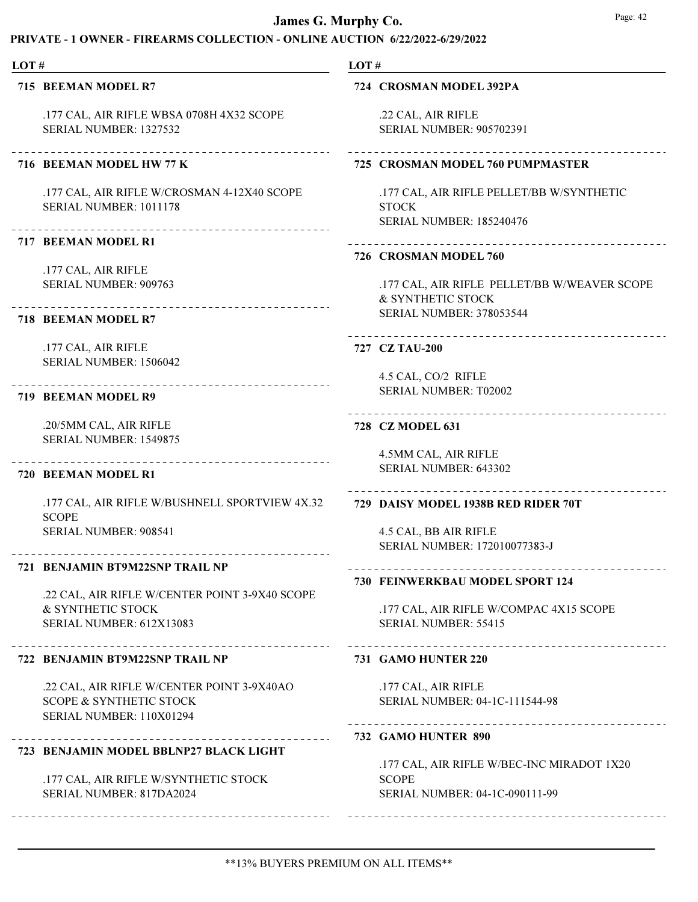# PRIVATE - 1 OWNER - FIREARMS COLLECTION - ONLINE AUCTION 6/22/2022-6/29/2022

#### LOT#

715 BEEMAN MODEL R7

.177 CAL, AIR RIFLE WBSA 0708H 4X32 SCOPE SERIAL NUMBER: 1327532

# 716 BEEMAN MODEL HW 77 K

.177 CAL, AIR RIFLE W/CROSMAN 4-12X40 SCOPE SERIAL NUMBER: 1011178

#### 717 BEEMAN MODEL R1

.177 CAL, AIR RIFLE SERIAL NUMBER: 909763

# 718 BEEMAN MODEL R7

.177 CAL, AIR RIFLE SERIAL NUMBER: 1506042

### 719 BEEMAN MODEL R9

.20/5MM CAL, AIR RIFLE SERIAL NUMBER: 1549875

#### 720 BEEMAN MODEL R1

.177 CAL, AIR RIFLE W/BUSHNELL SPORTVIEW 4X.32 SCOPE SERIAL NUMBER: 908541

## 721 BENJAMIN BT9M22SNP TRAIL NP

.22 CAL, AIR RIFLE W/CENTER POINT 3-9X40 SCOPE & SYNTHETIC STOCK SERIAL NUMBER: 612X13083

#### 722 BENJAMIN BT9M22SNP TRAIL NP

.22 CAL, AIR RIFLE W/CENTER POINT 3-9X40AO SCOPE & SYNTHETIC STOCK SERIAL NUMBER: 110X01294

### 723 BENJAMIN MODEL BBLNP27 BLACK LIGHT

.177 CAL, AIR RIFLE W/SYNTHETIC STOCK SERIAL NUMBER: 817DA2024

### LOT #

### 724 CROSMAN MODEL 392PA

.22 CAL, AIR RIFLE SERIAL NUMBER: 905702391

# 725 CROSMAN MODEL 760 PUMPMASTER

.177 CAL, AIR RIFLE PELLET/BB W/SYNTHETIC **STOCK** SERIAL NUMBER: 185240476

#### 726 CROSMAN MODEL 760

.177 CAL, AIR RIFLE PELLET/BB W/WEAVER SCOPE & SYNTHETIC STOCK SERIAL NUMBER: 378053544

#### 727 CZ TAU-200

4.5 CAL, CO/2 RIFLE SERIAL NUMBER: T02002

# 728 CZ MODEL 631

4.5MM CAL, AIR RIFLE SERIAL NUMBER: 643302

# 729 DAISY MODEL 1938B RED RIDER 70T

4.5 CAL, BB AIR RIFLE SERIAL NUMBER: 172010077383-J

#### 730 FEINWERKBAU MODEL SPORT 124

.177 CAL, AIR RIFLE W/COMPAC 4X15 SCOPE SERIAL NUMBER: 55415

### 731 GAMO HUNTER 220

.177 CAL, AIR RIFLE SERIAL NUMBER: 04-1C-111544-98

### 

### 732 GAMO HUNTER 890

.177 CAL, AIR RIFLE W/BEC-INC MIRADOT 1X20 **SCOPE** SERIAL NUMBER: 04-1C-090111-99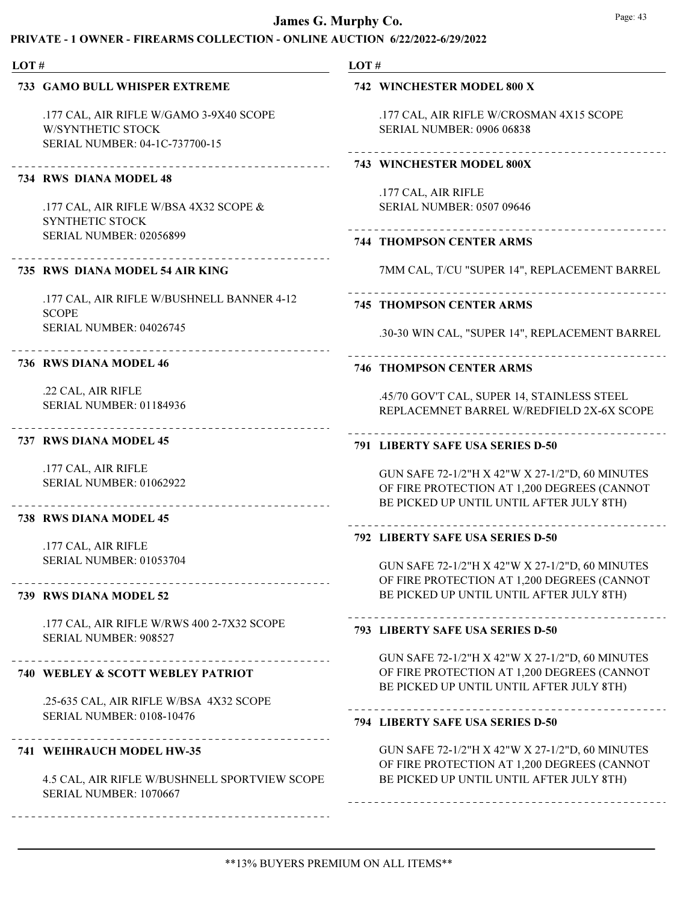# PRIVATE - 1 OWNER - FIREARMS COLLECTION - ONLINE AUCTION 6/22/2022-6/29/2022

#### LOT# LOT # 733 GAMO BULL WHISPER EXTREME 742 WINCHESTER MODEL 800 X .177 CAL, AIR RIFLE W/GAMO 3-9X40 SCOPE .177 CAL, AIR RIFLE W/CROSMAN 4X15 SCOPE W/SYNTHETIC STOCK SERIAL NUMBER: 0906 06838 SERIAL NUMBER: 04-1C-737700-15 743 WINCHESTER MODEL 800X 734 RWS DIANA MODEL 48 .177 CAL, AIR RIFLE .177 CAL, AIR RIFLE W/BSA 4X32 SCOPE & SERIAL NUMBER: 0507 09646 SYNTHETIC STOCK SERIAL NUMBER: 02056899 744 THOMPSON CENTER ARMS 7MM CAL, T/CU "SUPER 14", REPLACEMENT BARREL 735 RWS DIANA MODEL 54 AIR KING .177 CAL, AIR RIFLE W/BUSHNELL BANNER 4-12 745 THOMPSON CENTER ARMS **SCOPE** SERIAL NUMBER: 04026745 736 RWS DIANA MODEL 46 746 THOMPSON CENTER ARMS .22 CAL, AIR RIFLE .45/70 GOV'T CAL, SUPER 14, STAINLESS STEEL SERIAL NUMBER: 01184936 REPLACEMNET BARREL W/REDFIELD 2X-6X SCOPE 737 RWS DIANA MODEL 45 791 LIBERTY SAFE USA SERIES D-50 .177 CAL, AIR RIFLE GUN SAFE 72-1/2"H X 42"W X 27-1/2"D, 60 MINUTES SERIAL NUMBER: 01062922 OF FIRE PROTECTION AT 1,200 DEGREES (CANNOT BE PICKED UP UNTIL UNTIL AFTER JULY 8TH) 738 RWS DIANA MODEL 45 792 LIBERTY SAFE USA SERIES D-50 .177 CAL, AIR RIFLE SERIAL NUMBER: 01053704 GUN SAFE 72-1/2"H X 42"W X 27-1/2"D, 60 MINUTES OF FIRE PROTECTION AT 1,200 DEGREES (CANNOT BE PICKED UP UNTIL UNTIL AFTER JULY 8TH) 739 RWS DIANA MODEL 52 .177 CAL, AIR RIFLE W/RWS 400 2-7X32 SCOPE 793 LIBERTY SAFE USA SERIES D-50 SERIAL NUMBER: 908527 GUN SAFE 72-1/2"H X 42"W X 27-1/2"D, 60 MINUTES 740 WEBLEY & SCOTT WEBLEY PATRIOT OF FIRE PROTECTION AT 1,200 DEGREES (CANNOT BE PICKED UP UNTIL UNTIL AFTER JULY 8TH) .25-635 CAL, AIR RIFLE W/BSA 4X32 SCOPE SERIAL NUMBER: 0108-10476 794 LIBERTY SAFE USA SERIES D-50 GUN SAFE 72-1/2"H X 42"W X 27-1/2"D, 60 MINUTES 741 WEIHRAUCH MODEL HW-35 OF FIRE PROTECTION AT 1,200 DEGREES (CANNOT

4.5 CAL, AIR RIFLE W/BUSHNELL SPORTVIEW SCOPE SERIAL NUMBER: 1070667

.30-30 WIN CAL, "SUPER 14", REPLACEMENT BARREL

BE PICKED UP UNTIL UNTIL AFTER JULY 8TH)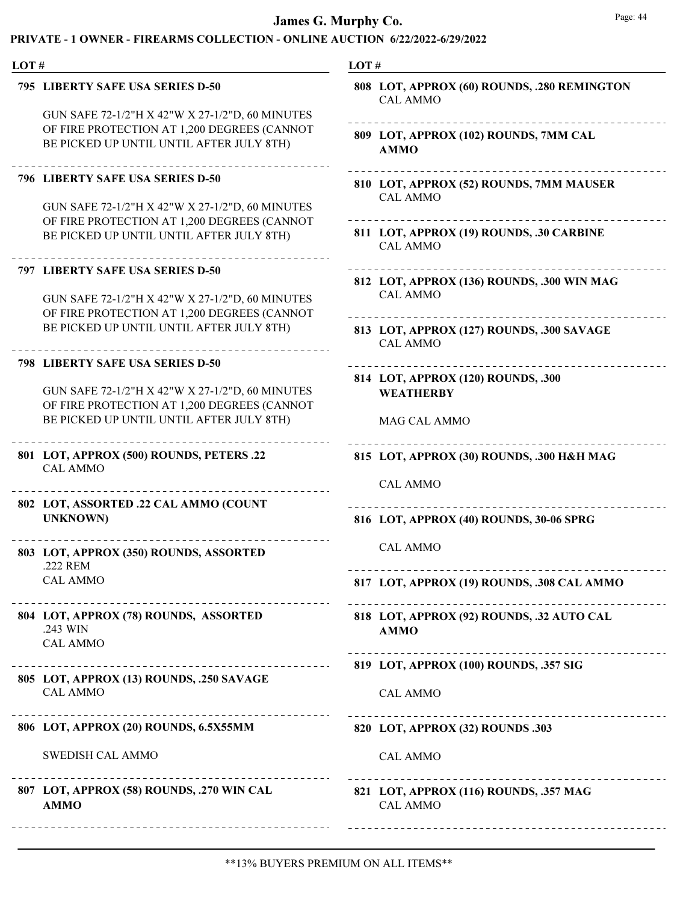| LOT# |                                                                                                | LOT#                                                           |
|------|------------------------------------------------------------------------------------------------|----------------------------------------------------------------|
|      | 795 LIBERTY SAFE USA SERIES D-50                                                               | 808 LOT, APPROX (60) ROUNDS, .280 REMINGTON<br><b>CAL AMMO</b> |
|      | GUN SAFE 72-1/2"H X 42"W X 27-1/2"D, 60 MINUTES                                                |                                                                |
|      | OF FIRE PROTECTION AT 1,200 DEGREES (CANNOT                                                    | 809 LOT, APPROX (102) ROUNDS, 7MM CAL                          |
|      | BE PICKED UP UNTIL UNTIL AFTER JULY 8TH)                                                       | <b>AMMO</b>                                                    |
|      | <b>796 LIBERTY SAFE USA SERIES D-50</b>                                                        | 810 LOT, APPROX (52) ROUNDS, 7MM MAUSER                        |
|      |                                                                                                | <b>CAL AMMO</b>                                                |
|      | GUN SAFE 72-1/2"H X 42"W X 27-1/2"D, 60 MINUTES                                                |                                                                |
|      | OF FIRE PROTECTION AT 1,200 DEGREES (CANNOT                                                    | 811 LOT, APPROX (19) ROUNDS, .30 CARBINE                       |
|      | BE PICKED UP UNTIL UNTIL AFTER JULY 8TH)                                                       | <b>CAL AMMO</b>                                                |
|      | 797 LIBERTY SAFE USA SERIES D-50                                                               | 812 LOT, APPROX (136) ROUNDS, .300 WIN MAG                     |
|      |                                                                                                | <b>CAL AMMO</b>                                                |
|      | GUN SAFE 72-1/2"H X 42"W X 27-1/2"D, 60 MINUTES<br>OF FIRE PROTECTION AT 1,200 DEGREES (CANNOT |                                                                |
|      | BE PICKED UP UNTIL UNTIL AFTER JULY 8TH)                                                       |                                                                |
|      |                                                                                                | 813 LOT, APPROX (127) ROUNDS, .300 SAVAGE<br><b>CAL AMMO</b>   |
|      | 798 LIBERTY SAFE USA SERIES D-50                                                               |                                                                |
|      |                                                                                                | 814 LOT, APPROX (120) ROUNDS, .300                             |
|      | GUN SAFE 72-1/2"H X 42"W X 27-1/2"D, 60 MINUTES                                                | <b>WEATHERBY</b>                                               |
|      | OF FIRE PROTECTION AT 1,200 DEGREES (CANNOT                                                    |                                                                |
|      | BE PICKED UP UNTIL UNTIL AFTER JULY 8TH)                                                       | MAG CAL AMMO                                                   |
|      | 801 LOT, APPROX (500) ROUNDS, PETERS .22<br><b>CAL AMMO</b>                                    | 815 LOT, APPROX (30) ROUNDS, .300 H&H MAG                      |
|      |                                                                                                | <b>CAL AMMO</b>                                                |
|      |                                                                                                |                                                                |
|      | 802 LOT, ASSORTED .22 CAL AMMO (COUNT<br><b>UNKNOWN)</b>                                       | 816 LOT, APPROX (40) ROUNDS, 30-06 SPRG                        |
|      |                                                                                                |                                                                |
|      | 803 LOT, APPROX (350) ROUNDS, ASSORTED                                                         | <b>CAL AMMO</b>                                                |
|      | .222 REM                                                                                       |                                                                |
|      | <b>CAL AMMO</b>                                                                                | 817 LOT, APPROX (19) ROUNDS, .308 CAL AMMO                     |
|      | ____________________________<br>804 LOT, APPROX (78) ROUNDS, ASSORTED                          | 818 LOT, APPROX (92) ROUNDS, .32 AUTO CAL                      |
|      | .243 WIN                                                                                       | <b>AMMO</b>                                                    |
|      | <b>CAL AMMO</b>                                                                                |                                                                |
|      | 805 LOT, APPROX (13) ROUNDS, .250 SAVAGE                                                       | 819 LOT, APPROX (100) ROUNDS, .357 SIG                         |
|      | <b>CAL AMMO</b>                                                                                | <b>CAL AMMO</b>                                                |
|      |                                                                                                |                                                                |
|      | 806 LOT, APPROX (20) ROUNDS, 6.5X55MM                                                          | 820 LOT, APPROX (32) ROUNDS .303                               |
|      | SWEDISH CAL AMMO                                                                               | <b>CAL AMMO</b>                                                |
|      | 807 LOT, APPROX (58) ROUNDS, .270 WIN CAL<br><b>AMMO</b>                                       | 821 LOT, APPROX (116) ROUNDS, .357 MAG<br><b>CAL AMMO</b>      |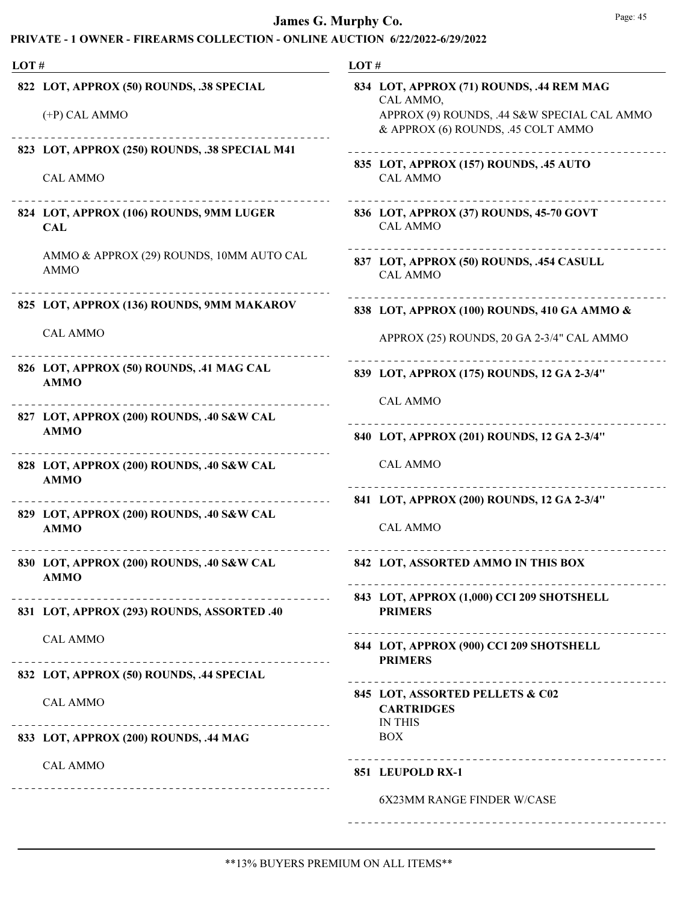| LOT# |                                                                  | LOT#                                                                                                                                       |  |
|------|------------------------------------------------------------------|--------------------------------------------------------------------------------------------------------------------------------------------|--|
|      | 822 LOT, APPROX (50) ROUNDS, .38 SPECIAL<br>$(+P)$ CAL AMMO      | 834 LOT, APPROX (71) ROUNDS, .44 REM MAG<br>CAL AMMO,<br>APPROX (9) ROUNDS, .44 S&W SPECIAL CAL AMMO<br>& APPROX (6) ROUNDS, .45 COLT AMMO |  |
|      | 823 LOT, APPROX (250) ROUNDS, .38 SPECIAL M41<br><b>CAL AMMO</b> | 835 LOT, APPROX (157) ROUNDS, .45 AUTO<br><b>CAL AMMO</b>                                                                                  |  |
|      | 824 LOT, APPROX (106) ROUNDS, 9MM LUGER<br><b>CAL</b>            | 836 LOT, APPROX (37) ROUNDS, 45-70 GOVT<br><b>CAL AMMO</b>                                                                                 |  |
|      | AMMO & APPROX (29) ROUNDS, 10MM AUTO CAL<br><b>AMMO</b>          | 837 LOT, APPROX (50) ROUNDS, .454 CASULL<br><b>CAL AMMO</b>                                                                                |  |
|      | 825 LOT, APPROX (136) ROUNDS, 9MM MAKAROV                        | 838 LOT, APPROX (100) ROUNDS, 410 GA AMMO &                                                                                                |  |
|      | <b>CAL AMMO</b>                                                  | APPROX (25) ROUNDS, 20 GA 2-3/4" CAL AMMO                                                                                                  |  |
|      | 826 LOT, APPROX (50) ROUNDS, .41 MAG CAL<br><b>AMMO</b>          | 839 LOT, APPROX (175) ROUNDS, 12 GA 2-3/4"                                                                                                 |  |
|      | 827 LOT, APPROX (200) ROUNDS, .40 S&W CAL                        | <b>CAL AMMO</b>                                                                                                                            |  |
|      | <b>AMMO</b>                                                      | 840 LOT, APPROX (201) ROUNDS, 12 GA 2-3/4"                                                                                                 |  |
|      | 828 LOT, APPROX (200) ROUNDS, .40 S&W CAL<br><b>AMMO</b>         | <b>CAL AMMO</b>                                                                                                                            |  |
|      | 829 LOT, APPROX (200) ROUNDS, .40 S&W CAL<br><b>AMMO</b>         | 841 LOT, APPROX (200) ROUNDS, 12 GA 2-3/4"<br><b>CAL AMMO</b>                                                                              |  |
|      | 830 LOT, APPROX (200) ROUNDS, .40 S&W CAL<br><b>AMMO</b>         | 842 LOT, ASSORTED AMMO IN THIS BOX                                                                                                         |  |
|      | 831 LOT, APPROX (293) ROUNDS, ASSORTED .40                       | 843 LOT, APPROX (1,000) CCI 209 SHOTSHELL<br><b>PRIMERS</b>                                                                                |  |
|      | <b>CAL AMMO</b>                                                  | 844 LOT, APPROX (900) CCI 209 SHOTSHELL<br><b>PRIMERS</b>                                                                                  |  |
|      | 832 LOT, APPROX (50) ROUNDS, .44 SPECIAL                         |                                                                                                                                            |  |
|      | <b>CAL AMMO</b>                                                  | 845 LOT, ASSORTED PELLETS & C02<br><b>CARTRIDGES</b><br><b>IN THIS</b>                                                                     |  |
|      | 833 LOT, APPROX (200) ROUNDS, .44 MAG                            | <b>BOX</b>                                                                                                                                 |  |
|      | <b>CAL AMMO</b>                                                  | 851 LEUPOLD RX-1                                                                                                                           |  |
|      |                                                                  | <b>6X23MM RANGE FINDER W/CASE</b>                                                                                                          |  |
|      |                                                                  |                                                                                                                                            |  |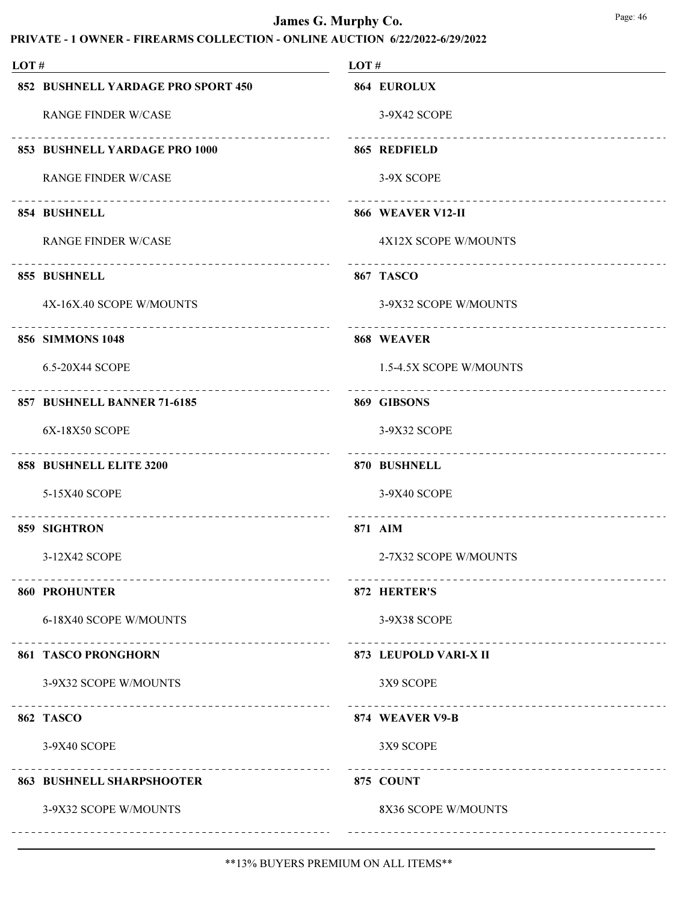| LOT# |                                                          | LOT# |                                                         |
|------|----------------------------------------------------------|------|---------------------------------------------------------|
|      | 852 BUSHNELL YARDAGE PRO SPORT 450                       |      | 864 EUROLUX                                             |
|      | <b>RANGE FINDER W/CASE</b>                               |      | 3-9X42 SCOPE                                            |
|      | _______________________<br>853 BUSHNELL YARDAGE PRO 1000 |      | 865 REDFIELD                                            |
|      | <b>RANGE FINDER W/CASE</b>                               |      | 3-9X SCOPE                                              |
|      | 854 BUSHNELL                                             |      | 866 WEAVER V12-II                                       |
|      | <b>RANGE FINDER W/CASE</b>                               |      | 4X12X SCOPE W/MOUNTS                                    |
|      | 855 BUSHNELL                                             |      | 867 TASCO                                               |
|      | 4X-16X.40 SCOPE W/MOUNTS                                 |      | 3-9X32 SCOPE W/MOUNTS                                   |
|      | 856 SIMMONS 1048                                         |      | 868 WEAVER                                              |
|      | 6.5-20X44 SCOPE                                          |      | 1.5-4.5X SCOPE W/MOUNTS                                 |
|      | 857 BUSHNELL BANNER 71-6185                              |      | 869 GIBSONS                                             |
|      | 6X-18X50 SCOPE                                           |      | 3-9X32 SCOPE                                            |
|      | ____________________________<br>858 BUSHNELL ELITE 3200  |      | 870 BUSHNELL                                            |
|      | 5-15X40 SCOPE                                            |      | 3-9X40 SCOPE                                            |
|      | 859 SIGHTRON                                             |      | 871 AIM                                                 |
|      | 3-12X42 SCOPE                                            |      | 2-7X32 SCOPE W/MOUNTS                                   |
|      | <b>860 PROHUNTER</b>                                     |      | 872 HERTER'S                                            |
|      | 6-18X40 SCOPE W/MOUNTS                                   |      | 3-9X38 SCOPE                                            |
|      | <b>861 TASCO PRONGHORN</b>                               |      | ______________________________<br>873 LEUPOLD VARI-X II |
|      | 3-9X32 SCOPE W/MOUNTS                                    |      | 3X9 SCOPE                                               |
|      | 862 TASCO                                                |      | -----------------------------------<br>874 WEAVER V9-B  |
|      | 3-9X40 SCOPE                                             |      | 3X9 SCOPE                                               |
|      | <b>863 BUSHNELL SHARPSHOOTER</b>                         |      | 875 COUNT                                               |
|      | 3-9X32 SCOPE W/MOUNTS                                    |      | 8X36 SCOPE W/MOUNTS                                     |
|      |                                                          |      |                                                         |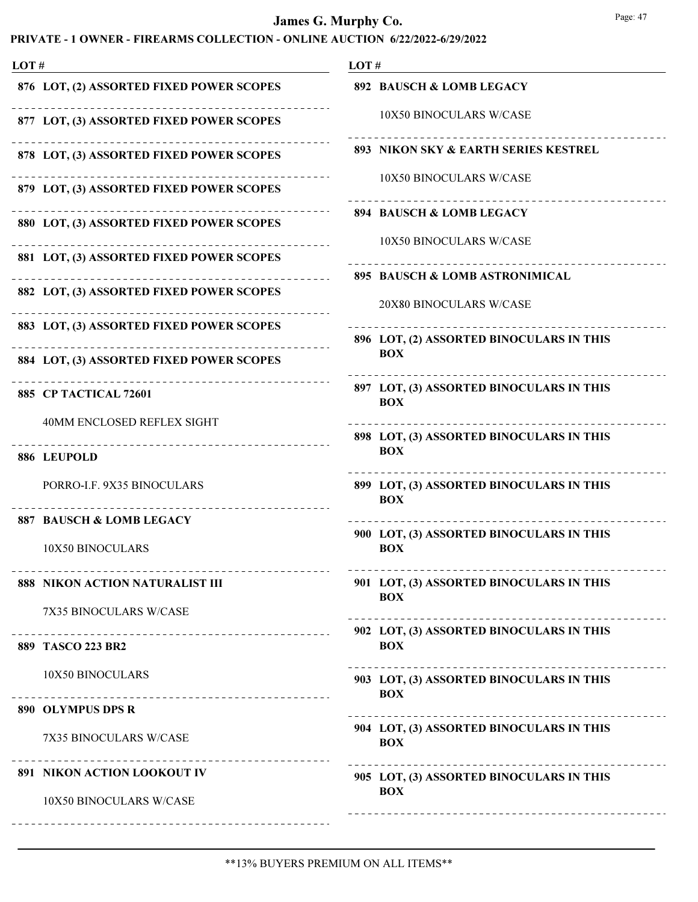| LOT#                                          | LOT#                                                   |
|-----------------------------------------------|--------------------------------------------------------|
| 876 LOT, (2) ASSORTED FIXED POWER SCOPES      | 892 BAUSCH & LOMB LEGACY                               |
| 877 LOT, (3) ASSORTED FIXED POWER SCOPES      | 10X50 BINOCULARS W/CASE                                |
| 878 LOT, (3) ASSORTED FIXED POWER SCOPES      | 893 NIKON SKY & EARTH SERIES KESTREL                   |
| 879 LOT, (3) ASSORTED FIXED POWER SCOPES      | 10X50 BINOCULARS W/CASE                                |
| 880 LOT, (3) ASSORTED FIXED POWER SCOPES      | 894 BAUSCH & LOMB LEGACY                               |
| .<br>881 LOT, (3) ASSORTED FIXED POWER SCOPES | 10X50 BINOCULARS W/CASE                                |
| .<br>882 LOT, (3) ASSORTED FIXED POWER SCOPES | 895 BAUSCH & LOMB ASTRONIMICAL                         |
| 883 LOT, (3) ASSORTED FIXED POWER SCOPES      | 20X80 BINOCULARS W/CASE                                |
| 884 LOT, (3) ASSORTED FIXED POWER SCOPES      | 896 LOT, (2) ASSORTED BINOCULARS IN THIS<br><b>BOX</b> |
|                                               | 897 LOT, (3) ASSORTED BINOCULARS IN THIS               |
| 885 CP TACTICAL 72601                         | <b>BOX</b>                                             |
| 40MM ENCLOSED REFLEX SIGHT                    | 898 LOT, (3) ASSORTED BINOCULARS IN THIS               |
| 886 LEUPOLD                                   | <b>BOX</b>                                             |
| PORRO-I.F. 9X35 BINOCULARS                    | 899 LOT, (3) ASSORTED BINOCULARS IN THIS<br><b>BOX</b> |
| <b>887 BAUSCH &amp; LOMB LEGACY</b>           |                                                        |
| 10X50 BINOCULARS                              | 900 LOT, (3) ASSORTED BINOCULARS IN THIS<br><b>BOX</b> |
| 888 NIKON ACTION NATURALIST III               | 901 LOT, (3) ASSORTED BINOCULARS IN THIS<br><b>BOX</b> |
| 7X35 BINOCULARS W/CASE                        |                                                        |
| 889 TASCO 223 BR2                             | 902 LOT, (3) ASSORTED BINOCULARS IN THIS<br><b>BOX</b> |
| 10X50 BINOCULARS                              | 903 LOT, (3) ASSORTED BINOCULARS IN THIS<br><b>BOX</b> |
| 890 OLYMPUS DPS R                             |                                                        |
| 7X35 BINOCULARS W/CASE                        | 904 LOT, (3) ASSORTED BINOCULARS IN THIS<br><b>BOX</b> |
| 891 NIKON ACTION LOOKOUT IV                   | 905 LOT, (3) ASSORTED BINOCULARS IN THIS               |
| 10X50 BINOCULARS W/CASE                       | <b>BOX</b>                                             |
|                                               |                                                        |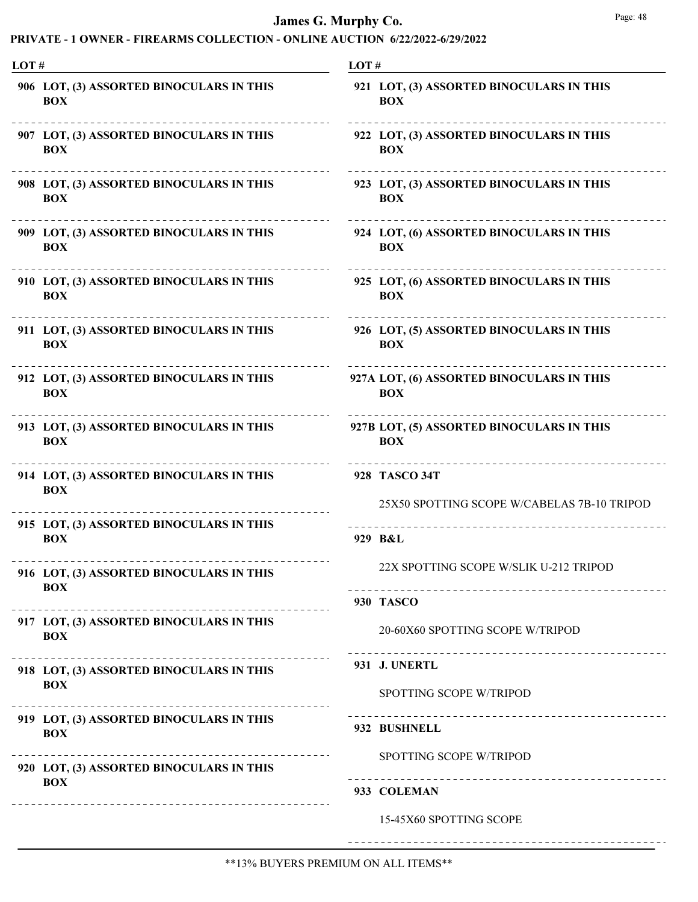| LOT# |                                                                      | LOT#                                                                          |  |
|------|----------------------------------------------------------------------|-------------------------------------------------------------------------------|--|
|      | 906 LOT, (3) ASSORTED BINOCULARS IN THIS<br><b>BOX</b>               | 921 LOT, (3) ASSORTED BINOCULARS IN THIS<br><b>BOX</b>                        |  |
|      | 907 LOT, (3) ASSORTED BINOCULARS IN THIS<br><b>BOX</b>               | 922 LOT, (3) ASSORTED BINOCULARS IN THIS<br><b>BOX</b>                        |  |
|      | 908 LOT, (3) ASSORTED BINOCULARS IN THIS<br><b>BOX</b>               | 923 LOT, (3) ASSORTED BINOCULARS IN THIS<br><b>BOX</b>                        |  |
|      | 909 LOT, (3) ASSORTED BINOCULARS IN THIS<br><b>BOX</b>               | 924 LOT, (6) ASSORTED BINOCULARS IN THIS<br><b>BOX</b>                        |  |
|      | 910 LOT, (3) ASSORTED BINOCULARS IN THIS<br><b>BOX</b>               | 925 LOT, (6) ASSORTED BINOCULARS IN THIS<br><b>BOX</b>                        |  |
|      | 911 LOT, (3) ASSORTED BINOCULARS IN THIS<br><b>BOX</b>               | 926 LOT, (5) ASSORTED BINOCULARS IN THIS<br><b>BOX</b>                        |  |
|      | 912 LOT, (3) ASSORTED BINOCULARS IN THIS<br><b>BOX</b>               | 927A LOT, (6) ASSORTED BINOCULARS IN THIS<br><b>BOX</b>                       |  |
|      | 913 LOT, (3) ASSORTED BINOCULARS IN THIS<br><b>BOX</b>               | 927B LOT, (5) ASSORTED BINOCULARS IN THIS<br><b>BOX</b>                       |  |
|      | 914 LOT, (3) ASSORTED BINOCULARS IN THIS<br><b>BOX</b>               | 928 TASCO 34T<br>25X50 SPOTTING SCOPE W/CABELAS 7B-10 TRIPOD                  |  |
|      | 915 LOT, (3) ASSORTED BINOCULARS IN THIS<br><b>BOX</b>               | 929 B&L                                                                       |  |
|      | 916 LOT, (3) ASSORTED BINOCULARS IN THIS<br><b>BOX</b>               | 22X SPOTTING SCOPE W/SLIK U-212 TRIPOD<br>----------------------------------- |  |
|      | 917 LOT, (3) ASSORTED BINOCULARS IN THIS<br><b>BOX</b>               | 930 TASCO<br>20-60X60 SPOTTING SCOPE W/TRIPOD                                 |  |
|      | 918 LOT, (3) ASSORTED BINOCULARS IN THIS<br><b>BOX</b>               | 931 J. UNERTL<br>SPOTTING SCOPE W/TRIPOD                                      |  |
|      | 919 LOT, (3) ASSORTED BINOCULARS IN THIS<br><b>BOX</b>               | 932 BUSHNELL                                                                  |  |
|      | ----------<br>920 LOT, (3) ASSORTED BINOCULARS IN THIS<br><b>BOX</b> | SPOTTING SCOPE W/TRIPOD<br>933 COLEMAN                                        |  |
|      | ____________________________________                                 | 15-45X60 SPOTTING SCOPE                                                       |  |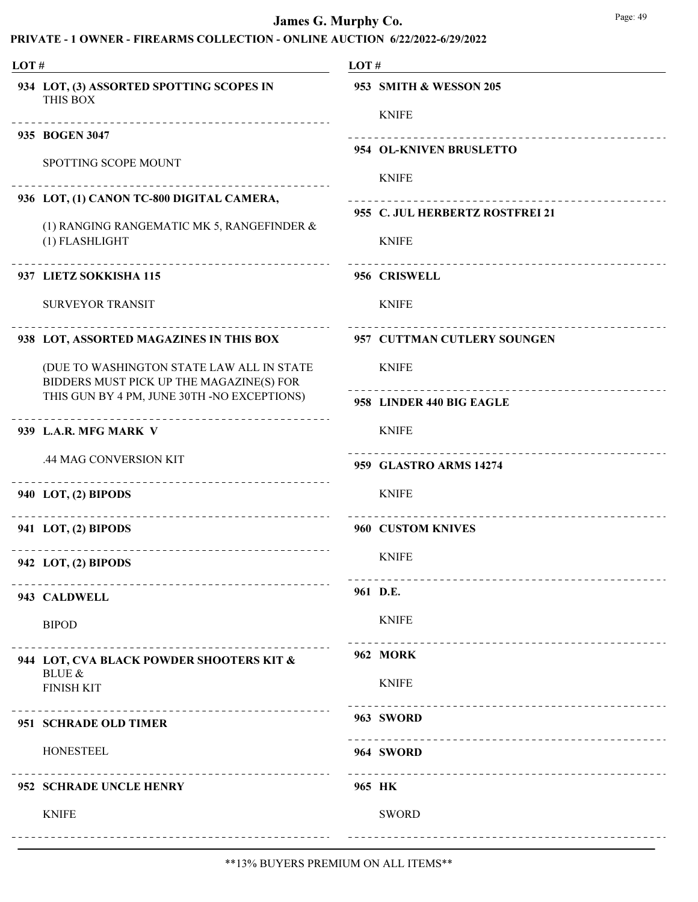| LOT# |                                                                                       | LOT#                                                              |  |
|------|---------------------------------------------------------------------------------------|-------------------------------------------------------------------|--|
|      | 934 LOT, (3) ASSORTED SPOTTING SCOPES IN<br>THIS BOX                                  | 953 SMITH & WESSON 205<br><b>KNIFE</b>                            |  |
|      | 935 BOGEN 3047                                                                        | ------------------------------------                              |  |
|      | SPOTTING SCOPE MOUNT                                                                  | 954 OL-KNIVEN BRUSLETTO<br><b>KNIFE</b>                           |  |
|      | 936 LOT, (1) CANON TC-800 DIGITAL CAMERA,                                             |                                                                   |  |
|      | (1) RANGING RANGEMATIC MK 5, RANGEFINDER &<br>(1) FLASHLIGHT                          | 955 C. JUL HERBERTZ ROSTFREI 21<br><b>KNIFE</b>                   |  |
|      | ________________________________<br>937 LIETZ SOKKISHA 115                            | 956 CRISWELL                                                      |  |
|      | <b>SURVEYOR TRANSIT</b>                                                               | <b>KNIFE</b>                                                      |  |
|      | 938 LOT, ASSORTED MAGAZINES IN THIS BOX                                               | 957 CUTTMAN CUTLERY SOUNGEN                                       |  |
|      | (DUE TO WASHINGTON STATE LAW ALL IN STATE<br>BIDDERS MUST PICK UP THE MAGAZINE(S) FOR | <b>KNIFE</b>                                                      |  |
|      | THIS GUN BY 4 PM, JUNE 30TH -NO EXCEPTIONS)                                           | <u> - - - - - - - - - - - - - - -</u><br>958 LINDER 440 BIG EAGLE |  |
|      | 939 L.A.R. MFG MARK V                                                                 | <b>KNIFE</b>                                                      |  |
|      | .44 MAG CONVERSION KIT                                                                | 959 GLASTRO ARMS 14274                                            |  |
|      | 940 LOT, (2) BIPODS                                                                   | <b>KNIFE</b>                                                      |  |
|      | 941 LOT, (2) BIPODS                                                                   | 960 CUSTOM KNIVES                                                 |  |
|      | -----------------------------------<br>942 LOT, (2) BIPODS                            | <b>KNIFE</b>                                                      |  |
|      | 943 CALDWELL                                                                          | 961 D.E.                                                          |  |
|      | <b>BIPOD</b>                                                                          | <b>KNIFE</b><br>_________________________________                 |  |
|      | 944 LOT, CVA BLACK POWDER SHOOTERS KIT &<br><b>BLUE &amp;</b>                         | <b>962 MORK</b>                                                   |  |
|      | <b>FINISH KIT</b>                                                                     | <b>KNIFE</b>                                                      |  |
|      | 951 SCHRADE OLD TIMER                                                                 | 963 SWORD                                                         |  |
|      | <b>HONESTEEL</b>                                                                      | 964 SWORD                                                         |  |
|      | 952 SCHRADE UNCLE HENRY                                                               | 965 HK                                                            |  |
|      | <b>KNIFE</b>                                                                          | <b>SWORD</b>                                                      |  |
|      |                                                                                       |                                                                   |  |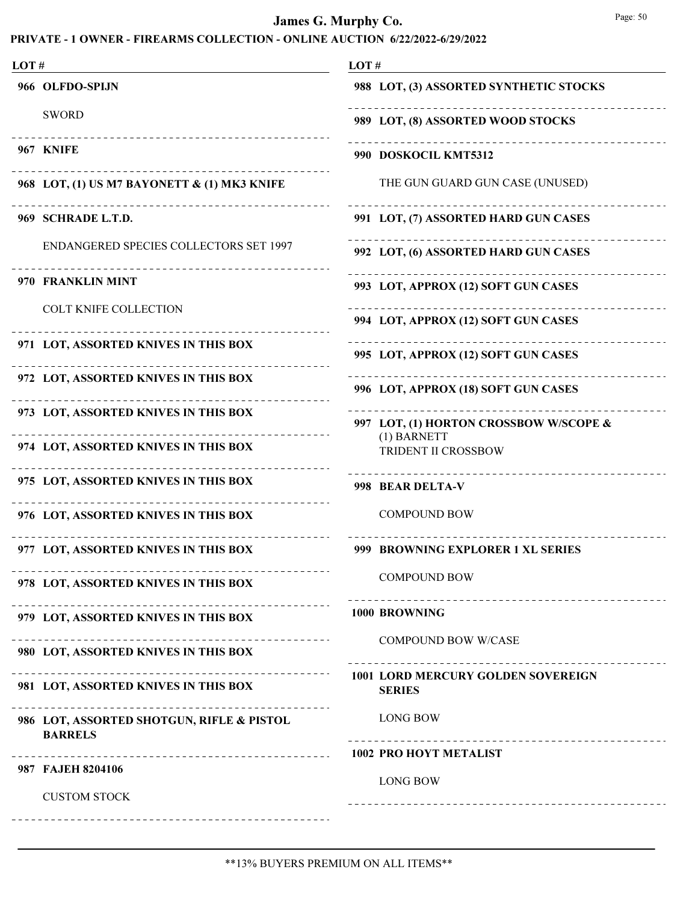| LOT# |                                                                    | LOT#                                                       |  |
|------|--------------------------------------------------------------------|------------------------------------------------------------|--|
|      | 966 OLFDO-SPIJN                                                    | 988 LOT, (3) ASSORTED SYNTHETIC STOCKS                     |  |
|      | <b>SWORD</b>                                                       | 989 LOT, (8) ASSORTED WOOD STOCKS                          |  |
|      | <b>967 KNIFE</b>                                                   | 990 DOSKOCIL KMT5312                                       |  |
|      | 968 LOT, (1) US M7 BAYONETT & (1) MK3 KNIFE                        | THE GUN GUARD GUN CASE (UNUSED)                            |  |
|      | 969 SCHRADE L.T.D.                                                 | 991 LOT, (7) ASSORTED HARD GUN CASES                       |  |
|      | <b>ENDANGERED SPECIES COLLECTORS SET 1997</b>                      | 992 LOT, (6) ASSORTED HARD GUN CASES                       |  |
|      | 970 FRANKLIN MINT                                                  | 993 LOT, APPROX (12) SOFT GUN CASES                        |  |
|      | <b>COLT KNIFE COLLECTION</b>                                       | 994 LOT, APPROX (12) SOFT GUN CASES                        |  |
|      | 971 LOT, ASSORTED KNIVES IN THIS BOX                               | 995 LOT, APPROX (12) SOFT GUN CASES                        |  |
|      | 972 LOT, ASSORTED KNIVES IN THIS BOX                               | 996 LOT, APPROX (18) SOFT GUN CASES                        |  |
|      | 973 LOT, ASSORTED KNIVES IN THIS BOX                               | 997 LOT, (1) HORTON CROSSBOW W/SCOPE &                     |  |
|      | 974 LOT, ASSORTED KNIVES IN THIS BOX                               | (1) BARNETT<br>TRIDENT II CROSSBOW                         |  |
|      | 975 LOT, ASSORTED KNIVES IN THIS BOX                               | 998 BEAR DELTA-V                                           |  |
|      | 976 LOT, ASSORTED KNIVES IN THIS BOX                               | <b>COMPOUND BOW</b>                                        |  |
|      | 977 LOT, ASSORTED KNIVES IN THIS BOX                               | 999 BROWNING EXPLORER 1 XL SERIES                          |  |
|      | 978 LOT, ASSORTED KNIVES IN THIS BOX                               | <b>COMPOUND BOW</b>                                        |  |
|      | <u>__________</u><br>979 LOT, ASSORTED KNIVES IN THIS BOX          | 1000 BROWNING                                              |  |
|      | 980 LOT, ASSORTED KNIVES IN THIS BOX                               | <b>COMPOUND BOW W/CASE</b>                                 |  |
|      | --------------------------<br>981 LOT, ASSORTED KNIVES IN THIS BOX | <b>1001 LORD MERCURY GOLDEN SOVEREIGN</b><br><b>SERIES</b> |  |
|      | 986 LOT, ASSORTED SHOTGUN, RIFLE & PISTOL<br><b>BARRELS</b>        | <b>LONG BOW</b>                                            |  |
|      |                                                                    | <b>1002 PRO HOYT METALIST</b>                              |  |
|      | 987 FAJEH 8204106<br><b>CUSTOM STOCK</b>                           | <b>LONG BOW</b>                                            |  |
|      |                                                                    |                                                            |  |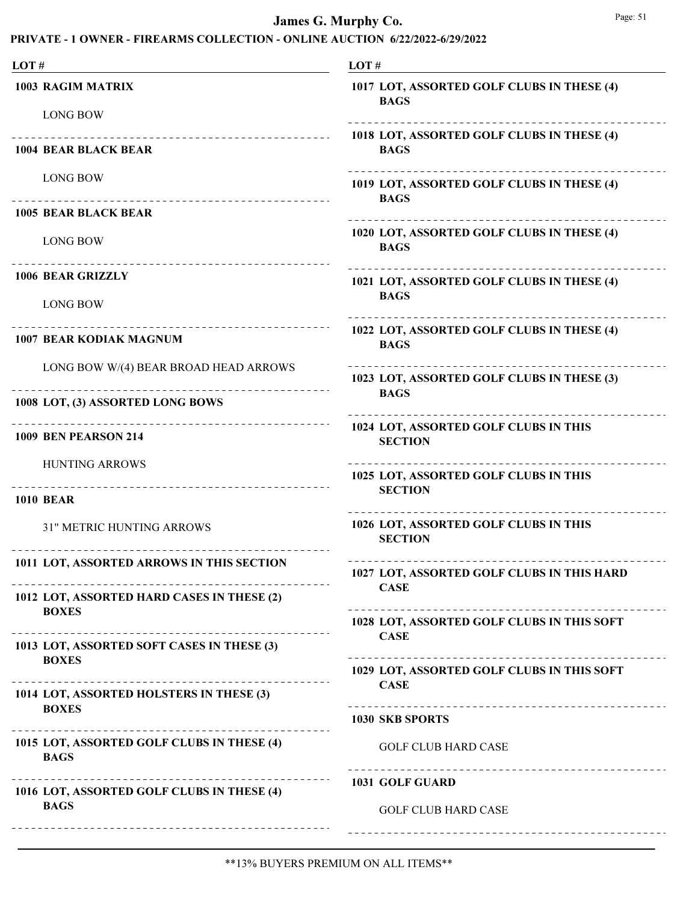| LOT#                                                                  | LOT#                                                      |
|-----------------------------------------------------------------------|-----------------------------------------------------------|
| <b>1003 RAGIM MATRIX</b><br><b>LONG BOW</b>                           | 1017 LOT, ASSORTED GOLF CLUBS IN THESE (4)<br><b>BAGS</b> |
| ------------------------------------<br><b>1004 BEAR BLACK BEAR</b>   | 1018 LOT, ASSORTED GOLF CLUBS IN THESE (4)<br><b>BAGS</b> |
| <b>LONG BOW</b><br>__________________________________                 | 1019 LOT, ASSORTED GOLF CLUBS IN THESE (4)<br><b>BAGS</b> |
| <b>1005 BEAR BLACK BEAR</b>                                           |                                                           |
| <b>LONG BOW</b><br>--------------------------------                   | 1020 LOT, ASSORTED GOLF CLUBS IN THESE (4)<br><b>BAGS</b> |
| <b>1006 BEAR GRIZZLY</b>                                              | 1021 LOT, ASSORTED GOLF CLUBS IN THESE (4)<br><b>BAGS</b> |
| <b>LONG BOW</b>                                                       |                                                           |
| ___________________________________<br><b>1007 BEAR KODIAK MAGNUM</b> | 1022 LOT, ASSORTED GOLF CLUBS IN THESE (4)<br><b>BAGS</b> |
| LONG BOW W/(4) BEAR BROAD HEAD ARROWS                                 | 1023 LOT, ASSORTED GOLF CLUBS IN THESE (3)<br><b>BAGS</b> |
| 1008 LOT, (3) ASSORTED LONG BOWS                                      |                                                           |
| ------------------------------<br><b>1009 BEN PEARSON 214</b>         | 1024 LOT, ASSORTED GOLF CLUBS IN THIS<br><b>SECTION</b>   |
| <b>HUNTING ARROWS</b>                                                 | 1025 LOT, ASSORTED GOLF CLUBS IN THIS                     |
| <b>1010 BEAR</b>                                                      | <b>SECTION</b>                                            |
| 31" METRIC HUNTING ARROWS                                             | 1026 LOT, ASSORTED GOLF CLUBS IN THIS<br><b>SECTION</b>   |
| 1011 LOT, ASSORTED ARROWS IN THIS SECTION                             | 1027 LOT, ASSORTED GOLF CLUBS IN THIS HARD<br><b>CASE</b> |
| 1012 LOT, ASSORTED HARD CASES IN THESE (2)                            |                                                           |
| <b>BOXES</b>                                                          | 1028 LOT, ASSORTED GOLF CLUBS IN THIS SOFT                |
| 1013 LOT, ASSORTED SOFT CASES IN THESE (3)                            | <b>CASE</b>                                               |
| <b>BOXES</b>                                                          | 1029 LOT, ASSORTED GOLF CLUBS IN THIS SOFT<br><b>CASE</b> |
| 1014 LOT, ASSORTED HOLSTERS IN THESE (3)                              |                                                           |
| <b>BOXES</b>                                                          | 1030 SKB SPORTS                                           |
| 1015 LOT, ASSORTED GOLF CLUBS IN THESE (4)<br><b>BAGS</b>             | <b>GOLF CLUB HARD CASE</b>                                |
|                                                                       | 1031 GOLF GUARD                                           |
| 1016 LOT, ASSORTED GOLF CLUBS IN THESE (4)<br><b>BAGS</b>             | <b>GOLF CLUB HARD CASE</b>                                |
|                                                                       |                                                           |